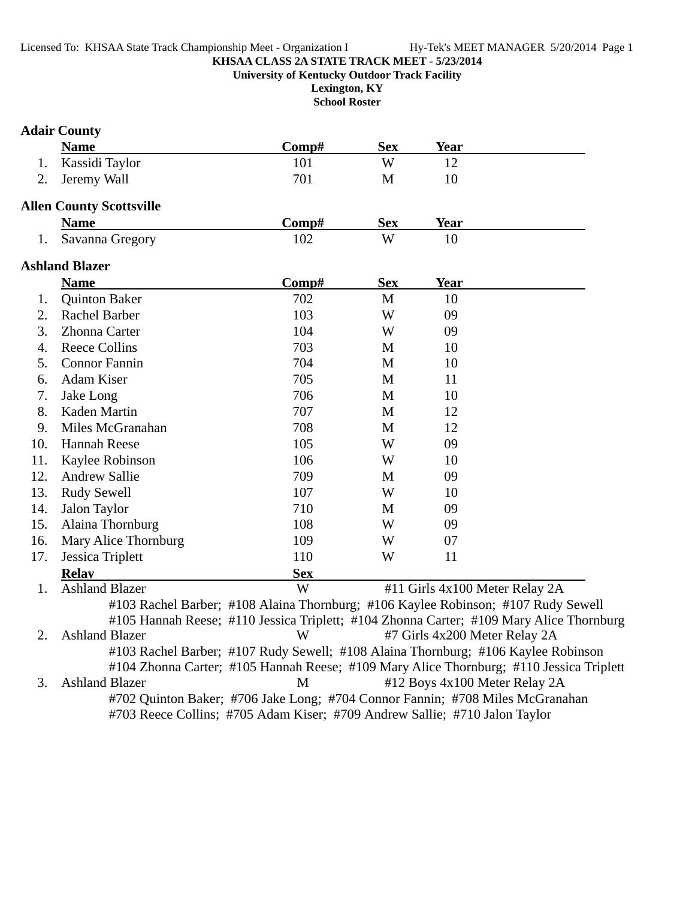**Lexington, KY**

**School Roster**

## **Adair County**

|                  | <b>Name</b>                     | Comp#                                                                             | <b>Sex</b>  | <b>Year</b> |                                                                                         |
|------------------|---------------------------------|-----------------------------------------------------------------------------------|-------------|-------------|-----------------------------------------------------------------------------------------|
| 1.               | Kassidi Taylor                  | 101                                                                               | W           | 12          |                                                                                         |
| 2.               | Jeremy Wall                     | 701                                                                               | $\mathbf M$ | 10          |                                                                                         |
|                  | <b>Allen County Scottsville</b> |                                                                                   |             |             |                                                                                         |
|                  | <b>Name</b>                     | Comp#                                                                             | <b>Sex</b>  | <b>Year</b> |                                                                                         |
| 1.               | Savanna Gregory                 | 102                                                                               | W           | 10          |                                                                                         |
|                  | <b>Ashland Blazer</b>           |                                                                                   |             |             |                                                                                         |
|                  | <b>Name</b>                     | Comp#                                                                             | <b>Sex</b>  | Year        |                                                                                         |
| 1.               | <b>Quinton Baker</b>            | 702                                                                               | $\mathbf M$ | 10          |                                                                                         |
| 2.               | Rachel Barber                   | 103                                                                               | W           | 09          |                                                                                         |
| 3.               | Zhonna Carter                   | 104                                                                               | W           | 09          |                                                                                         |
| $\overline{4}$ . | <b>Reece Collins</b>            | 703                                                                               | M           | 10          |                                                                                         |
| 5.               | <b>Connor Fannin</b>            | 704                                                                               | M           | 10          |                                                                                         |
| 6.               | Adam Kiser                      | 705                                                                               | M           | 11          |                                                                                         |
| 7.               | Jake Long                       | 706                                                                               | M           | 10          |                                                                                         |
| 8.               | Kaden Martin                    | 707                                                                               | M           | 12          |                                                                                         |
| 9.               | Miles McGranahan                | 708                                                                               | M           | 12          |                                                                                         |
| 10.              | <b>Hannah Reese</b>             | 105                                                                               | W           | 09          |                                                                                         |
| 11.              | Kaylee Robinson                 | 106                                                                               | W           | 10          |                                                                                         |
| 12.              | <b>Andrew Sallie</b>            | 709                                                                               | M           | 09          |                                                                                         |
| 13.              | <b>Rudy Sewell</b>              | 107                                                                               | W           | 10          |                                                                                         |
| 14.              | Jalon Taylor                    | 710                                                                               | M           | 09          |                                                                                         |
| 15.              | Alaina Thornburg                | 108                                                                               | W           | 09          |                                                                                         |
| 16.              | Mary Alice Thornburg            | 109                                                                               | W           | 07          |                                                                                         |
| 17.              | Jessica Triplett                | 110                                                                               | W           | 11          |                                                                                         |
|                  | <b>Relay</b>                    | <b>Sex</b>                                                                        |             |             |                                                                                         |
| 1.               | <b>Ashland Blazer</b>           | W                                                                                 |             |             | #11 Girls 4x100 Meter Relay 2A                                                          |
|                  |                                 | #103 Rachel Barber; #108 Alaina Thornburg; #106 Kaylee Robinson; #107 Rudy Sewell |             |             |                                                                                         |
|                  |                                 |                                                                                   |             |             | #105 Hannah Reese; #110 Jessica Triplett; #104 Zhonna Carter; #109 Mary Alice Thornburg |
| 2.               | <b>Ashland Blazer</b>           | W                                                                                 |             |             | #7 Girls 4x200 Meter Relay 2A                                                           |
|                  |                                 | #103 Rachel Barber; #107 Rudy Sewell; #108 Alaina Thornburg; #106 Kaylee Robinson |             |             |                                                                                         |
|                  |                                 |                                                                                   |             |             | #104 Zhonna Carter; #105 Hannah Reese; #109 Mary Alice Thornburg; #110 Jessica Triplett |
| 3.               | <b>Ashland Blazer</b>           | M                                                                                 |             |             | #12 Boys 4x100 Meter Relay 2A                                                           |
|                  |                                 | #702 Quinton Baker; #706 Jake Long; #704 Connor Fannin; #708 Miles McGranahan     |             |             |                                                                                         |

#703 Reece Collins; #705 Adam Kiser; #709 Andrew Sallie; #710 Jalon Taylor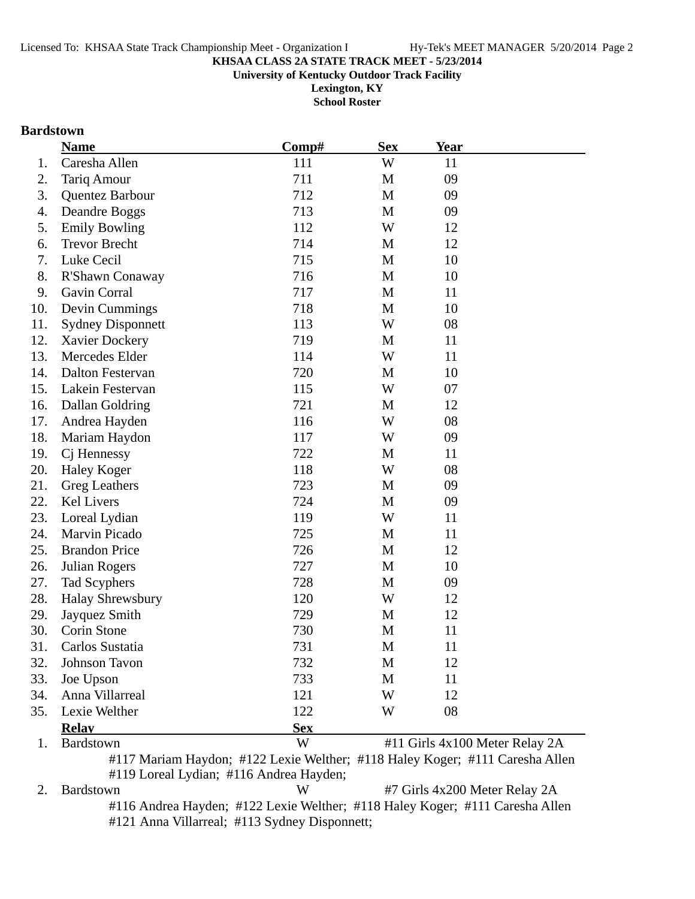**Lexington, KY**

**School Roster**

## **Bardstown**

|     | <b>Name</b>              | Comp#      | <b>Sex</b> | <b>Year</b> |                                |
|-----|--------------------------|------------|------------|-------------|--------------------------------|
| 1.  | Caresha Allen            | 111        | W          | 11          |                                |
| 2.  | <b>Tariq Amour</b>       | 711        | M          | 09          |                                |
| 3.  | Quentez Barbour          | 712        | M          | 09          |                                |
| 4.  | Deandre Boggs            | 713        | M          | 09          |                                |
| 5.  | <b>Emily Bowling</b>     | 112        | W          | 12          |                                |
| 6.  | <b>Trevor Brecht</b>     | 714        | M          | 12          |                                |
| 7.  | Luke Cecil               | 715        | M          | 10          |                                |
| 8.  | R'Shawn Conaway          | 716        | M          | 10          |                                |
| 9.  | Gavin Corral             | 717        | M          | 11          |                                |
| 10. | Devin Cummings           | 718        | M          | 10          |                                |
| 11. | <b>Sydney Disponnett</b> | 113        | W          | 08          |                                |
| 12. | Xavier Dockery           | 719        | M          | 11          |                                |
| 13. | Mercedes Elder           | 114        | W          | 11          |                                |
| 14. | <b>Dalton Festervan</b>  | 720        | M          | 10          |                                |
| 15. | Lakein Festervan         | 115        | W          | 07          |                                |
| 16. | Dallan Goldring          | 721        | M          | 12          |                                |
| 17. | Andrea Hayden            | 116        | W          | 08          |                                |
| 18. | Mariam Haydon            | 117        | W          | 09          |                                |
| 19. | C <sub>j</sub> Hennessy  | 722        | M          | 11          |                                |
| 20. | <b>Haley Koger</b>       | 118        | W          | 08          |                                |
| 21. | Greg Leathers            | 723        | M          | 09          |                                |
| 22. | Kel Livers               | 724        | M          | 09          |                                |
| 23. | Loreal Lydian            | 119        | W          | 11          |                                |
| 24. | Marvin Picado            | 725        | M          | 11          |                                |
| 25. | <b>Brandon Price</b>     | 726        | M          | 12          |                                |
| 26. | <b>Julian Rogers</b>     | 727        | M          | 10          |                                |
| 27. | Tad Scyphers             | 728        | M          | 09          |                                |
| 28. | <b>Halay Shrewsbury</b>  | 120        | W          | 12          |                                |
| 29. | Jayquez Smith            | 729        | M          | 12          |                                |
| 30. | Corin Stone              | 730        | M          | 11          |                                |
| 31. | Carlos Sustatia          | 731        | M          | 11          |                                |
| 32. | <b>Johnson Tavon</b>     | 732        | M          | 12          |                                |
| 33. | Joe Upson                | 733        | M          | 11          |                                |
| 34. | Anna Villarreal          | 121        | W          | 12          |                                |
| 35. | Lexie Welther            | 122        | W          | 08          |                                |
|     | <b>Relay</b>             | <b>Sex</b> |            |             |                                |
| 1.  | Bardstown                | W          |            |             | #11 Girls 4x100 Meter Relay 2A |

#117 Mariam Haydon; #122 Lexie Welther; #118 Haley Koger; #111 Caresha Allen #119 Loreal Lydian; #116 Andrea Hayden;

2. Bardstown W #7 Girls 4x200 Meter Relay 2A #116 Andrea Hayden; #122 Lexie Welther; #118 Haley Koger; #111 Caresha Allen #121 Anna Villarreal; #113 Sydney Disponnett;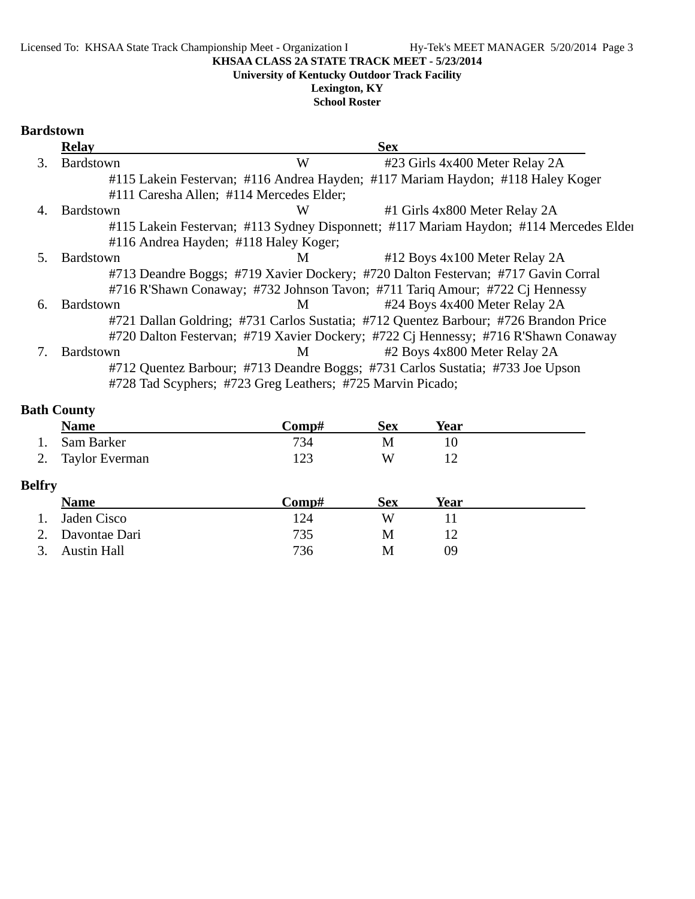**University of Kentucky Outdoor Track Facility**

**Lexington, KY School Roster**

### **Bardstown**

|                | <b>Relay</b> |                                                            | <b>Sex</b>                                                                             |
|----------------|--------------|------------------------------------------------------------|----------------------------------------------------------------------------------------|
| 3.             | Bardstown    | W                                                          | #23 Girls 4x400 Meter Relay 2A                                                         |
|                |              |                                                            | #115 Lakein Festervan; #116 Andrea Hayden; #117 Mariam Haydon; #118 Haley Koger        |
|                |              | #111 Caresha Allen; #114 Mercedes Elder;                   |                                                                                        |
| $\overline{4}$ | Bardstown    | W                                                          | #1 Girls 4x800 Meter Relay 2A                                                          |
|                |              |                                                            | #115 Lakein Festervan; #113 Sydney Disponnett; #117 Mariam Haydon; #114 Mercedes Elder |
|                |              | #116 Andrea Hayden; #118 Haley Koger;                      |                                                                                        |
| 5.             | Bardstown    | M                                                          | #12 Boys 4x100 Meter Relay 2A                                                          |
|                |              |                                                            | #713 Deandre Boggs; #719 Xavier Dockery; #720 Dalton Festervan; #717 Gavin Corral      |
|                |              |                                                            | #716 R'Shawn Conaway; #732 Johnson Tavon; #711 Tariq Amour; #722 Cj Hennessy           |
| 6.             | Bardstown    | M                                                          | #24 Boys 4x400 Meter Relay 2A                                                          |
|                |              |                                                            | #721 Dallan Goldring; #731 Carlos Sustatia; #712 Quentez Barbour; #726 Brandon Price   |
|                |              |                                                            | #720 Dalton Festervan; #719 Xavier Dockery; #722 Cj Hennessy; #716 R'Shawn Conaway     |
|                | Bardstown    | M                                                          | #2 Boys 4x800 Meter Relay 2A                                                           |
|                |              |                                                            | #712 Quentez Barbour; #713 Deandre Boggs; #731 Carlos Sustatia; #733 Joe Upson         |
|                |              | #728 Tad Scyphers; #723 Greg Leathers; #725 Marvin Picado; |                                                                                        |

## **Bath County**

| <b>Name</b>       | C <b>omp#</b> | Sex | Year |  |
|-------------------|---------------|-----|------|--|
| 1. Sam Barker     | 734           | M   |      |  |
| 2. Taylor Everman | 123           | W   |      |  |

## **Belfry**

|                  | <b>Name</b>      | Comp# | Sex | Year |  |
|------------------|------------------|-------|-----|------|--|
| $\overline{1}$ . | Jaden Cisco      | 124   | W   |      |  |
|                  | 2. Davontae Dari | 735   | M   |      |  |
|                  | 3. Austin Hall   | 736   | M   | ΩÓ   |  |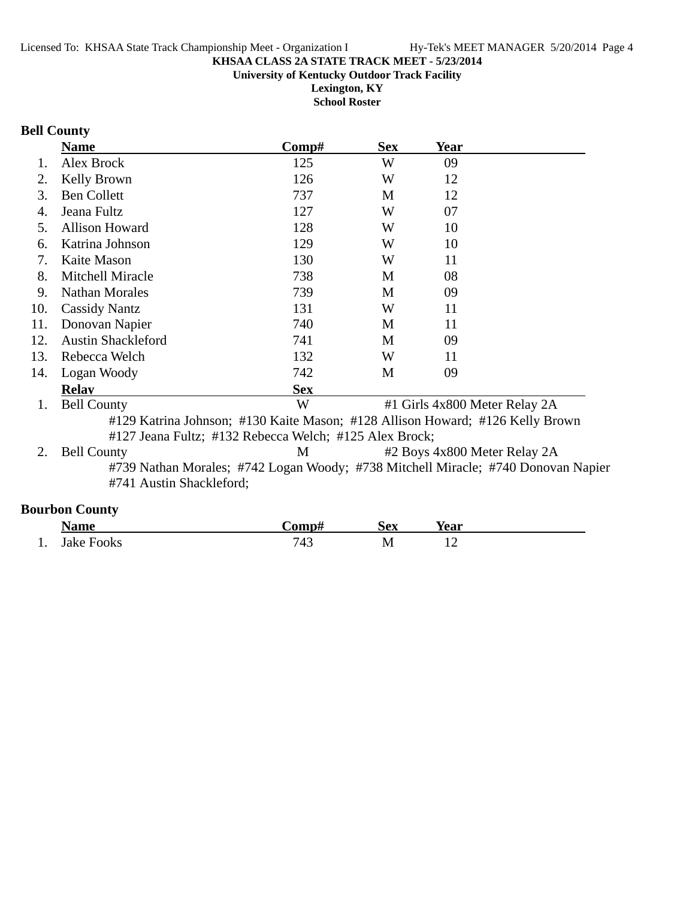**Lexington, KY School Roster**

## **Bell County**

|     | <b>Name</b>                                            | $\bf Comp\#$ | <b>Sex</b> | Year                                                                              |
|-----|--------------------------------------------------------|--------------|------------|-----------------------------------------------------------------------------------|
| 1.  | Alex Brock                                             | 125          | W          | 09                                                                                |
| 2.  | Kelly Brown                                            | 126          | W          | 12                                                                                |
| 3.  | <b>Ben Collett</b>                                     | 737          | M          | 12                                                                                |
| 4.  | Jeana Fultz                                            | 127          | W          | 07                                                                                |
| .5. | <b>Allison Howard</b>                                  | 128          | W          | 10                                                                                |
| 6.  | Katrina Johnson                                        | 129          | W          | 10                                                                                |
| 7.  | Kaite Mason                                            | 130          | W          | 11                                                                                |
| 8.  | Mitchell Miracle                                       | 738          | M          | 08                                                                                |
| 9.  | <b>Nathan Morales</b>                                  | 739          | M          | 09                                                                                |
| 10. | <b>Cassidy Nantz</b>                                   | 131          | W          | 11                                                                                |
| 11. | Donovan Napier                                         | 740          | M          | 11                                                                                |
| 12. | <b>Austin Shackleford</b>                              | 741          | M          | 09                                                                                |
| 13. | Rebecca Welch                                          | 132          | W          | 11                                                                                |
| 14. | Logan Woody                                            | 742          | M          | 09                                                                                |
|     | <b>Relav</b>                                           | <b>Sex</b>   |            |                                                                                   |
| 1.  | <b>Bell County</b>                                     | W            |            | #1 Girls 4x800 Meter Relay 2A                                                     |
|     |                                                        |              |            | #129 Katrina Johnson; #130 Kaite Mason; #128 Allison Howard; #126 Kelly Brown     |
|     | #127 Jeana Fultz; #132 Rebecca Welch; #125 Alex Brock; |              |            |                                                                                   |
| 2.  | <b>Bell County</b>                                     | M            |            | #2 Boys 4x800 Meter Relay 2A                                                      |
|     |                                                        |              |            | #739 Nathan Morales; #742 Logan Woody; #738 Mitchell Miracle; #740 Donovan Napier |
|     | #741 Austin Shackleford;                               |              |            |                                                                                   |

## **Bourbon County**

|     | Name       | <b>€omp</b>   | <b>Sex</b> | Year |  |
|-----|------------|---------------|------------|------|--|
| . . | Jake Fooks | 7 A '<br>74 J |            |      |  |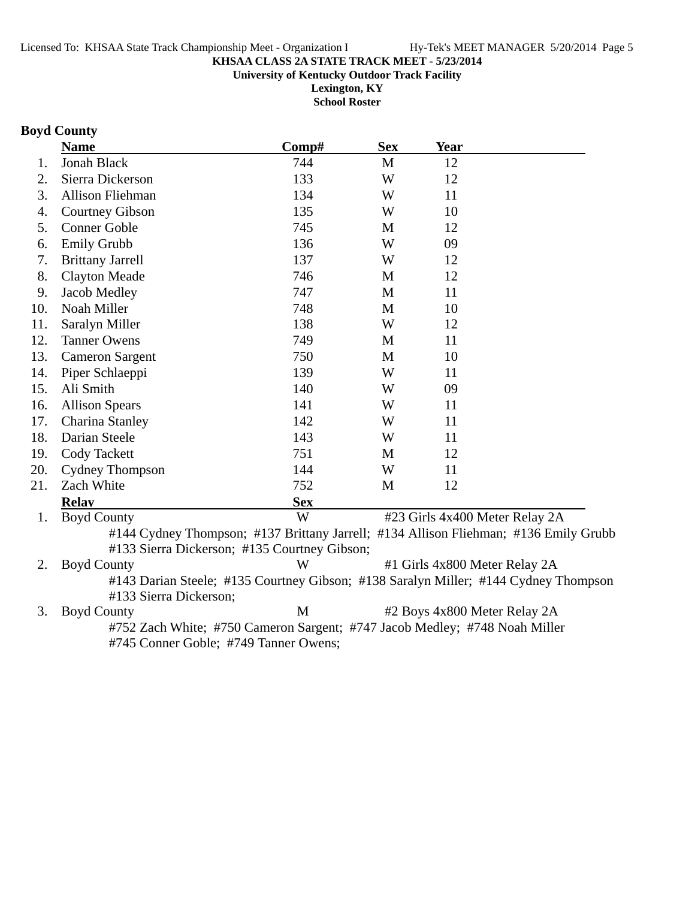**Lexington, KY School Roster**

## **Boyd County**

|     | <b>Name</b>                                  | Comp#      | <b>Sex</b>   | <b>Year</b> |                                                                                      |
|-----|----------------------------------------------|------------|--------------|-------------|--------------------------------------------------------------------------------------|
| 1.  | <b>Jonah Black</b>                           | 744        | $\mathbf{M}$ | 12          |                                                                                      |
| 2.  | Sierra Dickerson                             | 133        | W            | 12          |                                                                                      |
| 3.  | Allison Fliehman                             | 134        | W            | 11          |                                                                                      |
| 4.  | <b>Courtney Gibson</b>                       | 135        | W            | 10          |                                                                                      |
| 5.  | <b>Conner Goble</b>                          | 745        | M            | 12          |                                                                                      |
| 6.  | <b>Emily Grubb</b>                           | 136        | W            | 09          |                                                                                      |
| 7.  | <b>Brittany Jarrell</b>                      | 137        | W            | 12          |                                                                                      |
| 8.  | <b>Clayton Meade</b>                         | 746        | M            | 12          |                                                                                      |
| 9.  | Jacob Medley                                 | 747        | M            | 11          |                                                                                      |
| 10. | Noah Miller                                  | 748        | M            | 10          |                                                                                      |
| 11. | Saralyn Miller                               | 138        | W            | 12          |                                                                                      |
| 12. | <b>Tanner Owens</b>                          | 749        | M            | 11          |                                                                                      |
| 13. | <b>Cameron Sargent</b>                       | 750        | M            | 10          |                                                                                      |
| 14. | Piper Schlaeppi                              | 139        | W            | 11          |                                                                                      |
| 15. | Ali Smith                                    | 140        | W            | 09          |                                                                                      |
| 16. | <b>Allison Spears</b>                        | 141        | W            | 11          |                                                                                      |
| 17. | Charina Stanley                              | 142        | W            | 11          |                                                                                      |
| 18. | Darian Steele                                | 143        | W            | 11          |                                                                                      |
| 19. | <b>Cody Tackett</b>                          | 751        | M            | 12          |                                                                                      |
| 20. | <b>Cydney Thompson</b>                       | 144        | W            | 11          |                                                                                      |
| 21. | Zach White                                   | 752        | M            | 12          |                                                                                      |
|     | <b>Relav</b>                                 | <b>Sex</b> |              |             |                                                                                      |
| 1.  | <b>Boyd County</b>                           | W          |              |             | #23 Girls 4x400 Meter Relay 2A                                                       |
|     | #133 Sierra Dickerson; #135 Courtney Gibson; |            |              |             | #144 Cydney Thompson; #137 Brittany Jarrell; #134 Allison Fliehman; #136 Emily Grubb |
| 2.  | <b>Boyd County</b>                           | W          |              |             | #1 Girls 4x800 Meter Relay 2A                                                        |
|     |                                              |            |              |             | #143 Darian Steele; #135 Courtney Gibson; #138 Saralyn Miller; #144 Cydney Thompson  |
|     | #133 Sierra Dickerson;                       |            |              |             |                                                                                      |

3. Boyd County M #2 Boys 4x800 Meter Relay 2A #752 Zach White; #750 Cameron Sargent; #747 Jacob Medley; #748 Noah Miller #745 Conner Goble; #749 Tanner Owens;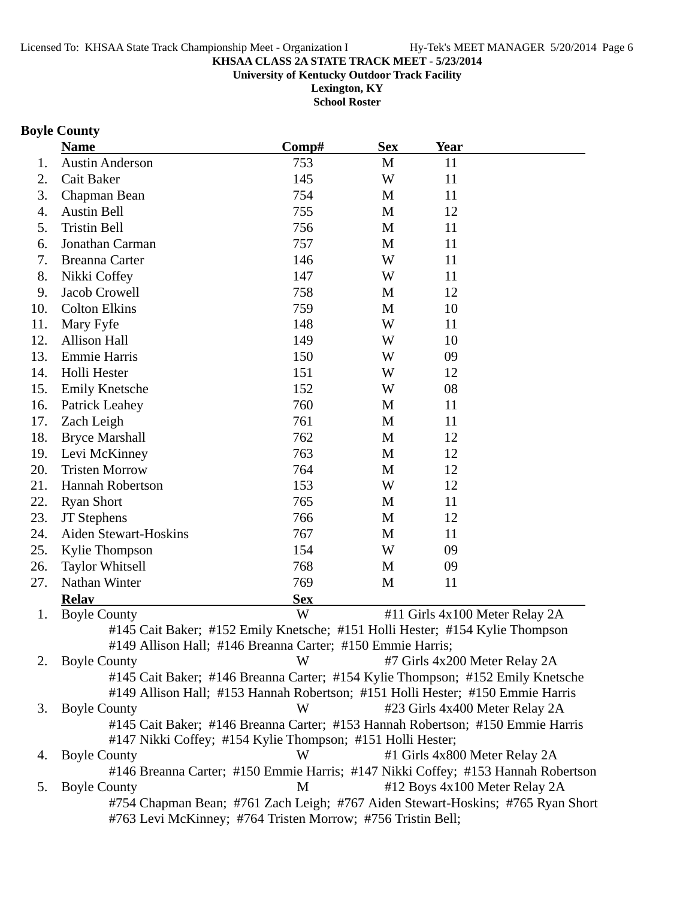**Lexington, KY**

**School Roster**

## **Boyle County**

|     | <b>Name</b>                                                                      | Comp#      | <b>Sex</b> | Year                           |                               |
|-----|----------------------------------------------------------------------------------|------------|------------|--------------------------------|-------------------------------|
| 1.  | <b>Austin Anderson</b>                                                           | 753        | M          | 11                             |                               |
| 2.  | Cait Baker                                                                       | 145        | W          | 11                             |                               |
| 3.  | Chapman Bean                                                                     | 754        | M          | 11                             |                               |
| 4.  | <b>Austin Bell</b>                                                               | 755        | M          | 12                             |                               |
| 5.  | <b>Tristin Bell</b>                                                              | 756        | M          | 11                             |                               |
| 6.  | Jonathan Carman                                                                  | 757        | M          | 11                             |                               |
| 7.  | <b>Breanna Carter</b>                                                            | 146        | W          | 11                             |                               |
| 8.  | Nikki Coffey                                                                     | 147        | W          | 11                             |                               |
| 9.  | Jacob Crowell                                                                    | 758        | M          | 12                             |                               |
| 10. | <b>Colton Elkins</b>                                                             | 759        | M          | 10                             |                               |
| 11. | Mary Fyfe                                                                        | 148        | W          | 11                             |                               |
| 12. | <b>Allison Hall</b>                                                              | 149        | W          | 10                             |                               |
| 13. | Emmie Harris                                                                     | 150        | W          | 09                             |                               |
| 14. | Holli Hester                                                                     | 151        | W          | 12                             |                               |
| 15. | <b>Emily Knetsche</b>                                                            | 152        | W          | 08                             |                               |
| 16. | Patrick Leahey                                                                   | 760        | M          | 11                             |                               |
| 17. | Zach Leigh                                                                       | 761        | M          | 11                             |                               |
| 18. | <b>Bryce Marshall</b>                                                            | 762        | M          | 12                             |                               |
| 19. | Levi McKinney                                                                    | 763        | M          | 12                             |                               |
| 20. | <b>Tristen Morrow</b>                                                            | 764        | M          | 12                             |                               |
| 21. | <b>Hannah Robertson</b>                                                          | 153        | W          | 12                             |                               |
| 22. | <b>Ryan Short</b>                                                                | 765        | M          | 11                             |                               |
| 23. | <b>JT</b> Stephens                                                               | 766        | M          | 12                             |                               |
| 24. | <b>Aiden Stewart-Hoskins</b>                                                     | 767        | M          | 11                             |                               |
| 25. | Kylie Thompson                                                                   | 154        | W          | 09                             |                               |
| 26. | <b>Taylor Whitsell</b>                                                           | 768        | M          | 09                             |                               |
| 27. | Nathan Winter                                                                    | 769        | M          | 11                             |                               |
|     | <b>Relay</b>                                                                     | <b>Sex</b> |            |                                |                               |
| 1.  | <b>Boyle County</b>                                                              | W          |            | #11 Girls 4x100 Meter Relay 2A |                               |
|     | #145 Cait Baker; #152 Emily Knetsche; #151 Holli Hester; #154 Kylie Thompson     |            |            |                                |                               |
|     | #149 Allison Hall; #146 Breanna Carter; #150 Emmie Harris;                       |            |            |                                |                               |
| 2.  | <b>Boyle County</b>                                                              | W          |            | #7 Girls 4x200 Meter Relay 2A  |                               |
|     | #145 Cait Baker; #146 Breanna Carter; #154 Kylie Thompson; #152 Emily Knetsche   |            |            |                                |                               |
|     | #149 Allison Hall; #153 Hannah Robertson; #151 Holli Hester; #150 Emmie Harris   |            |            |                                |                               |
| 3.  | <b>Boyle County</b>                                                              | W          |            | #23 Girls 4x400 Meter Relay 2A |                               |
|     | #145 Cait Baker; #146 Breanna Carter; #153 Hannah Robertson; #150 Emmie Harris   |            |            |                                |                               |
|     | #147 Nikki Coffey; #154 Kylie Thompson; #151 Holli Hester;                       |            |            |                                |                               |
| 4.  | <b>Boyle County</b>                                                              | W          |            | #1 Girls 4x800 Meter Relay 2A  |                               |
|     | #146 Breanna Carter; #150 Emmie Harris; #147 Nikki Coffey; #153 Hannah Robertson |            |            |                                |                               |
| 5.  | <b>Boyle County</b>                                                              | M          |            |                                | #12 Boys 4x100 Meter Relay 2A |
|     | #754 Chapman Bean; #761 Zach Leigh; #767 Aiden Stewart-Hoskins; #765 Ryan Short  |            |            |                                |                               |
|     | #763 Levi McKinney; #764 Tristen Morrow; #756 Tristin Bell;                      |            |            |                                |                               |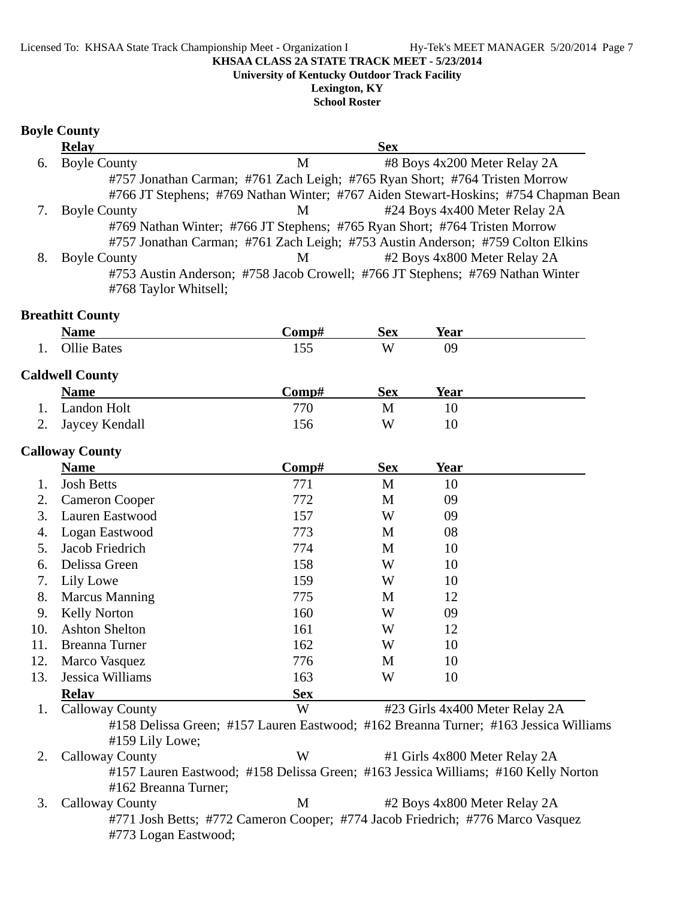#### Licensed To: KHSAA State Track Championship Meet - Organization I Hy-Tek's MEET MANAGER 5/20/2014 Page 7

**KHSAA CLASS 2A STATE TRACK MEET - 5/23/2014**

**University of Kentucky Outdoor Track Facility**

**Lexington, KY School Roster**

### **Boyle County**

|    | <b>Relay</b>          |   | <b>Sex</b>                                                                          |  |
|----|-----------------------|---|-------------------------------------------------------------------------------------|--|
| 6. | <b>Boyle County</b>   | М | #8 Boys 4x200 Meter Relay 2A                                                        |  |
|    |                       |   | #757 Jonathan Carman; #761 Zach Leigh; #765 Ryan Short; #764 Tristen Morrow         |  |
|    |                       |   | #766 JT Stephens; #769 Nathan Winter; #767 Aiden Stewart-Hoskins; #754 Chapman Bean |  |
|    | <b>Boyle County</b>   | M | #24 Boys 4x400 Meter Relay 2A                                                       |  |
|    |                       |   | #769 Nathan Winter; #766 JT Stephens; #765 Ryan Short; #764 Tristen Morrow          |  |
|    |                       |   | #757 Jonathan Carman; #761 Zach Leigh; #753 Austin Anderson; #759 Colton Elkins     |  |
| 8. | <b>Boyle County</b>   | M | #2 Boys 4x800 Meter Relay 2A                                                        |  |
|    |                       |   | #753 Austin Anderson; #758 Jacob Crowell; #766 JT Stephens; #769 Nathan Winter      |  |
|    | #768 Taylor Whitsell; |   |                                                                                     |  |

### **Breathitt County**

|     | <b>Name</b>        | <b>€omp</b>          | Sex | <b>Year</b> |  |
|-----|--------------------|----------------------|-----|-------------|--|
| . . | <b>Ollie Bates</b> | $\sim$ $\sim$<br>⊥ຸບ | W   | 09          |  |

### **Caldwell County**

| <b>Name</b>       | Comp# | <b>Sex</b> | Year |  |
|-------------------|-------|------------|------|--|
| 1. Landon Holt    | 770   |            |      |  |
| 2. Jaycey Kendall | 156   | W          |      |  |

### **Calloway County**

|     | <b>Name</b>           | Comp#      | <b>Sex</b> | <b>Year</b>                                           |                  |
|-----|-----------------------|------------|------------|-------------------------------------------------------|------------------|
|     | <b>Josh Betts</b>     | 771        | M          | 10                                                    |                  |
| 2.  | <b>Cameron Cooper</b> | 772        | M          | 09                                                    |                  |
| 3.  | Lauren Eastwood       | 157        | W          | 09                                                    |                  |
| 4.  | Logan Eastwood        | 773        | M          | 08                                                    |                  |
| 5.  | Jacob Friedrich       | 774        | M          | 10                                                    |                  |
| 6.  | Delissa Green         | 158        | W          | 10                                                    |                  |
| 7.  | Lily Lowe             | 159        | W          | 10                                                    |                  |
| 8.  | <b>Marcus Manning</b> | 775        | M          | 12                                                    |                  |
| 9.  | <b>Kelly Norton</b>   | 160        | W          | 09                                                    |                  |
| 10. | <b>Ashton Shelton</b> | 161        | W          | 12                                                    |                  |
| 11. | <b>Breanna Turner</b> | 162        | W          | 10                                                    |                  |
| 12. | Marco Vasquez         | 776        | M          | 10                                                    |                  |
| 13. | Jessica Williams      | 163        | W          | 10                                                    |                  |
|     | <b>Relay</b>          | <b>Sex</b> |            |                                                       |                  |
|     | $\sim$ 11<br>$\sim$   | <b>TTT</b> |            | $\frac{1000}{100}$ $\frac{11}{100}$ $\frac{100}{100}$ | $\sim$ $\lambda$ |

1. Calloway County W #23 Girls 4x400 Meter Relay 2A #158 Delissa Green; #157 Lauren Eastwood; #162 Breanna Turner; #163 Jessica Williams #159 Lily Lowe;

2. Calloway County W #1 Girls 4x800 Meter Relay 2A #157 Lauren Eastwood; #158 Delissa Green; #163 Jessica Williams; #160 Kelly Norton #162 Breanna Turner;

3. Calloway County 1. M +2 Boys 4x800 Meter Relay 2A #771 Josh Betts; #772 Cameron Cooper; #774 Jacob Friedrich; #776 Marco Vasquez #773 Logan Eastwood;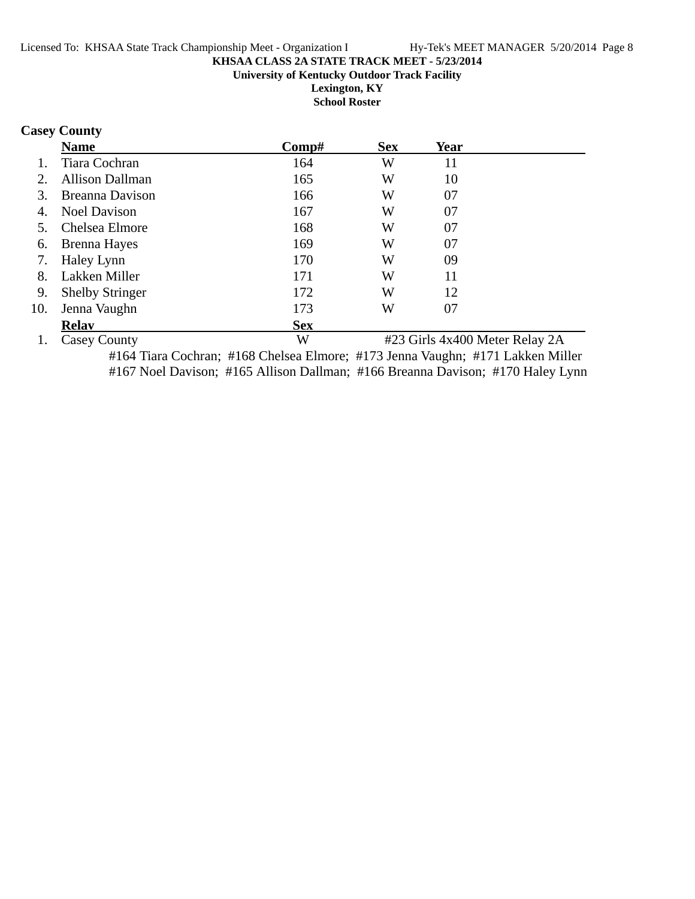**School Roster**

## **Casey County**

|     | <b>Name</b>            | Comp#      | <b>Sex</b> | Year                           |  |
|-----|------------------------|------------|------------|--------------------------------|--|
|     | Tiara Cochran          | 164        | W          | 11                             |  |
|     | <b>Allison Dallman</b> | 165        | W          | 10                             |  |
| 3.  | Breanna Davison        | 166        | W          | 07                             |  |
| 4.  | <b>Noel Davison</b>    | 167        | W          | 07                             |  |
|     | Chelsea Elmore         | 168        | W          | 07                             |  |
| 6.  | Brenna Hayes           | 169        | W          | 07                             |  |
| 7.  | Haley Lynn             | 170        | W          | 09                             |  |
| 8.  | Lakken Miller          | 171        | W          | 11                             |  |
| 9.  | <b>Shelby Stringer</b> | 172        | W          | 12                             |  |
| 10. | Jenna Vaughn           | 173        | W          | 07                             |  |
|     | <b>Relav</b>           | <b>Sex</b> |            |                                |  |
|     | Casey County           | W          |            | #23 Girls 4x400 Meter Relay 2A |  |

#164 Tiara Cochran; #168 Chelsea Elmore; #173 Jenna Vaughn; #171 Lakken Miller #167 Noel Davison; #165 Allison Dallman; #166 Breanna Davison; #170 Haley Lynn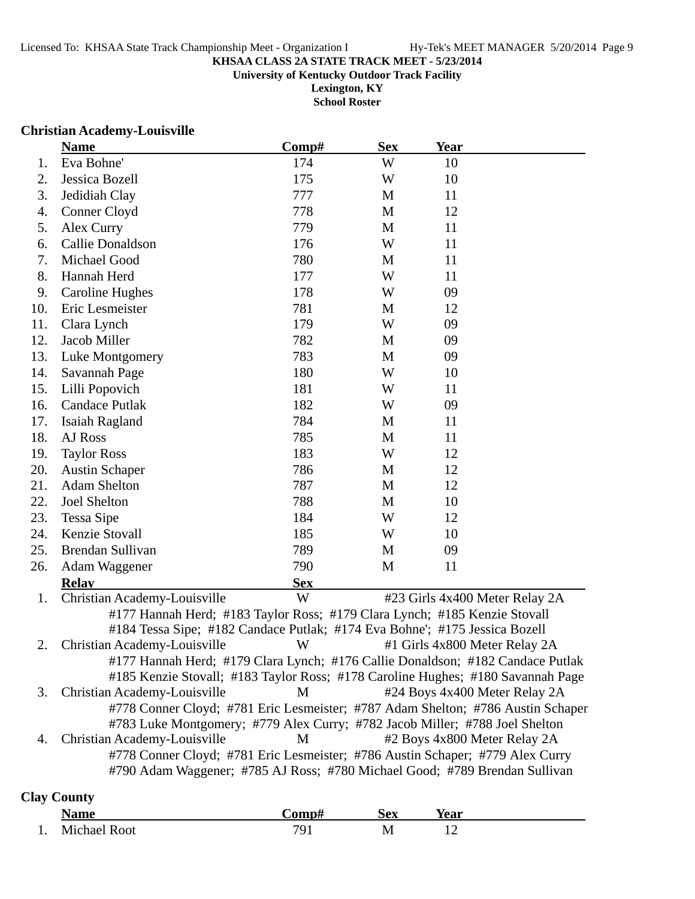**School Roster**

### **Christian Academy-Louisville**

|     | <b>Name</b>                                                                     | Comp#      | <b>Sex</b> | <u>Year</u> |                                |
|-----|---------------------------------------------------------------------------------|------------|------------|-------------|--------------------------------|
| 1.  | Eva Bohne'                                                                      | 174        | W          | 10          |                                |
| 2.  | Jessica Bozell                                                                  | 175        | W          | 10          |                                |
| 3.  | Jedidiah Clay                                                                   | 777        | M          | 11          |                                |
| 4.  | Conner Cloyd                                                                    | 778        | M          | 12          |                                |
| 5.  | Alex Curry                                                                      | 779        | M          | 11          |                                |
| 6.  | Callie Donaldson                                                                | 176        | W          | 11          |                                |
| 7.  | Michael Good                                                                    | 780        | M          | 11          |                                |
| 8.  | Hannah Herd                                                                     | 177        | W          | 11          |                                |
| 9.  | <b>Caroline Hughes</b>                                                          | 178        | W          | 09          |                                |
| 10. | Eric Lesmeister                                                                 | 781        | M          | 12          |                                |
| 11. | Clara Lynch                                                                     | 179        | W          | 09          |                                |
| 12. | Jacob Miller                                                                    | 782        | M          | 09          |                                |
| 13. | Luke Montgomery                                                                 | 783        | M          | 09          |                                |
| 14. | Savannah Page                                                                   | 180        | W          | 10          |                                |
| 15. | Lilli Popovich                                                                  | 181        | W          | 11          |                                |
| 16. | <b>Candace Putlak</b>                                                           | 182        | W          | 09          |                                |
| 17. | Isaiah Ragland                                                                  | 784        | M          | 11          |                                |
| 18. | AJ Ross                                                                         | 785        | M          | 11          |                                |
| 19. | <b>Taylor Ross</b>                                                              | 183        | W          | 12          |                                |
| 20. | <b>Austin Schaper</b>                                                           | 786        | M          | 12          |                                |
| 21. | <b>Adam Shelton</b>                                                             | 787        | M          | 12          |                                |
| 22. | Joel Shelton                                                                    | 788        | M          | 10          |                                |
| 23. | Tessa Sipe                                                                      | 184        | W          | 12          |                                |
| 24. | Kenzie Stovall                                                                  | 185        | W          | 10          |                                |
| 25. | Brendan Sullivan                                                                | 789        | M          | 09          |                                |
| 26. | Adam Waggener                                                                   | 790        | M          | 11          |                                |
|     | <b>Relay</b>                                                                    | <b>Sex</b> |            |             |                                |
| 1.  | Christian Academy-Louisville                                                    | W          |            |             | #23 Girls 4x400 Meter Relay 2A |
|     | #177 Hannah Herd; #183 Taylor Ross; #179 Clara Lynch; #185 Kenzie Stovall       |            |            |             |                                |
|     | #184 Tessa Sipe; #182 Candace Putlak; #174 Eva Bohne'; #175 Jessica Bozell      |            |            |             |                                |
| 2.  | Christian Academy-Louisville                                                    | W          |            |             | #1 Girls 4x800 Meter Relay 2A  |
|     | #177 Hannah Herd; #179 Clara Lynch; #176 Callie Donaldson; #182 Candace Putlak  |            |            |             |                                |
|     | #185 Kenzie Stovall; #183 Taylor Ross; #178 Caroline Hughes; #180 Savannah Page |            |            |             |                                |
| 3.  | Christian Academy-Louisville                                                    | M          |            |             | #24 Boys 4x400 Meter Relay 2A  |
|     | #778 Conner Cloyd; #781 Eric Lesmeister; #787 Adam Shelton; #786 Austin Schaper |            |            |             |                                |
|     | #783 Luke Montgomery; #779 Alex Curry; #782 Jacob Miller; #788 Joel Shelton     |            |            |             |                                |
| 4.  | Christian Academy-Louisville                                                    | M          |            |             | #2 Boys 4x800 Meter Relay 2A   |
|     | #778 Conner Cloyd; #781 Eric Lesmeister; #786 Austin Schaper; #779 Alex Curry   |            |            |             |                                |
|     | #790 Adam Waggener; #785 AJ Ross; #780 Michael Good; #789 Brendan Sullivan      |            |            |             |                                |
|     |                                                                                 |            |            |             |                                |

## **Clay County**

|     | <b>Name</b>         | `omp#<br>Cv. | Sex | Vear |
|-----|---------------------|--------------|-----|------|
| . . | <b>Michael Root</b> | 7Ο′          | M   |      |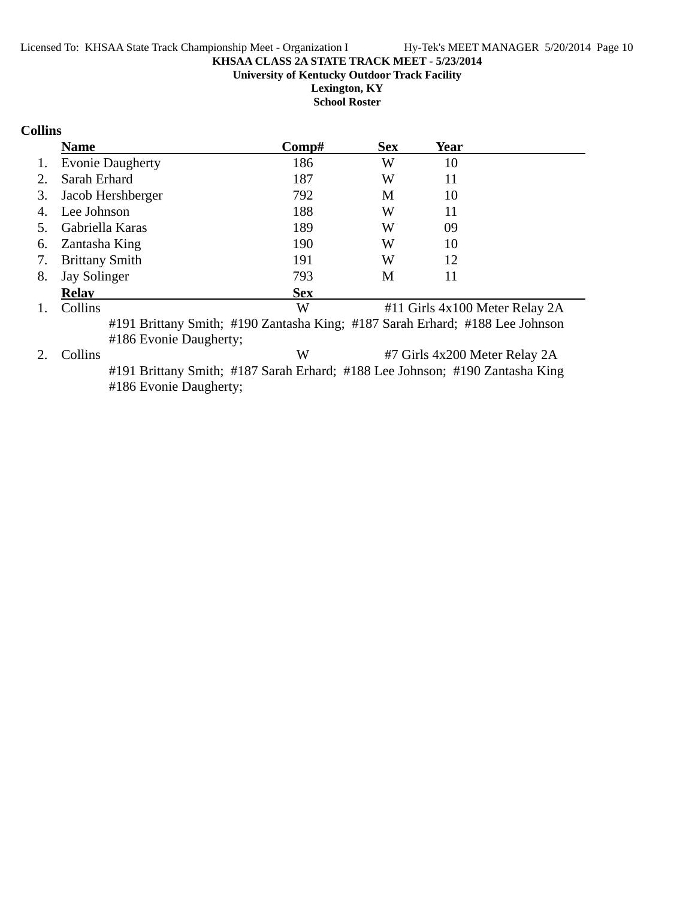**Lexington, KY School Roster**

## **Collins**

|                | <b>Name</b>                                                                                                                                                                                                                                                                                               | Comp#      | <b>Sex</b> | Year                          |                                |
|----------------|-----------------------------------------------------------------------------------------------------------------------------------------------------------------------------------------------------------------------------------------------------------------------------------------------------------|------------|------------|-------------------------------|--------------------------------|
| 1.             | <b>Evonie Daugherty</b>                                                                                                                                                                                                                                                                                   | 186        | W          | 10                            |                                |
| 2.             | Sarah Erhard                                                                                                                                                                                                                                                                                              | 187        | W          | 11                            |                                |
| 3.             | Jacob Hershberger                                                                                                                                                                                                                                                                                         | 792        | M          | 10                            |                                |
| 4.             | Lee Johnson                                                                                                                                                                                                                                                                                               | 188        | W          | 11                            |                                |
| 5.             | Gabriella Karas                                                                                                                                                                                                                                                                                           | 189        | W          | 09                            |                                |
| 6.             | Zantasha King                                                                                                                                                                                                                                                                                             | 190        | W          | 10                            |                                |
| 7.             | <b>Brittany Smith</b>                                                                                                                                                                                                                                                                                     | 191        | W          | 12                            |                                |
| 8.             | Jay Solinger                                                                                                                                                                                                                                                                                              | 793        | M          | 11                            |                                |
|                | <b>Relay</b>                                                                                                                                                                                                                                                                                              | <b>Sex</b> |            |                               |                                |
| $\mathbf{1}$ . | Collins                                                                                                                                                                                                                                                                                                   | W          |            |                               | #11 Girls 4x100 Meter Relay 2A |
|                | #191 Brittany Smith; #190 Zantasha King; #187 Sarah Erhard; #188 Lee Johnson                                                                                                                                                                                                                              |            |            |                               |                                |
|                | #186 Evonie Daugherty;                                                                                                                                                                                                                                                                                    |            |            |                               |                                |
| 2.             | Collins                                                                                                                                                                                                                                                                                                   | W          |            | #7 Girls 4x200 Meter Relay 2A |                                |
|                | $\frac{1}{100}$ $\frac{1}{100}$ $\frac{1}{100}$ $\frac{1}{100}$ $\frac{1}{100}$ $\frac{1}{100}$ $\frac{1}{100}$ $\frac{1}{100}$ $\frac{1}{100}$ $\frac{1}{100}$ $\frac{1}{100}$ $\frac{1}{100}$ $\frac{1}{100}$ $\frac{1}{100}$ $\frac{1}{100}$ $\frac{1}{100}$ $\frac{1}{100}$ $\frac{1}{100}$ $\frac{1$ |            |            |                               |                                |

#191 Brittany Smith; #187 Sarah Erhard; #188 Lee Johnson; #190 Zantasha King #186 Evonie Daugherty;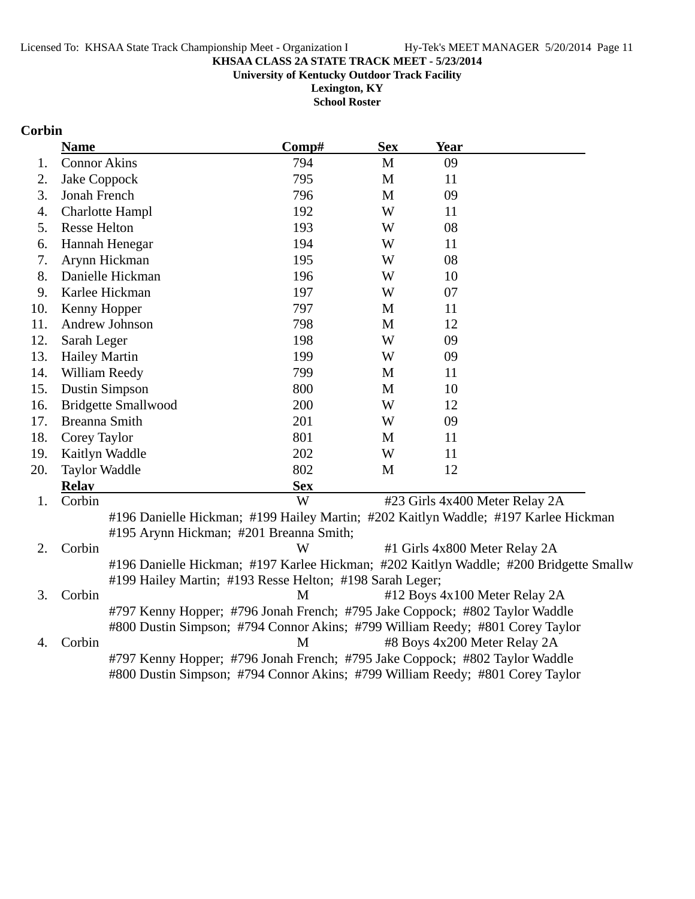**University of Kentucky Outdoor Track Facility**

**Lexington, KY School Roster**

## **Corbin**

|     | <b>Name</b>                                                                         | Comp#      | <b>Sex</b>  | Year                           |                                                                                        |
|-----|-------------------------------------------------------------------------------------|------------|-------------|--------------------------------|----------------------------------------------------------------------------------------|
| 1.  | <b>Connor Akins</b>                                                                 | 794        | M           | 09                             |                                                                                        |
| 2.  | Jake Coppock                                                                        | 795        | $\mathbf M$ | 11                             |                                                                                        |
| 3.  | Jonah French                                                                        | 796        | M           | 09                             |                                                                                        |
| 4.  | <b>Charlotte Hampl</b>                                                              | 192        | W           | 11                             |                                                                                        |
| 5.  | <b>Resse Helton</b>                                                                 | 193        | W           | 08                             |                                                                                        |
| 6.  | Hannah Henegar                                                                      | 194        | W           | 11                             |                                                                                        |
| 7.  | Arynn Hickman                                                                       | 195        | W           | 08                             |                                                                                        |
| 8.  | Danielle Hickman                                                                    | 196        | W           | 10                             |                                                                                        |
| 9.  | Karlee Hickman                                                                      | 197        | W           | 07                             |                                                                                        |
| 10. | Kenny Hopper                                                                        | 797        | M           | 11                             |                                                                                        |
| 11. | Andrew Johnson                                                                      | 798        | M           | 12                             |                                                                                        |
| 12. | Sarah Leger                                                                         | 198        | W           | 09                             |                                                                                        |
| 13. | <b>Hailey Martin</b>                                                                | 199        | W           | 09                             |                                                                                        |
| 14. | William Reedy                                                                       | 799        | M           | 11                             |                                                                                        |
| 15. | <b>Dustin Simpson</b>                                                               | 800        | M           | 10                             |                                                                                        |
| 16. | <b>Bridgette Smallwood</b>                                                          | 200        | W           | 12                             |                                                                                        |
| 17. | Breanna Smith                                                                       | 201        | W           | 09                             |                                                                                        |
| 18. | Corey Taylor                                                                        | 801        | M           | 11                             |                                                                                        |
| 19. | Kaitlyn Waddle                                                                      | 202        | W           | 11                             |                                                                                        |
| 20. | <b>Taylor Waddle</b>                                                                | 802        | M           | 12                             |                                                                                        |
|     | <b>Relay</b>                                                                        | <b>Sex</b> |             |                                |                                                                                        |
| 1.  | Corbin                                                                              | W          |             | #23 Girls 4x400 Meter Relay 2A |                                                                                        |
|     | #196 Danielle Hickman; #199 Hailey Martin; #202 Kaitlyn Waddle; #197 Karlee Hickman |            |             |                                |                                                                                        |
|     | #195 Arynn Hickman; #201 Breanna Smith;                                             |            |             |                                |                                                                                        |
| 2.  | Corbin                                                                              | W          |             | #1 Girls 4x800 Meter Relay 2A  |                                                                                        |
|     |                                                                                     |            |             |                                | #196 Danielle Hickman; #197 Karlee Hickman; #202 Kaitlyn Waddle; #200 Bridgette Smallw |
|     | #199 Hailey Martin; #193 Resse Helton; #198 Sarah Leger;                            |            |             |                                |                                                                                        |
| 3.  | Corbin                                                                              | M          |             | #12 Boys 4x100 Meter Relay 2A  |                                                                                        |
|     | #797 Kenny Hopper; #796 Jonah French; #795 Jake Coppock; #802 Taylor Waddle         |            |             |                                |                                                                                        |
|     | #800 Dustin Simpson; #794 Connor Akins; #799 William Reedy; #801 Corey Taylor       |            |             |                                |                                                                                        |
| 4.  | Corbin                                                                              | M          |             | #8 Boys 4x200 Meter Relay 2A   |                                                                                        |
|     | #797 Kenny Hopper; #796 Jonah French; #795 Jake Coppock; #802 Taylor Waddle         |            |             |                                |                                                                                        |
|     | #800 Dustin Simpson; #794 Connor Akins; #799 William Reedy; #801 Corey Taylor       |            |             |                                |                                                                                        |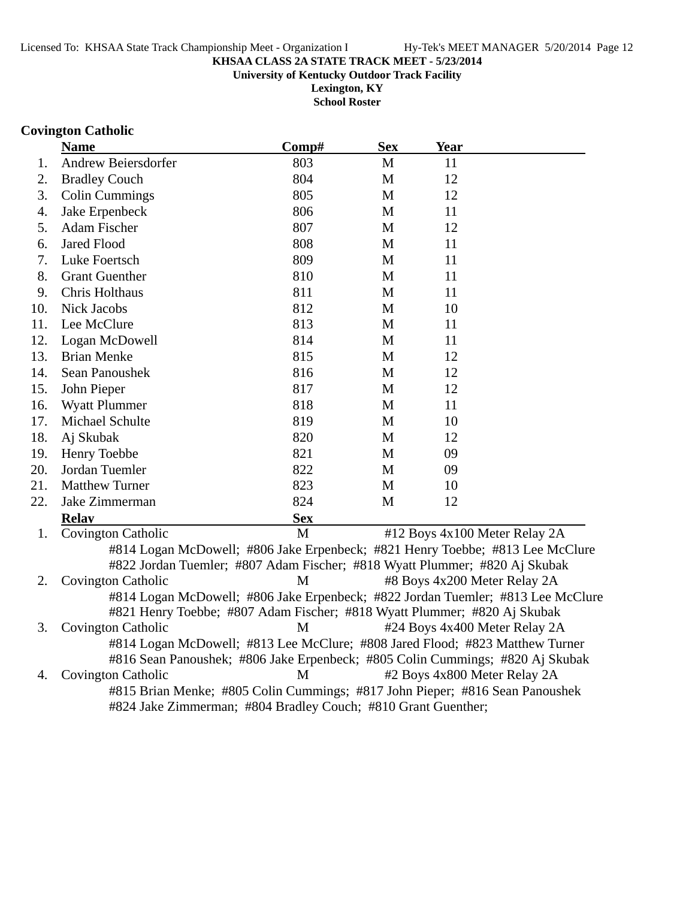**University of Kentucky Outdoor Track Facility**

**Lexington, KY School Roster**

### **Covington Catholic**

|     | <b>Name</b>               | Comp#                                                                                                                                                       | <b>Sex</b> | <u>Year</u>                   |                               |
|-----|---------------------------|-------------------------------------------------------------------------------------------------------------------------------------------------------------|------------|-------------------------------|-------------------------------|
| 1.  | Andrew Beiersdorfer       | 803                                                                                                                                                         | M          | 11                            |                               |
| 2.  | <b>Bradley Couch</b>      | 804                                                                                                                                                         | M          | 12                            |                               |
| 3.  | <b>Colin Cummings</b>     | 805                                                                                                                                                         | M          | 12                            |                               |
| 4.  | Jake Erpenbeck            | 806                                                                                                                                                         | M          | 11                            |                               |
| 5.  | Adam Fischer              | 807                                                                                                                                                         | M          | 12                            |                               |
| 6.  | <b>Jared Flood</b>        | 808                                                                                                                                                         | M          | 11                            |                               |
| 7.  | Luke Foertsch             | 809                                                                                                                                                         | M          | 11                            |                               |
| 8.  | <b>Grant Guenther</b>     | 810                                                                                                                                                         | M          | 11                            |                               |
| 9.  | Chris Holthaus            | 811                                                                                                                                                         | M          | 11                            |                               |
| 10. | Nick Jacobs               | 812                                                                                                                                                         | M          | 10                            |                               |
| 11. | Lee McClure               | 813                                                                                                                                                         | M          | 11                            |                               |
| 12. | Logan McDowell            | 814                                                                                                                                                         | M          | 11                            |                               |
| 13. | <b>Brian Menke</b>        | 815                                                                                                                                                         | M          | 12                            |                               |
| 14. | Sean Panoushek            | 816                                                                                                                                                         | M          | 12                            |                               |
| 15. | John Pieper               | 817                                                                                                                                                         | M          | 12                            |                               |
| 16. | <b>Wyatt Plummer</b>      | 818                                                                                                                                                         | M          | 11                            |                               |
| 17. | Michael Schulte           | 819                                                                                                                                                         | M          | 10                            |                               |
| 18. | Aj Skubak                 | 820                                                                                                                                                         | M          | 12                            |                               |
| 19. | Henry Toebbe              | 821                                                                                                                                                         | M          | 09                            |                               |
| 20. | Jordan Tuemler            | 822                                                                                                                                                         | M          | 09                            |                               |
| 21. | <b>Matthew Turner</b>     | 823                                                                                                                                                         | M          | 10                            |                               |
| 22. | Jake Zimmerman            | 824                                                                                                                                                         | M          | 12                            |                               |
|     | <b>Relav</b>              | <b>Sex</b>                                                                                                                                                  |            |                               |                               |
| 1.  | <b>Covington Catholic</b> | M                                                                                                                                                           |            | #12 Boys 4x100 Meter Relay 2A |                               |
|     |                           | #814 Logan McDowell; #806 Jake Erpenbeck; #821 Henry Toebbe; #813 Lee McClure<br>#822 Jordan Tuemler; #807 Adam Fischer; #818 Wyatt Plummer; #820 Aj Skubak |            |                               |                               |
| 2.  | <b>Covington Catholic</b> | M                                                                                                                                                           |            | #8 Boys 4x200 Meter Relay 2A  |                               |
|     |                           | #814 Logan McDowell; #806 Jake Erpenbeck; #822 Jordan Tuemler; #813 Lee McClure<br>#821 Henry Toebbe; #807 Adam Fischer; #818 Wyatt Plummer; #820 Aj Skubak |            |                               |                               |
| 3.  |                           |                                                                                                                                                             |            |                               |                               |
|     | <b>Covington Catholic</b> | M                                                                                                                                                           |            |                               | #24 Boys 4x400 Meter Relay 2A |

#816 Sean Panoushek; #806 Jake Erpenbeck; #805 Colin Cummings; #820 Aj Skubak 4. Covington Catholic M #2 Boys 4x800 Meter Relay 2A #815 Brian Menke; #805 Colin Cummings; #817 John Pieper; #816 Sean Panoushek

#824 Jake Zimmerman; #804 Bradley Couch; #810 Grant Guenther;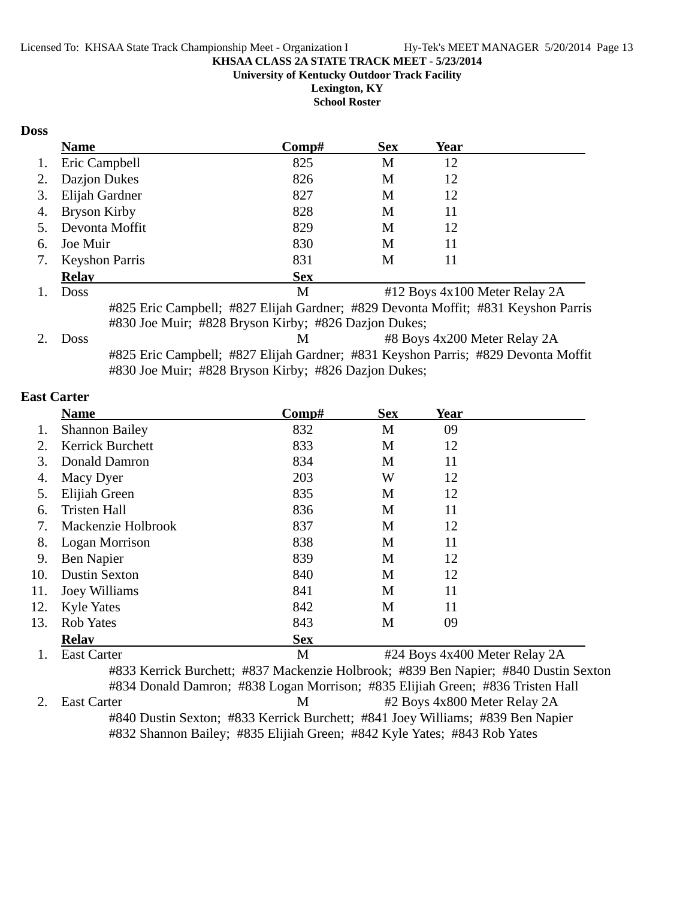**University of Kentucky Outdoor Track Facility**

**Lexington, KY School Roster**

## **Doss**

|    | <b>Name</b>           | Comp#                                                                             | <b>Sex</b> | <b>Year</b>                  |                               |
|----|-----------------------|-----------------------------------------------------------------------------------|------------|------------------------------|-------------------------------|
| 1. | Eric Campbell         | 825                                                                               | M          | 12                           |                               |
| 2. | Dazjon Dukes          | 826                                                                               | M          | 12                           |                               |
| 3. | Elijah Gardner        | 827                                                                               | M          | 12                           |                               |
| 4. | Bryson Kirby          | 828                                                                               | M          | 11                           |                               |
| 5. | Devonta Moffit        | 829                                                                               | M          | 12                           |                               |
| 6. | Joe Muir              | 830                                                                               | M          | 11                           |                               |
| 7. | <b>Keyshon Parris</b> | 831                                                                               | M          | 11                           |                               |
|    | <b>Relay</b>          | <b>Sex</b>                                                                        |            |                              |                               |
|    | <b>Doss</b>           | M                                                                                 |            |                              | #12 Boys 4x100 Meter Relay 2A |
|    |                       | #825 Eric Campbell; #827 Elijah Gardner; #829 Devonta Moffit; #831 Keyshon Parris |            |                              |                               |
|    |                       | #830 Joe Muir; #828 Bryson Kirby; #826 Dazjon Dukes;                              |            |                              |                               |
|    | <b>Doss</b>           | M                                                                                 |            | #8 Boys 4x200 Meter Relay 2A |                               |
|    |                       | #825 Eric Campbell; #827 Elijah Gardner; #831 Keyshon Parris; #829 Devonta Moffit |            |                              |                               |
|    |                       | #830 Joe Muir; #828 Bryson Kirby; #826 Dazjon Dukes;                              |            |                              |                               |

### **East Carter**

|     | <b>Name</b>           | Comp#                                                                               | <b>Sex</b>                    | Year |  |
|-----|-----------------------|-------------------------------------------------------------------------------------|-------------------------------|------|--|
| 1.  | <b>Shannon Bailey</b> | 832                                                                                 | M                             | 09   |  |
| 2.  | Kerrick Burchett      | 833                                                                                 | M                             | 12   |  |
| 3.  | Donald Damron         | 834                                                                                 | M                             | 11   |  |
| 4.  | Macy Dyer             | 203                                                                                 | W                             | 12   |  |
| 5.  | Elijiah Green         | 835                                                                                 | M                             | 12   |  |
| 6.  | <b>Tristen Hall</b>   | 836                                                                                 | M                             | 11   |  |
| 7.  | Mackenzie Holbrook    | 837                                                                                 | M                             | 12   |  |
| 8.  | Logan Morrison        | 838                                                                                 | M                             | 11   |  |
| 9.  | Ben Napier            | 839                                                                                 | M                             | 12   |  |
| 10. | <b>Dustin Sexton</b>  | 840                                                                                 | M                             | 12   |  |
| 11. | Joey Williams         | 841                                                                                 | M                             | 11   |  |
| 12. | <b>Kyle Yates</b>     | 842                                                                                 | M                             | 11   |  |
| 13. | <b>Rob Yates</b>      | 843                                                                                 | M                             | 09   |  |
|     | <b>Relay</b>          | <b>Sex</b>                                                                          |                               |      |  |
|     | <b>East Carter</b>    | M                                                                                   | #24 Boys 4x400 Meter Relay 2A |      |  |
|     |                       | #833 Kerrick Burchett; #837 Mackenzie Holbrook; #839 Ben Napier; #840 Dustin Sexton |                               |      |  |

#834 Donald Damron; #838 Logan Morrison; #835 Elijiah Green; #836 Tristen Hall 2. East Carter M  $\#2$  Boys 4x800 Meter Relay 2A #840 Dustin Sexton; #833 Kerrick Burchett; #841 Joey Williams; #839 Ben Napier #832 Shannon Bailey; #835 Elijiah Green; #842 Kyle Yates; #843 Rob Yates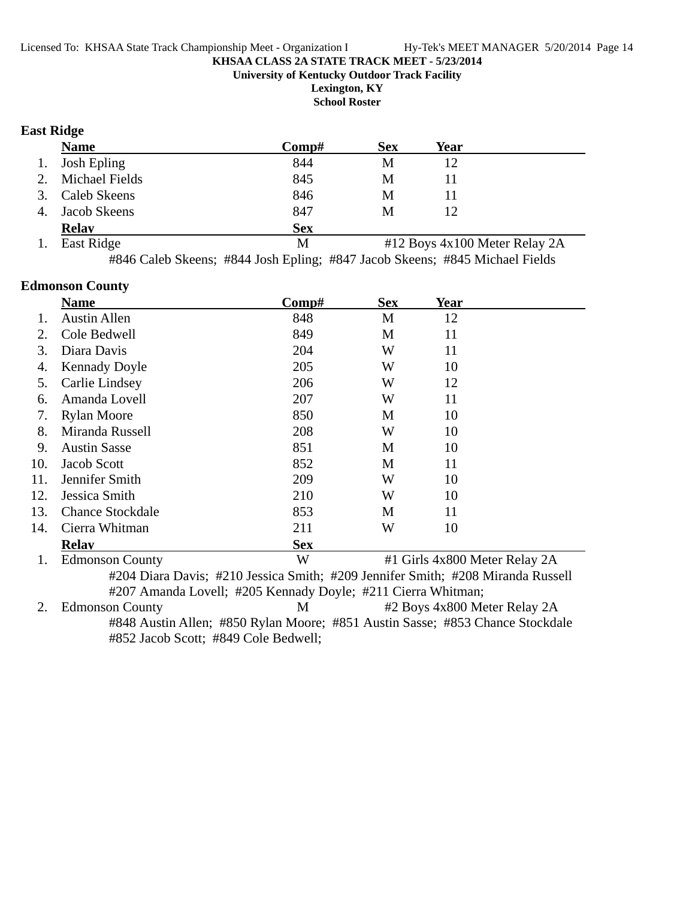**University of Kentucky Outdoor Track Facility**

**Lexington, KY**

**School Roster**

## **East Ridge**

|    | <b>Name</b>         | Comp#      | <b>Sex</b> | Year                          |  |
|----|---------------------|------------|------------|-------------------------------|--|
| 1. | <b>Josh Epling</b>  | 844        | M          | 12                            |  |
| 2. | Michael Fields      | 845        | М          | 11                            |  |
| 3. | <b>Caleb Skeens</b> | 846        | M          | 11                            |  |
| 4. | Jacob Skeens        | 847        | M          | 12                            |  |
|    | <b>Relay</b>        | <b>Sex</b> |            |                               |  |
| 1. | East Ridge          | М          |            | #12 Boys 4x100 Meter Relay 2A |  |
|    |                     |            |            |                               |  |

#846 Caleb Skeens; #844 Josh Epling; #847 Jacob Skeens; #845 Michael Fields

### **Edmonson County**

|     | <b>Name</b>             | Comp#      | <b>Sex</b> | <b>Year</b>                   |  |
|-----|-------------------------|------------|------------|-------------------------------|--|
| 1.  | <b>Austin Allen</b>     | 848        | M          | 12                            |  |
| 2.  | Cole Bedwell            | 849        | M          | 11                            |  |
| 3.  | Diara Davis             | 204        | W          | 11                            |  |
| 4.  | <b>Kennady Doyle</b>    | 205        | W          | 10                            |  |
| 5.  | Carlie Lindsey          | 206        | W          | 12                            |  |
| 6.  | Amanda Lovell           | 207        | W          | 11                            |  |
| 7.  | <b>Rylan Moore</b>      | 850        | M          | 10                            |  |
| 8.  | Miranda Russell         | 208        | W          | 10                            |  |
| 9.  | <b>Austin Sasse</b>     | 851        | M          | 10                            |  |
| 10. | Jacob Scott             | 852        | M          | 11                            |  |
| 11. | Jennifer Smith          | 209        | W          | 10                            |  |
| 12. | Jessica Smith           | 210        | W          | 10                            |  |
| 13. | <b>Chance Stockdale</b> | 853        | M          | 11                            |  |
| 14. | Cierra Whitman          | 211        | W          | 10                            |  |
|     | <b>Relav</b>            | <b>Sex</b> |            |                               |  |
| 1.  | <b>Edmonson County</b>  | W          |            | #1 Girls 4x800 Meter Relay 2A |  |

#204 Diara Davis; #210 Jessica Smith; #209 Jennifer Smith; #208 Miranda Russell #207 Amanda Lovell; #205 Kennady Doyle; #211 Cierra Whitman;

2. Edmonson County M #2 Boys 4x800 Meter Relay 2A #848 Austin Allen; #850 Rylan Moore; #851 Austin Sasse; #853 Chance Stockdale #852 Jacob Scott; #849 Cole Bedwell;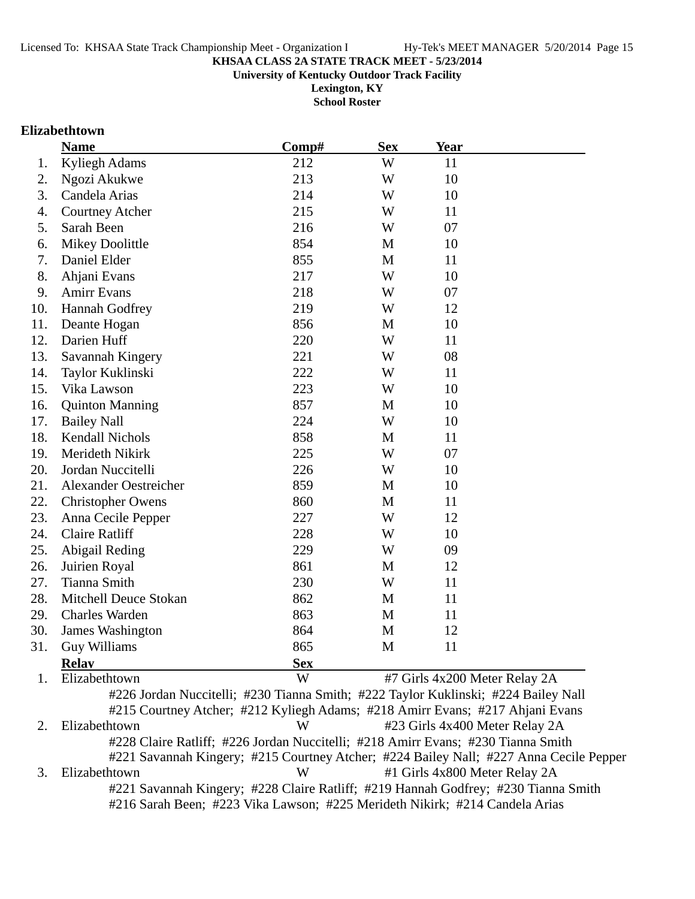**University of Kentucky Outdoor Track Facility**

**Lexington, KY School Roster**

### **Elizabethtown**

|     | <b>Name</b>                  | Comp#      | <b>Sex</b> | <b>Year</b>                   |  |
|-----|------------------------------|------------|------------|-------------------------------|--|
| 1.  | Kyliegh Adams                | 212        | W          | 11                            |  |
| 2.  | Ngozi Akukwe                 | 213        | W          | 10                            |  |
| 3.  | Candela Arias                | 214        | W          | 10                            |  |
| 4.  | <b>Courtney Atcher</b>       | 215        | W          | 11                            |  |
| 5.  | Sarah Been                   | 216        | W          | 07                            |  |
| 6.  | <b>Mikey Doolittle</b>       | 854        | M          | 10                            |  |
| 7.  | Daniel Elder                 | 855        | M          | 11                            |  |
| 8.  | Ahjani Evans                 | 217        | W          | 10                            |  |
| 9.  | <b>Amirr Evans</b>           | 218        | W          | 07                            |  |
| 10. | Hannah Godfrey               | 219        | W          | 12                            |  |
| 11. | Deante Hogan                 | 856        | M          | 10                            |  |
| 12. | Darien Huff                  | 220        | W          | 11                            |  |
| 13. | Savannah Kingery             | 221        | W          | 08                            |  |
| 14. | Taylor Kuklinski             | 222        | W          | 11                            |  |
| 15. | Vika Lawson                  | 223        | W          | 10                            |  |
| 16. | <b>Quinton Manning</b>       | 857        | M          | 10                            |  |
| 17. | <b>Bailey Nall</b>           | 224        | W          | 10                            |  |
| 18. | <b>Kendall Nichols</b>       | 858        | M          | 11                            |  |
| 19. | Merideth Nikirk              | 225        | W          | 07                            |  |
| 20. | Jordan Nuccitelli            | 226        | W          | 10                            |  |
| 21. | <b>Alexander Oestreicher</b> | 859        | M          | 10                            |  |
| 22. | <b>Christopher Owens</b>     | 860        | M          | 11                            |  |
| 23. | Anna Cecile Pepper           | 227        | W          | 12                            |  |
| 24. | <b>Claire Ratliff</b>        | 228        | W          | 10                            |  |
| 25. | Abigail Reding               | 229        | W          | 09                            |  |
| 26. | Juirien Royal                | 861        | M          | 12                            |  |
| 27. | <b>Tianna Smith</b>          | 230        | W          | 11                            |  |
| 28. | Mitchell Deuce Stokan        | 862        | M          | 11                            |  |
| 29. | <b>Charles Warden</b>        | 863        | M          | 11                            |  |
| 30. | James Washington             | 864        | M          | 12                            |  |
| 31. | <b>Guy Williams</b>          | 865        | M          | 11                            |  |
|     | <b>Relay</b>                 | <b>Sex</b> |            |                               |  |
| 1.  | Elizabethtown                | W          |            | #7 Girls 4x200 Meter Relay 2A |  |

#226 Jordan Nuccitelli; #230 Tianna Smith; #222 Taylor Kuklinski; #224 Bailey Nall #215 Courtney Atcher; #212 Kyliegh Adams; #218 Amirr Evans; #217 Ahjani Evans 2. Elizabethtown W #23 Girls 4x400 Meter Relay 2A #228 Claire Ratliff; #226 Jordan Nuccitelli; #218 Amirr Evans; #230 Tianna Smith #221 Savannah Kingery; #215 Courtney Atcher; #224 Bailey Nall; #227 Anna Cecile Pepper 3. Elizabethtown W #1 Girls 4x800 Meter Relay 2A #221 Savannah Kingery; #228 Claire Ratliff; #219 Hannah Godfrey; #230 Tianna Smith #216 Sarah Been; #223 Vika Lawson; #225 Merideth Nikirk; #214 Candela Arias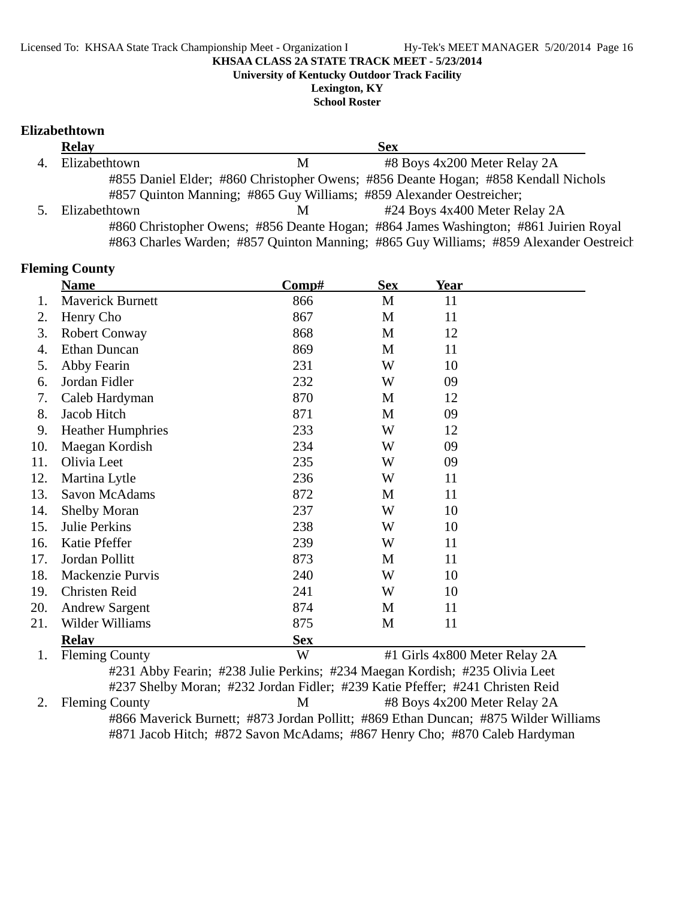**University of Kentucky Outdoor Track Facility**

**Lexington, KY School Roster**

**Elizabethtown**

| <b>Relay</b>  |   | <b>Sex</b>                                                                             |  |
|---------------|---|----------------------------------------------------------------------------------------|--|
| Elizabethtown | M | #8 Boys 4x200 Meter Relay 2A                                                           |  |
|               |   | #855 Daniel Elder; #860 Christopher Owens; #856 Deante Hogan; #858 Kendall Nichols     |  |
|               |   | #857 Quinton Manning; #865 Guy Williams; #859 Alexander Oestreicher;                   |  |
| Elizabethtown | M | #24 Boys 4x400 Meter Relay 2A                                                          |  |
|               |   | #860 Christopher Owens; #856 Deante Hogan; #864 James Washington; #861 Juirien Royal   |  |
|               |   | #863 Charles Warden; #857 Quinton Manning; #865 Guy Williams; #859 Alexander Oestreich |  |

| <b>Sex</b><br>Comp#<br>Year<br><b>Name</b><br><b>Maverick Burnett</b><br>866<br>M<br>11<br>1.<br>Henry Cho<br>867<br>11<br>M<br>2.<br>3.<br>868<br>12<br>Robert Conway<br>M<br><b>Ethan Duncan</b><br>869<br>11<br>M<br>4.<br>231<br>W<br>10<br>5.<br>Abby Fearin<br>Jordan Fidler<br>232<br>W<br>09<br>6.<br>Caleb Hardyman<br>870<br>12<br>7.<br>M<br>8.<br>Jacob Hitch<br>871<br>09<br>M<br><b>Heather Humphries</b><br>233<br>W<br>9.<br>12<br>09<br>234<br>10.<br>Maegan Kordish<br>W<br>Olivia Leet<br>11.<br>235<br>09<br>W<br>Martina Lytle<br>236<br>12.<br>W<br>11<br>13.<br>872<br>11<br>Savon McAdams<br>M<br>14.<br><b>Shelby Moran</b><br>237<br>W<br>10<br>15.<br>238<br>10<br>Julie Perkins<br>W<br>Katie Pfeffer<br>239<br>16.<br>W<br>11<br>17.<br>Jordan Pollitt<br>873<br>11<br>M<br>240<br>18.<br>Mackenzie Purvis<br>W<br>10<br><b>Christen Reid</b><br>241<br>10<br>19.<br>W<br>20.<br><b>Andrew Sargent</b><br>874<br>11<br>M<br>875<br>21.<br>Wilder Williams<br>M<br>11<br><b>Sex</b><br><b>Relav</b><br>W<br>#1 Girls 4x800 Meter Relay 2A<br><b>Fleming County</b><br>1.<br>#231 Abby Fearin; #238 Julie Perkins; #234 Maegan Kordish; #235 Olivia Leet<br>#237 Shelby Moran; #232 Jordan Fidler; #239 Katie Pfeffer; #241 Christen Reid<br>M<br>#8 Boys 4x200 Meter Relay 2A<br>2.<br><b>Fleming County</b> | <b>Fleming County</b> |  |  |
|------------------------------------------------------------------------------------------------------------------------------------------------------------------------------------------------------------------------------------------------------------------------------------------------------------------------------------------------------------------------------------------------------------------------------------------------------------------------------------------------------------------------------------------------------------------------------------------------------------------------------------------------------------------------------------------------------------------------------------------------------------------------------------------------------------------------------------------------------------------------------------------------------------------------------------------------------------------------------------------------------------------------------------------------------------------------------------------------------------------------------------------------------------------------------------------------------------------------------------------------------------------------------------------------------------------------------------------|-----------------------|--|--|
|                                                                                                                                                                                                                                                                                                                                                                                                                                                                                                                                                                                                                                                                                                                                                                                                                                                                                                                                                                                                                                                                                                                                                                                                                                                                                                                                          |                       |  |  |
|                                                                                                                                                                                                                                                                                                                                                                                                                                                                                                                                                                                                                                                                                                                                                                                                                                                                                                                                                                                                                                                                                                                                                                                                                                                                                                                                          |                       |  |  |
|                                                                                                                                                                                                                                                                                                                                                                                                                                                                                                                                                                                                                                                                                                                                                                                                                                                                                                                                                                                                                                                                                                                                                                                                                                                                                                                                          |                       |  |  |
|                                                                                                                                                                                                                                                                                                                                                                                                                                                                                                                                                                                                                                                                                                                                                                                                                                                                                                                                                                                                                                                                                                                                                                                                                                                                                                                                          |                       |  |  |
|                                                                                                                                                                                                                                                                                                                                                                                                                                                                                                                                                                                                                                                                                                                                                                                                                                                                                                                                                                                                                                                                                                                                                                                                                                                                                                                                          |                       |  |  |
|                                                                                                                                                                                                                                                                                                                                                                                                                                                                                                                                                                                                                                                                                                                                                                                                                                                                                                                                                                                                                                                                                                                                                                                                                                                                                                                                          |                       |  |  |
|                                                                                                                                                                                                                                                                                                                                                                                                                                                                                                                                                                                                                                                                                                                                                                                                                                                                                                                                                                                                                                                                                                                                                                                                                                                                                                                                          |                       |  |  |
|                                                                                                                                                                                                                                                                                                                                                                                                                                                                                                                                                                                                                                                                                                                                                                                                                                                                                                                                                                                                                                                                                                                                                                                                                                                                                                                                          |                       |  |  |
|                                                                                                                                                                                                                                                                                                                                                                                                                                                                                                                                                                                                                                                                                                                                                                                                                                                                                                                                                                                                                                                                                                                                                                                                                                                                                                                                          |                       |  |  |
|                                                                                                                                                                                                                                                                                                                                                                                                                                                                                                                                                                                                                                                                                                                                                                                                                                                                                                                                                                                                                                                                                                                                                                                                                                                                                                                                          |                       |  |  |
|                                                                                                                                                                                                                                                                                                                                                                                                                                                                                                                                                                                                                                                                                                                                                                                                                                                                                                                                                                                                                                                                                                                                                                                                                                                                                                                                          |                       |  |  |
|                                                                                                                                                                                                                                                                                                                                                                                                                                                                                                                                                                                                                                                                                                                                                                                                                                                                                                                                                                                                                                                                                                                                                                                                                                                                                                                                          |                       |  |  |
|                                                                                                                                                                                                                                                                                                                                                                                                                                                                                                                                                                                                                                                                                                                                                                                                                                                                                                                                                                                                                                                                                                                                                                                                                                                                                                                                          |                       |  |  |
|                                                                                                                                                                                                                                                                                                                                                                                                                                                                                                                                                                                                                                                                                                                                                                                                                                                                                                                                                                                                                                                                                                                                                                                                                                                                                                                                          |                       |  |  |
|                                                                                                                                                                                                                                                                                                                                                                                                                                                                                                                                                                                                                                                                                                                                                                                                                                                                                                                                                                                                                                                                                                                                                                                                                                                                                                                                          |                       |  |  |
|                                                                                                                                                                                                                                                                                                                                                                                                                                                                                                                                                                                                                                                                                                                                                                                                                                                                                                                                                                                                                                                                                                                                                                                                                                                                                                                                          |                       |  |  |
|                                                                                                                                                                                                                                                                                                                                                                                                                                                                                                                                                                                                                                                                                                                                                                                                                                                                                                                                                                                                                                                                                                                                                                                                                                                                                                                                          |                       |  |  |
|                                                                                                                                                                                                                                                                                                                                                                                                                                                                                                                                                                                                                                                                                                                                                                                                                                                                                                                                                                                                                                                                                                                                                                                                                                                                                                                                          |                       |  |  |
|                                                                                                                                                                                                                                                                                                                                                                                                                                                                                                                                                                                                                                                                                                                                                                                                                                                                                                                                                                                                                                                                                                                                                                                                                                                                                                                                          |                       |  |  |
|                                                                                                                                                                                                                                                                                                                                                                                                                                                                                                                                                                                                                                                                                                                                                                                                                                                                                                                                                                                                                                                                                                                                                                                                                                                                                                                                          |                       |  |  |
|                                                                                                                                                                                                                                                                                                                                                                                                                                                                                                                                                                                                                                                                                                                                                                                                                                                                                                                                                                                                                                                                                                                                                                                                                                                                                                                                          |                       |  |  |
|                                                                                                                                                                                                                                                                                                                                                                                                                                                                                                                                                                                                                                                                                                                                                                                                                                                                                                                                                                                                                                                                                                                                                                                                                                                                                                                                          |                       |  |  |
|                                                                                                                                                                                                                                                                                                                                                                                                                                                                                                                                                                                                                                                                                                                                                                                                                                                                                                                                                                                                                                                                                                                                                                                                                                                                                                                                          |                       |  |  |
|                                                                                                                                                                                                                                                                                                                                                                                                                                                                                                                                                                                                                                                                                                                                                                                                                                                                                                                                                                                                                                                                                                                                                                                                                                                                                                                                          |                       |  |  |
|                                                                                                                                                                                                                                                                                                                                                                                                                                                                                                                                                                                                                                                                                                                                                                                                                                                                                                                                                                                                                                                                                                                                                                                                                                                                                                                                          |                       |  |  |
|                                                                                                                                                                                                                                                                                                                                                                                                                                                                                                                                                                                                                                                                                                                                                                                                                                                                                                                                                                                                                                                                                                                                                                                                                                                                                                                                          |                       |  |  |
| #866 Maverick Burnett; #873 Jordan Pollitt; #869 Ethan Duncan; #875 Wilder Williams                                                                                                                                                                                                                                                                                                                                                                                                                                                                                                                                                                                                                                                                                                                                                                                                                                                                                                                                                                                                                                                                                                                                                                                                                                                      |                       |  |  |

#871 Jacob Hitch; #872 Savon McAdams; #867 Henry Cho; #870 Caleb Hardyman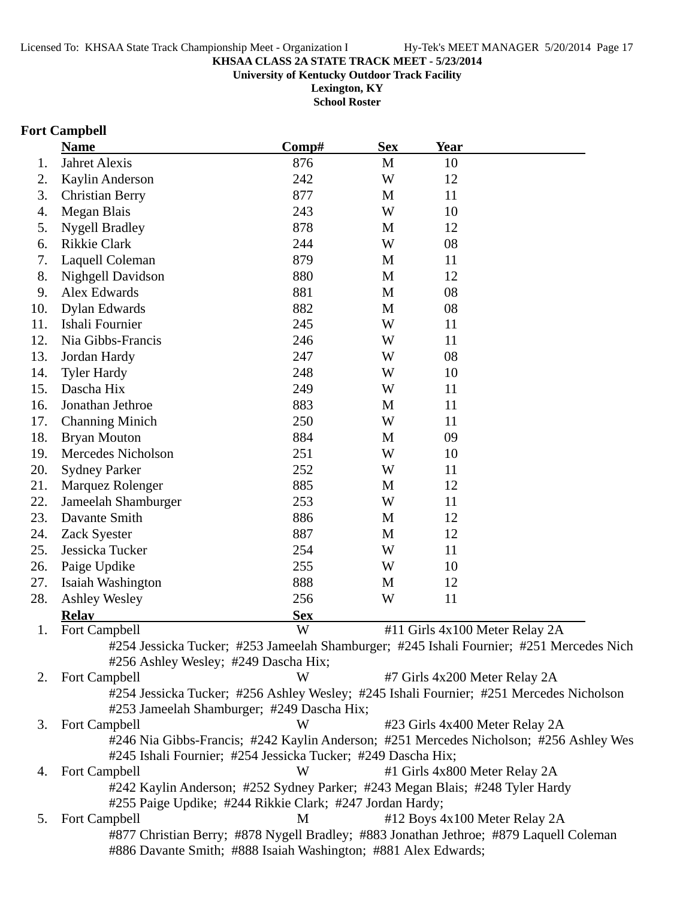**University of Kentucky Outdoor Track Facility**

**Lexington, KY School Roster**

## **Fort Campbell**

|     | <b>Name</b>                                                                                                                                              | Comp#      | <b>Sex</b>   | Year                          |                                                                                          |
|-----|----------------------------------------------------------------------------------------------------------------------------------------------------------|------------|--------------|-------------------------------|------------------------------------------------------------------------------------------|
| 1.  | Jahret Alexis                                                                                                                                            | 876        | M            | 10                            |                                                                                          |
| 2.  | Kaylin Anderson                                                                                                                                          | 242        | W            | 12                            |                                                                                          |
| 3.  | <b>Christian Berry</b>                                                                                                                                   | 877        | M            | 11                            |                                                                                          |
| 4.  | Megan Blais                                                                                                                                              | 243        | W            | 10                            |                                                                                          |
| 5.  | <b>Nygell Bradley</b>                                                                                                                                    | 878        | M            | 12                            |                                                                                          |
| 6.  | Rikkie Clark                                                                                                                                             | 244        | W            | 08                            |                                                                                          |
| 7.  | Laquell Coleman                                                                                                                                          | 879        | M            | 11                            |                                                                                          |
| 8.  | Nighgell Davidson                                                                                                                                        | 880        | M            | 12                            |                                                                                          |
| 9.  | Alex Edwards                                                                                                                                             | 881        | M            | 08                            |                                                                                          |
| 10. | Dylan Edwards                                                                                                                                            | 882        | M            | 08                            |                                                                                          |
| 11. | Ishali Fournier                                                                                                                                          | 245        | W            | 11                            |                                                                                          |
| 12. | Nia Gibbs-Francis                                                                                                                                        | 246        | W            | 11                            |                                                                                          |
| 13. | Jordan Hardy                                                                                                                                             | 247        | W            | 08                            |                                                                                          |
| 14. | <b>Tyler Hardy</b>                                                                                                                                       | 248        | W            | 10                            |                                                                                          |
| 15. | Dascha Hix                                                                                                                                               | 249        | W            | 11                            |                                                                                          |
| 16. | Jonathan Jethroe                                                                                                                                         | 883        | M            | 11                            |                                                                                          |
| 17. | <b>Channing Minich</b>                                                                                                                                   | 250        | W            | 11                            |                                                                                          |
| 18. | <b>Bryan Mouton</b>                                                                                                                                      | 884        | M            | 09                            |                                                                                          |
| 19. | Mercedes Nicholson                                                                                                                                       | 251        | W            | 10                            |                                                                                          |
| 20. | <b>Sydney Parker</b>                                                                                                                                     | 252        | W            | 11                            |                                                                                          |
| 21. | Marquez Rolenger                                                                                                                                         | 885        | M            | 12                            |                                                                                          |
| 22. | Jameelah Shamburger                                                                                                                                      | 253        | W            | 11                            |                                                                                          |
| 23. | Davante Smith                                                                                                                                            | 886        | M            | 12                            |                                                                                          |
| 24. | Zack Syester                                                                                                                                             | 887        | $\mathbf{M}$ | 12                            |                                                                                          |
| 25. | Jessicka Tucker                                                                                                                                          | 254        | W            | 11                            |                                                                                          |
| 26. | Paige Updike                                                                                                                                             | 255        | W            | 10                            |                                                                                          |
| 27. | Isaiah Washington                                                                                                                                        | 888        | M            | 12                            |                                                                                          |
| 28. | <b>Ashley Wesley</b>                                                                                                                                     | 256        | W            | 11                            |                                                                                          |
|     | <b>Relay</b>                                                                                                                                             | <b>Sex</b> |              |                               |                                                                                          |
| 1.  | Fort Campbell                                                                                                                                            | W          |              |                               | #11 Girls 4x100 Meter Relay 2A                                                           |
|     |                                                                                                                                                          |            |              |                               | #254 Jessicka Tucker; #253 Jameelah Shamburger; #245 Ishali Fournier; #251 Mercedes Nich |
|     | #256 Ashley Wesley; #249 Dascha Hix;                                                                                                                     |            |              |                               |                                                                                          |
| 2.  | <b>Fort Campbell</b>                                                                                                                                     | W          |              | #7 Girls 4x200 Meter Relay 2A |                                                                                          |
|     |                                                                                                                                                          |            |              |                               | #254 Jessicka Tucker; #256 Ashley Wesley; #245 Ishali Fournier; #251 Mercedes Nicholson  |
|     | #253 Jameelah Shamburger; #249 Dascha Hix;                                                                                                               |            |              |                               |                                                                                          |
| 3.  | Fort Campbell                                                                                                                                            | W          |              |                               | #23 Girls 4x400 Meter Relay 2A                                                           |
|     |                                                                                                                                                          |            |              |                               | #246 Nia Gibbs-Francis; #242 Kaylin Anderson; #251 Mercedes Nicholson; #256 Ashley Wes   |
|     | #245 Ishali Fournier; #254 Jessicka Tucker; #249 Dascha Hix;                                                                                             |            |              |                               |                                                                                          |
| 4.  | <b>Fort Campbell</b>                                                                                                                                     | W          |              | #1 Girls 4x800 Meter Relay 2A |                                                                                          |
|     | #242 Kaylin Anderson; #252 Sydney Parker; #243 Megan Blais; #248 Tyler Hardy<br>#255 Paige Updike; #244 Rikkie Clark; #247 Jordan Hardy;                 |            |              |                               |                                                                                          |
| 5.  | Fort Campbell                                                                                                                                            | M          |              |                               | #12 Boys 4x100 Meter Relay 2A                                                            |
|     | #877 Christian Berry; #878 Nygell Bradley; #883 Jonathan Jethroe; #879 Laquell Coleman<br>#886 Davante Smith; #888 Isaiah Washington; #881 Alex Edwards; |            |              |                               |                                                                                          |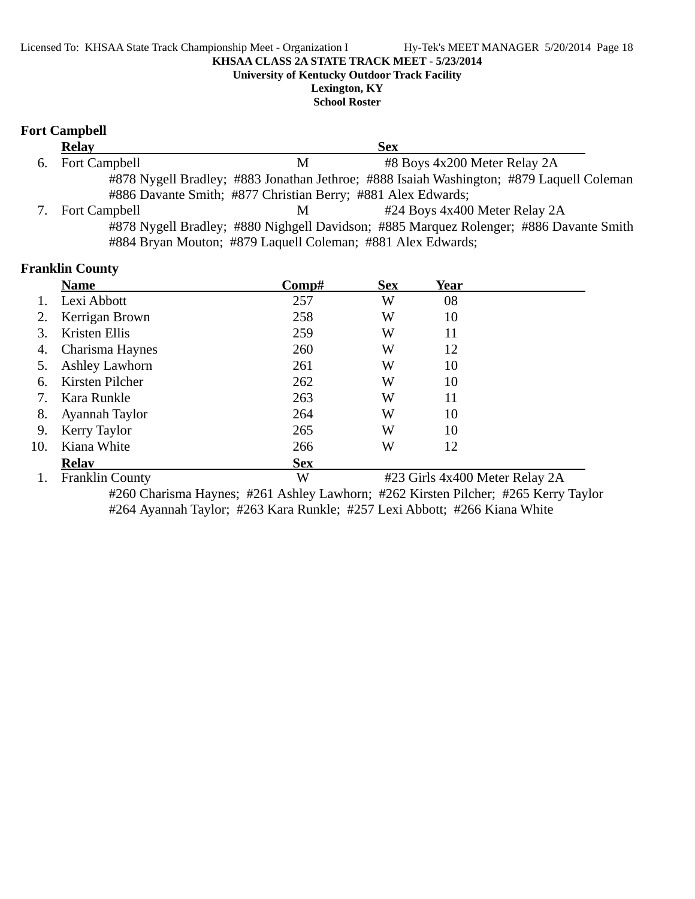**University of Kentucky Outdoor Track Facility**

**Lexington, KY School Roster**

## **Fort Campbell**

| <b>Relay</b>         |                                                              | <b>Sex</b>                    |                                                                                          |
|----------------------|--------------------------------------------------------------|-------------------------------|------------------------------------------------------------------------------------------|
| 6. Fort Campbell     | M                                                            | #8 Boys 4x200 Meter Relay 2A  |                                                                                          |
|                      |                                                              |                               | #878 Nygell Bradley; #883 Jonathan Jethroe; #888 Isaiah Washington; #879 Laquell Coleman |
|                      | #886 Davante Smith; #877 Christian Berry; #881 Alex Edwards; |                               |                                                                                          |
| <b>Fort Campbell</b> | M                                                            | #24 Boys 4x400 Meter Relay 2A |                                                                                          |
|                      |                                                              |                               | #878 Nygell Bradley; #880 Nighgell Davidson; #885 Marquez Rolenger; #886 Davante Smith   |
|                      | #884 Bryan Mouton; #879 Laquell Coleman; #881 Alex Edwards;  |                               |                                                                                          |

## **Franklin County**

|     | <b>Name</b>            | Comp#      | <b>Sex</b> | Year                           |  |
|-----|------------------------|------------|------------|--------------------------------|--|
|     | Lexi Abbott            | 257        | W          | 08                             |  |
| 2.  | Kerrigan Brown         | 258        | W          | 10                             |  |
| 3.  | Kristen Ellis          | 259        | W          | 11                             |  |
| 4.  | Charisma Haynes        | 260        | W          | 12                             |  |
| 5.  | <b>Ashley Lawhorn</b>  | 261        | W          | 10                             |  |
| 6.  | Kirsten Pilcher        | 262        | W          | 10                             |  |
| 7.  | Kara Runkle            | 263        | W          | 11                             |  |
| 8.  | Ayannah Taylor         | 264        | W          | 10                             |  |
| 9.  | Kerry Taylor           | 265        | W          | 10                             |  |
| 10. | Kiana White            | 266        | W          | 12                             |  |
|     | <b>Relay</b>           | <b>Sex</b> |            |                                |  |
|     | <b>Franklin County</b> | W          |            | #23 Girls 4x400 Meter Relay 2A |  |

#260 Charisma Haynes; #261 Ashley Lawhorn; #262 Kirsten Pilcher; #265 Kerry Taylor #264 Ayannah Taylor; #263 Kara Runkle; #257 Lexi Abbott; #266 Kiana White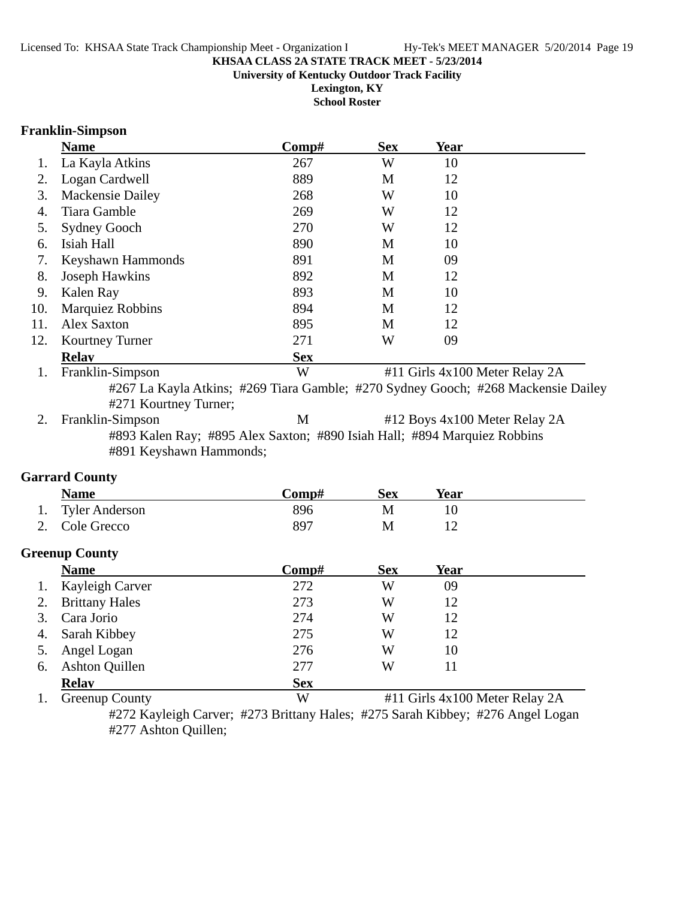**Lexington, KY School Roster**

### **Franklin-Simpson**

|     | <b>Name</b>             | Comp#      | <b>Sex</b> | Year                           |  |
|-----|-------------------------|------------|------------|--------------------------------|--|
|     | La Kayla Atkins         | 267        | W          | 10                             |  |
| 2.  | Logan Cardwell          | 889        | M          | 12                             |  |
| 3.  | Mackensie Dailey        | 268        | W          | 10                             |  |
| 4.  | Tiara Gamble            | 269        | W          | 12                             |  |
| 5.  | <b>Sydney Gooch</b>     | 270        | W          | 12                             |  |
| 6.  | Isiah Hall              | 890        | M          | 10                             |  |
| 7.  | Keyshawn Hammonds       | 891        | M          | 09                             |  |
| 8.  | <b>Joseph Hawkins</b>   | 892        | M          | 12                             |  |
| 9.  | Kalen Ray               | 893        | M          | 10                             |  |
| 10. | <b>Marquiez Robbins</b> | 894        | M          | 12                             |  |
| 11. | <b>Alex Saxton</b>      | 895        | M          | 12                             |  |
| 12. | <b>Kourtney Turner</b>  | 271        | W          | 09                             |  |
|     | <b>Relay</b>            | <b>Sex</b> |            |                                |  |
|     | Franklin-Simpson        | W          |            | #11 Girls 4x100 Meter Relay 2A |  |

#267 La Kayla Atkins; #269 Tiara Gamble; #270 Sydney Gooch; #268 Mackensie Dailey #271 Kourtney Turner;

2. Franklin-Simpson M #12 Boys 4x100 Meter Relay 2A #893 Kalen Ray; #895 Alex Saxton; #890 Isiah Hall; #894 Marquiez Robbins #891 Keyshawn Hammonds;

### **Garrard County**

| <b>Name</b>       | Comp# | Sex | Year |  |
|-------------------|-------|-----|------|--|
| 1. Tyler Anderson | 896   | M   |      |  |
| 2. Cole Grecco    | 897   | М   |      |  |
|                   |       |     |      |  |

### **Greenup County**

|    | <b>Name</b>           | Comp#      | <b>Sex</b> | Year |         |
|----|-----------------------|------------|------------|------|---------|
| 1. | Kayleigh Carver       | 272        | W          | 09   |         |
|    | <b>Brittany Hales</b> | 273        | W          | 12   |         |
| 3. | Cara Jorio            | 274        | W          | 12   |         |
| 4. | Sarah Kibbey          | 275        | W          | 12   |         |
| 5. | Angel Logan           | 276        | W          | 10   |         |
| 6. | <b>Ashton Quillen</b> | 277        | W          | 11   |         |
|    | <b>Relay</b>          | <b>Sex</b> |            |      |         |
|    | __                    | ---        |            |      | _ _ _ _ |

1. Greenup County W #11 Girls 4x100 Meter Relay 2A

#272 Kayleigh Carver; #273 Brittany Hales; #275 Sarah Kibbey; #276 Angel Logan #277 Ashton Quillen;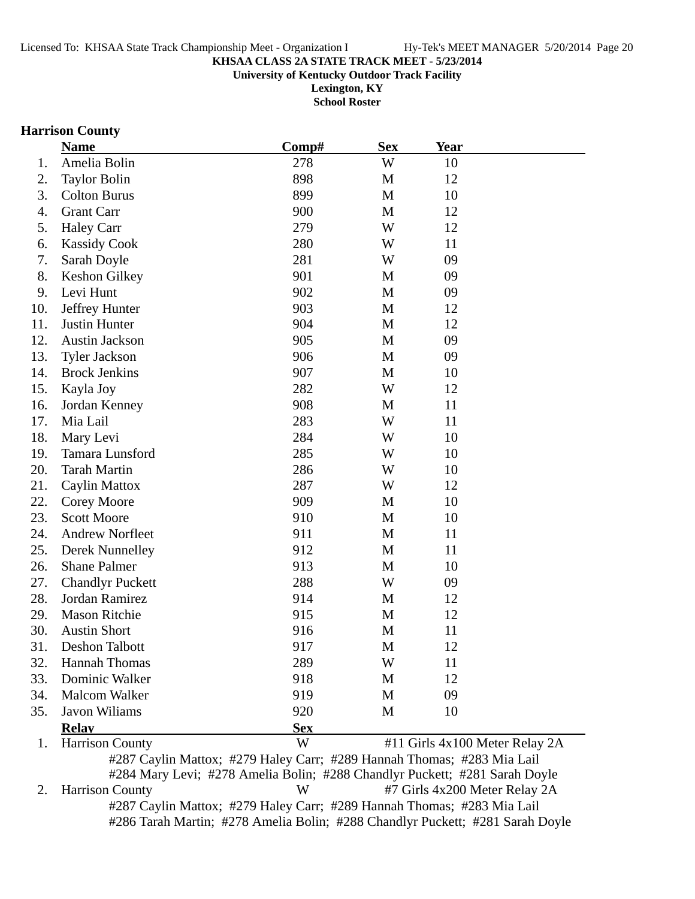**University of Kentucky Outdoor Track Facility**

**Lexington, KY School Roster**

## **Harrison County**

|     | <b>Name</b>                                                            | Comp#      | <b>Sex</b> | <u>Year</u>                    |  |
|-----|------------------------------------------------------------------------|------------|------------|--------------------------------|--|
| 1.  | Amelia Bolin                                                           | 278        | W          | 10                             |  |
| 2.  | <b>Taylor Bolin</b>                                                    | 898        | M          | 12                             |  |
| 3.  | <b>Colton Burus</b>                                                    | 899        | M          | 10                             |  |
| 4.  | <b>Grant Carr</b>                                                      | 900        | M          | 12                             |  |
| 5.  | <b>Haley Carr</b>                                                      | 279        | W          | 12                             |  |
| 6.  | <b>Kassidy Cook</b>                                                    | 280        | W          | 11                             |  |
| 7.  | Sarah Doyle                                                            | 281        | W          | 09                             |  |
| 8.  | Keshon Gilkey                                                          | 901        | M          | 09                             |  |
| 9.  | Levi Hunt                                                              | 902        | M          | 09                             |  |
| 10. | Jeffrey Hunter                                                         | 903        | M          | 12                             |  |
| 11. | Justin Hunter                                                          | 904        | M          | 12                             |  |
| 12. | Austin Jackson                                                         | 905        | M          | 09                             |  |
| 13. | <b>Tyler Jackson</b>                                                   | 906        | M          | 09                             |  |
| 14. | <b>Brock Jenkins</b>                                                   | 907        | M          | 10                             |  |
| 15. | Kayla Joy                                                              | 282        | W          | 12                             |  |
| 16. | Jordan Kenney                                                          | 908        | M          | 11                             |  |
| 17. | Mia Lail                                                               | 283        | W          | 11                             |  |
| 18. | Mary Levi                                                              | 284        | W          | 10                             |  |
| 19. | Tamara Lunsford                                                        | 285        | W          | 10                             |  |
| 20. | <b>Tarah Martin</b>                                                    | 286        | W          | 10                             |  |
| 21. | <b>Caylin Mattox</b>                                                   | 287        | W          | 12                             |  |
| 22. | Corey Moore                                                            | 909        | M          | 10                             |  |
| 23. | <b>Scott Moore</b>                                                     | 910        | M          | 10                             |  |
| 24. | <b>Andrew Norfleet</b>                                                 | 911        | M          | 11                             |  |
| 25. | Derek Nunnelley                                                        | 912        | M          | 11                             |  |
| 26. | <b>Shane Palmer</b>                                                    | 913        | M          | 10                             |  |
| 27. | <b>Chandlyr Puckett</b>                                                | 288        | W          | 09                             |  |
| 28. | Jordan Ramirez                                                         | 914        | M          | 12                             |  |
| 29. | <b>Mason Ritchie</b>                                                   | 915        | M          | 12                             |  |
| 30. | <b>Austin Short</b>                                                    | 916        | M          | 11                             |  |
| 31. | <b>Deshon Talbott</b>                                                  | 917        | M          | 12                             |  |
| 32. | <b>Hannah Thomas</b>                                                   | 289        | W          | 11                             |  |
| 33. | Dominic Walker                                                         | 918        | M          | 12                             |  |
| 34. | Malcom Walker                                                          | 919        | M          | 09                             |  |
| 35. | Javon Wiliams                                                          | 920        | M          | 10                             |  |
|     | <b>Relay</b>                                                           | <b>Sex</b> |            |                                |  |
| 1.  | <b>Harrison County</b>                                                 | W          |            | #11 Girls 4x100 Meter Relay 2A |  |
|     | #287 Caylin Mattox; #279 Haley Carr; #289 Hannah Thomas; #283 Mia Lail |            |            |                                |  |

#284 Mary Levi; #278 Amelia Bolin; #288 Chandlyr Puckett; #281 Sarah Doyle 2. Harrison County W #7 Girls 4x200 Meter Relay 2A #287 Caylin Mattox; #279 Haley Carr; #289 Hannah Thomas; #283 Mia Lail #286 Tarah Martin; #278 Amelia Bolin; #288 Chandlyr Puckett; #281 Sarah Doyle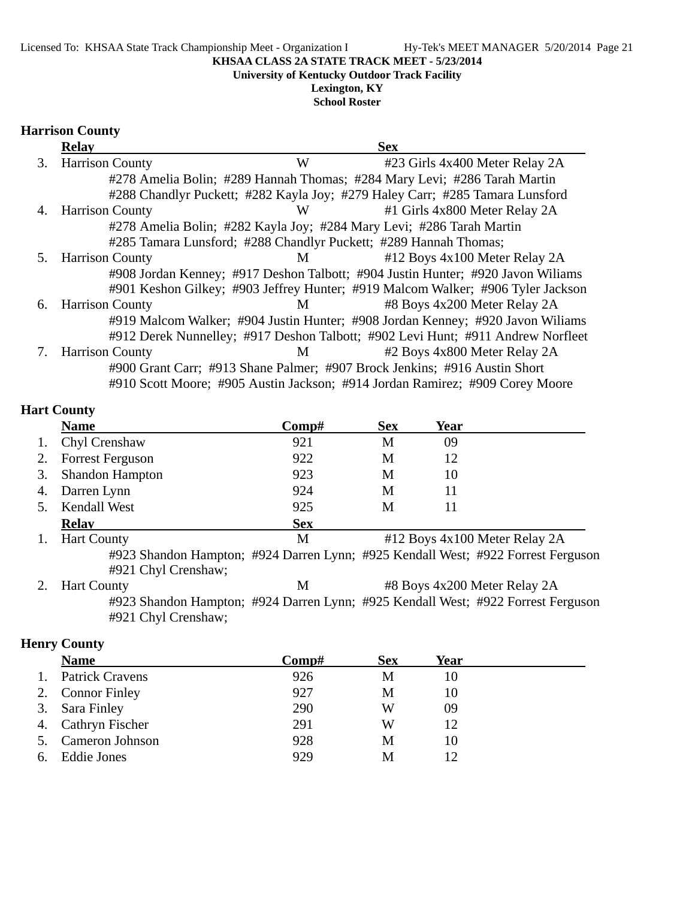#### Licensed To: KHSAA State Track Championship Meet - Organization I Hy-Tek's MEET MANAGER 5/20/2014 Page 21

#### **KHSAA CLASS 2A STATE TRACK MEET - 5/23/2014**

**University of Kentucky Outdoor Track Facility**

**Lexington, KY School Roster**

### **Harrison County**

|    | <b>Relay</b>                                                     |              | <b>Sex</b>                                                                      |
|----|------------------------------------------------------------------|--------------|---------------------------------------------------------------------------------|
| 3. | <b>Harrison County</b>                                           | W            | #23 Girls 4x400 Meter Relay 2A                                                  |
|    |                                                                  |              | #278 Amelia Bolin; #289 Hannah Thomas; #284 Mary Levi; #286 Tarah Martin        |
|    |                                                                  |              | #288 Chandlyr Puckett; #282 Kayla Joy; #279 Haley Carr; #285 Tamara Lunsford    |
| 4. | <b>Harrison County</b>                                           | W            | #1 Girls 4x800 Meter Relay 2A                                                   |
|    |                                                                  |              | #278 Amelia Bolin; #282 Kayla Joy; #284 Mary Levi; #286 Tarah Martin            |
|    | #285 Tamara Lunsford; #288 Chandlyr Puckett; #289 Hannah Thomas; |              |                                                                                 |
|    | 5. Harrison County                                               | M            | #12 Boys 4x100 Meter Relay 2A                                                   |
|    |                                                                  |              | #908 Jordan Kenney; #917 Deshon Talbott; #904 Justin Hunter; #920 Javon Wiliams |
|    |                                                                  |              | #901 Keshon Gilkey; #903 Jeffrey Hunter; #919 Malcom Walker; #906 Tyler Jackson |
|    | 6. Harrison County                                               | $\mathbf{M}$ | #8 Boys 4x200 Meter Relay 2A                                                    |
|    |                                                                  |              | #919 Malcom Walker; #904 Justin Hunter; #908 Jordan Kenney; #920 Javon Wiliams  |
|    |                                                                  |              | #912 Derek Nunnelley; #917 Deshon Talbott; #902 Levi Hunt; #911 Andrew Norfleet |
| 7. | <b>Harrison County</b>                                           | M            | #2 Boys 4x800 Meter Relay 2A                                                    |
|    |                                                                  |              | #900 Grant Carr; #913 Shane Palmer; #907 Brock Jenkins; #916 Austin Short       |
|    |                                                                  |              | #910 Scott Moore; #905 Austin Jackson; #914 Jordan Ramirez; #909 Corey Moore    |

### **Hart County**

|    | <b>Name</b>             | Comp#      | <b>Sex</b> | Year                          |  |
|----|-------------------------|------------|------------|-------------------------------|--|
| 1. | Chyl Crenshaw           | 921        | М          | 09                            |  |
| 2. | <b>Forrest Ferguson</b> | 922        | M          | 12                            |  |
| 3. | <b>Shandon Hampton</b>  | 923        | M          | 10                            |  |
| 4. | Darren Lynn             | 924        | M          |                               |  |
| 5. | <b>Kendall West</b>     | 925        | M          |                               |  |
|    | <b>Relav</b>            | <b>Sex</b> |            |                               |  |
|    | <b>Hart County</b>      | M          |            | #12 Boys 4x100 Meter Relay 2A |  |

#923 Shandon Hampton; #924 Darren Lynn; #925 Kendall West; #922 Forrest Ferguson #921 Chyl Crenshaw;

2. Hart County M #8 Boys 4x200 Meter Relay 2A #923 Shandon Hampton; #924 Darren Lynn; #925 Kendall West; #922 Forrest Ferguson #921 Chyl Crenshaw;

### **Henry County**

|    | <b>Name</b>            | Comp# | <b>Sex</b> | Year |
|----|------------------------|-------|------------|------|
|    | <b>Patrick Cravens</b> | 926   | M          | 10   |
|    | 2. Connor Finley       | 927   | M          | 10   |
|    | 3. Sara Finley         | 290   | W          | 09   |
| 4. | Cathryn Fischer        | 291   | W          | 12   |
|    | Cameron Johnson        | 928   | M          | 10   |
| 6. | <b>Eddie Jones</b>     | 929   | M          |      |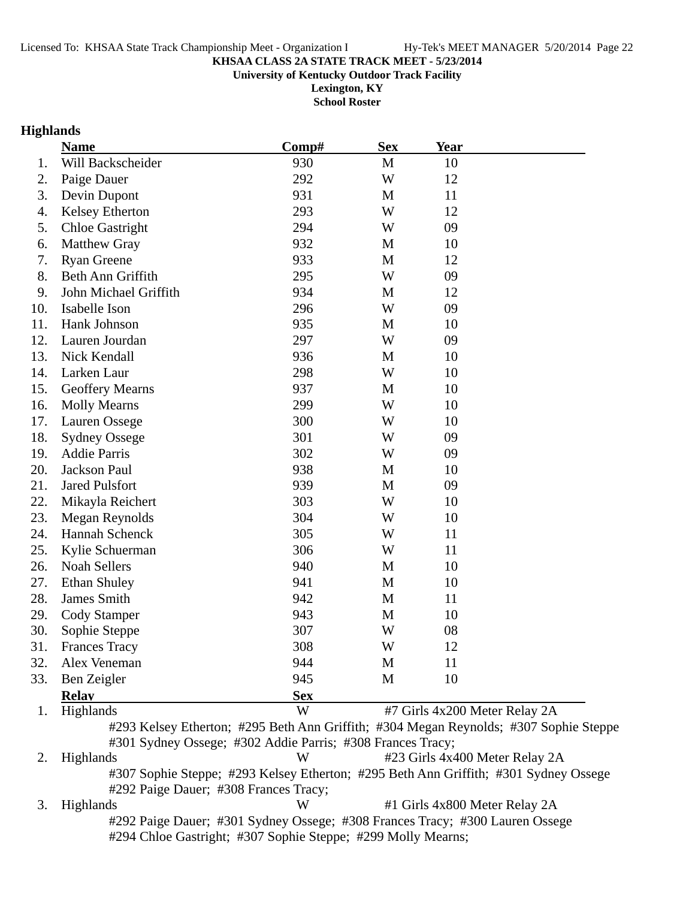**University of Kentucky Outdoor Track Facility**

**Lexington, KY School Roster**

### **Highlands**

|     | <b>Name</b>                                                                           | Comp#      | <b>Sex</b> | <b>Year</b>                    |  |
|-----|---------------------------------------------------------------------------------------|------------|------------|--------------------------------|--|
| 1.  | Will Backscheider                                                                     | 930        | M          | 10                             |  |
| 2.  | Paige Dauer                                                                           | 292        | W          | 12                             |  |
| 3.  | Devin Dupont                                                                          | 931        | M          | 11                             |  |
| 4.  | Kelsey Etherton                                                                       | 293        | W          | 12                             |  |
| 5.  | <b>Chloe Gastright</b>                                                                | 294        | W          | 09                             |  |
| 6.  | <b>Matthew Gray</b>                                                                   | 932        | M          | 10                             |  |
| 7.  | <b>Ryan Greene</b>                                                                    | 933        | M          | 12                             |  |
| 8.  | Beth Ann Griffith                                                                     | 295        | W          | 09                             |  |
| 9.  | John Michael Griffith                                                                 | 934        | M          | 12                             |  |
| 10. | Isabelle Ison                                                                         | 296        | W          | 09                             |  |
| 11. | Hank Johnson                                                                          | 935        | M          | 10                             |  |
| 12. | Lauren Jourdan                                                                        | 297        | W          | 09                             |  |
| 13. | Nick Kendall                                                                          | 936        | M          | 10                             |  |
| 14. | Larken Laur                                                                           | 298        | W          | 10                             |  |
| 15. | <b>Geoffery Mearns</b>                                                                | 937        | M          | 10                             |  |
| 16. | <b>Molly Mearns</b>                                                                   | 299        | W          | 10                             |  |
| 17. | Lauren Ossege                                                                         | 300        | W          | 10                             |  |
| 18. | <b>Sydney Ossege</b>                                                                  | 301        | W          | 09                             |  |
| 19. | <b>Addie Parris</b>                                                                   | 302        | W          | 09                             |  |
| 20. | Jackson Paul                                                                          | 938        | M          | 10                             |  |
| 21. | <b>Jared Pulsfort</b>                                                                 | 939        | M          | 09                             |  |
| 22. | Mikayla Reichert                                                                      | 303        | W          | 10                             |  |
| 23. | Megan Reynolds                                                                        | 304        | W          | 10                             |  |
| 24. | Hannah Schenck                                                                        | 305        | W          | 11                             |  |
| 25. | Kylie Schuerman                                                                       | 306        | W          | 11                             |  |
| 26. | Noah Sellers                                                                          | 940        | M          | 10                             |  |
| 27. | <b>Ethan Shuley</b>                                                                   | 941        | M          | 10                             |  |
| 28. | James Smith                                                                           | 942        | M          | 11                             |  |
| 29. | <b>Cody Stamper</b>                                                                   | 943        | M          | 10                             |  |
| 30. | Sophie Steppe                                                                         | 307        | W          | 08                             |  |
| 31. | <b>Frances Tracy</b>                                                                  | 308        | W          | 12                             |  |
| 32. | Alex Veneman                                                                          | 944        | M          | 11                             |  |
| 33. | Ben Zeigler                                                                           | 945        | M          | 10                             |  |
|     | <b>Relay</b>                                                                          | <b>Sex</b> |            |                                |  |
| 1.  | Highlands                                                                             | W          |            | #7 Girls 4x200 Meter Relay 2A  |  |
|     | #293 Kelsey Etherton; #295 Beth Ann Griffith; #304 Megan Reynolds; #307 Sophie Steppe |            |            |                                |  |
|     | #301 Sydney Ossege; #302 Addie Parris; #308 Frances Tracy;                            |            |            |                                |  |
| 2.  | Highlands                                                                             | W          |            | #23 Girls 4x400 Meter Relay 2A |  |

#307 Sophie Steppe; #293 Kelsey Etherton; #295 Beth Ann Griffith; #301 Sydney Ossege #292 Paige Dauer; #308 Frances Tracy;

3. Highlands W #1 Girls 4x800 Meter Relay 2A #292 Paige Dauer; #301 Sydney Ossege; #308 Frances Tracy; #300 Lauren Ossege #294 Chloe Gastright; #307 Sophie Steppe; #299 Molly Mearns;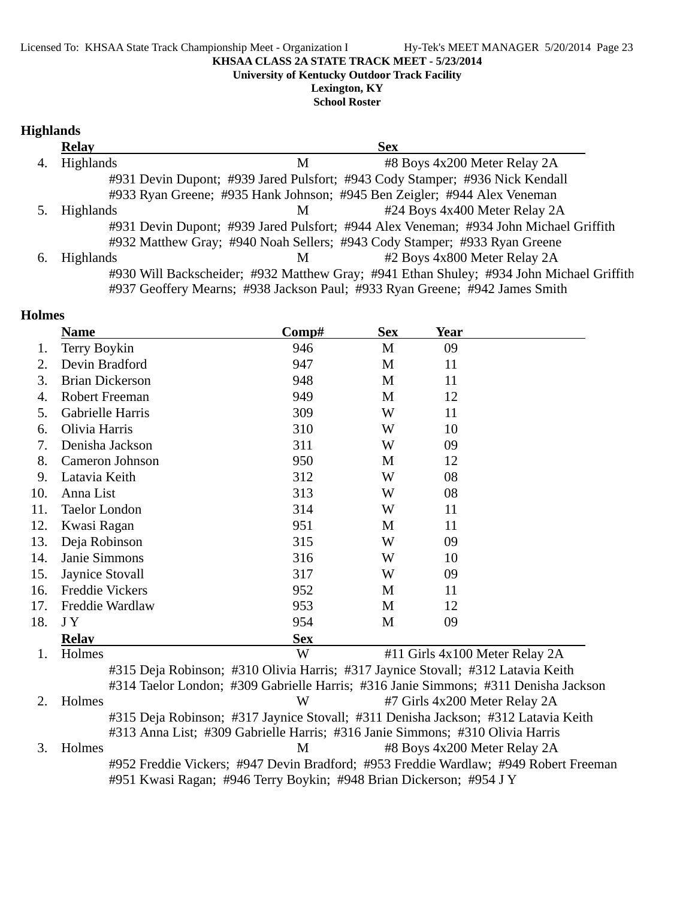**University of Kentucky Outdoor Track Facility**

**Lexington, KY School Roster**

## **Highlands**

|    | <b>Relay</b>     |   | <b>Sex</b>                                                                               |  |
|----|------------------|---|------------------------------------------------------------------------------------------|--|
| 4. | Highlands        | М | #8 Boys 4x200 Meter Relay 2A                                                             |  |
|    |                  |   | #931 Devin Dupont; #939 Jared Pulsfort; #943 Cody Stamper; #936 Nick Kendall             |  |
|    |                  |   | #933 Ryan Greene; #935 Hank Johnson; #945 Ben Zeigler; #944 Alex Veneman                 |  |
|    | <b>Highlands</b> | M | #24 Boys 4x400 Meter Relay 2A                                                            |  |
|    |                  |   | #931 Devin Dupont; #939 Jared Pulsfort; #944 Alex Veneman; #934 John Michael Griffith    |  |
|    |                  |   | #932 Matthew Gray; #940 Noah Sellers; #943 Cody Stamper; #933 Ryan Greene                |  |
| 6. | <b>Highlands</b> | M | #2 Boys 4x800 Meter Relay 2A                                                             |  |
|    |                  |   | #930 Will Backscheider; #932 Matthew Gray; #941 Ethan Shuley; #934 John Michael Griffith |  |
|    |                  |   | #937 Geoffery Mearns; #938 Jackson Paul; #933 Ryan Greene; #942 James Smith              |  |

## **Holmes**

|     | <b>Name</b>                                                                         | Comp#      | <b>Sex</b> | <b>Year</b> |                                                                                      |
|-----|-------------------------------------------------------------------------------------|------------|------------|-------------|--------------------------------------------------------------------------------------|
| 1.  | Terry Boykin                                                                        | 946        | M          | 09          |                                                                                      |
| 2.  | Devin Bradford                                                                      | 947        | M          | 11          |                                                                                      |
| 3.  | <b>Brian Dickerson</b>                                                              | 948        | M          | 11          |                                                                                      |
| 4.  | <b>Robert Freeman</b>                                                               | 949        | M          | 12          |                                                                                      |
| 5.  | Gabrielle Harris                                                                    | 309        | W          | 11          |                                                                                      |
| 6.  | Olivia Harris                                                                       | 310        | W          | 10          |                                                                                      |
| 7.  | Denisha Jackson                                                                     | 311        | W          | 09          |                                                                                      |
| 8.  | Cameron Johnson                                                                     | 950        | M          | 12          |                                                                                      |
| 9.  | Latavia Keith                                                                       | 312        | W          | 08          |                                                                                      |
| 10. | Anna List                                                                           | 313        | W          | 08          |                                                                                      |
| 11. | <b>Taelor London</b>                                                                | 314        | W          | 11          |                                                                                      |
| 12. | Kwasi Ragan                                                                         | 951        | M          | 11          |                                                                                      |
| 13. | Deja Robinson                                                                       | 315        | W          | 09          |                                                                                      |
| 14. | Janie Simmons                                                                       | 316        | W          | 10          |                                                                                      |
| 15. | Jaynice Stovall                                                                     | 317        | W          | 09          |                                                                                      |
| 16. | <b>Freddie Vickers</b>                                                              | 952        | M          | 11          |                                                                                      |
| 17. | Freddie Wardlaw                                                                     | 953        | M          | 12          |                                                                                      |
| 18. | JY                                                                                  | 954        | M          | 09          |                                                                                      |
|     | <b>Relav</b>                                                                        | <b>Sex</b> |            |             |                                                                                      |
| 1.  | Holmes                                                                              | W          |            |             | #11 Girls 4x100 Meter Relay 2A                                                       |
|     | #315 Deja Robinson; #310 Olivia Harris; #317 Jaynice Stovall; #312 Latavia Keith    |            |            |             |                                                                                      |
|     | #314 Taelor London; #309 Gabrielle Harris; #316 Janie Simmons; #311 Denisha Jackson |            |            |             |                                                                                      |
| 2.  | Holmes                                                                              | W          |            |             | #7 Girls 4x200 Meter Relay 2A                                                        |
|     | #315 Deja Robinson; #317 Jaynice Stovall; #311 Denisha Jackson; #312 Latavia Keith  |            |            |             |                                                                                      |
|     | #313 Anna List; #309 Gabrielle Harris; #316 Janie Simmons; #310 Olivia Harris       |            |            |             |                                                                                      |
| 3.  | Holmes                                                                              | M          |            |             | #8 Boys 4x200 Meter Relay 2A                                                         |
|     |                                                                                     |            |            |             | #952 Freddie Vickers; #947 Devin Bradford; #953 Freddie Wardlaw; #949 Robert Freeman |
|     | #951 Kwasi Ragan; #946 Terry Boykin; #948 Brian Dickerson; #954 J Y                 |            |            |             |                                                                                      |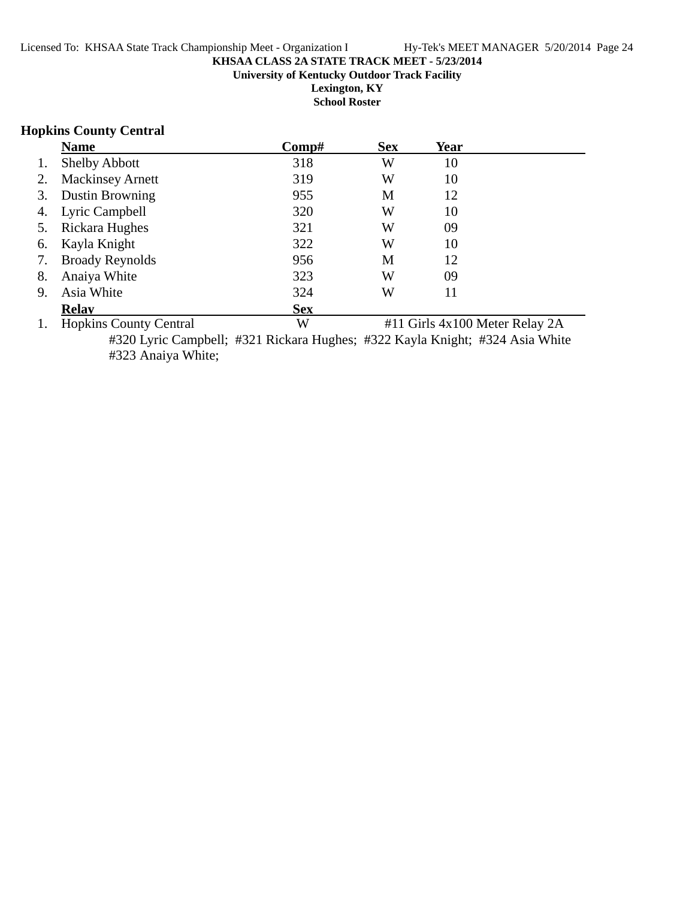#### **KHSAA CLASS 2A STATE TRACK MEET - 5/23/2014 University of Kentucky Outdoor Track Facility Lexington, KY School Roster**

### **Hopkins County Central**

|    | <b>Name</b>             | Comp#      | <b>Sex</b> | Year |  |
|----|-------------------------|------------|------------|------|--|
|    | <b>Shelby Abbott</b>    | 318        | W          | 10   |  |
| 2. | <b>Mackinsey Arnett</b> | 319        | W          | 10   |  |
| 3. | <b>Dustin Browning</b>  | 955        | M          | 12   |  |
| 4. | Lyric Campbell          | 320        | W          | 10   |  |
| 5. | Rickara Hughes          | 321        | W          | 09   |  |
| 6. | Kayla Knight            | 322        | W          | 10   |  |
| 7. | <b>Broady Reynolds</b>  | 956        | M          | 12   |  |
| 8. | Anaiya White            | 323        | W          | 09   |  |
| 9. | Asia White              | 324        | W          | 11   |  |
|    | <b>Relav</b>            | <b>Sex</b> |            |      |  |
|    |                         |            |            |      |  |

1. Hopkins County Central W #11 Girls 4x100 Meter Relay 2A #320 Lyric Campbell; #321 Rickara Hughes; #322 Kayla Knight; #324 Asia White #323 Anaiya White;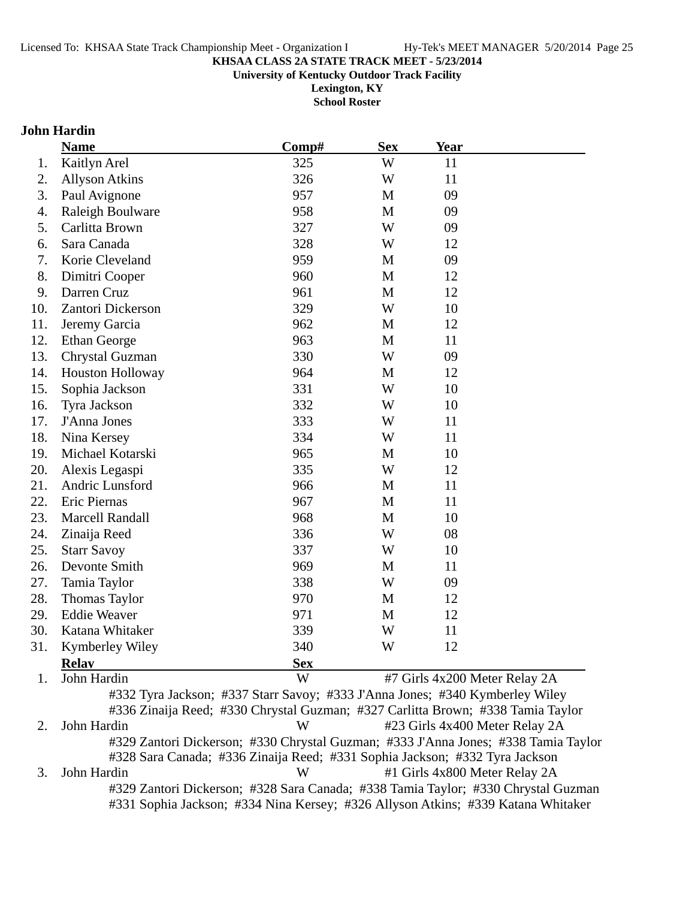**University of Kentucky Outdoor Track Facility**

**Lexington, KY School Roster**

### **John Hardin**

|     | <b>Name</b>             | Comp#      | <b>Sex</b>  | Year                          |  |
|-----|-------------------------|------------|-------------|-------------------------------|--|
| 1.  | Kaitlyn Arel            | 325        | W           | 11                            |  |
| 2.  | <b>Allyson Atkins</b>   | 326        | W           | 11                            |  |
| 3.  | Paul Avignone           | 957        | M           | 09                            |  |
| 4.  | Raleigh Boulware        | 958        | M           | 09                            |  |
| 5.  | Carlitta Brown          | 327        | W           | 09                            |  |
| 6.  | Sara Canada             | 328        | W           | 12                            |  |
| 7.  | Korie Cleveland         | 959        | $\mathbf M$ | 09                            |  |
| 8.  | Dimitri Cooper          | 960        | M           | 12                            |  |
| 9.  | Darren Cruz             | 961        | M           | 12                            |  |
| 10. | Zantori Dickerson       | 329        | W           | 10                            |  |
| 11. | Jeremy Garcia           | 962        | M           | 12                            |  |
| 12. | <b>Ethan George</b>     | 963        | M           | 11                            |  |
| 13. | Chrystal Guzman         | 330        | W           | 09                            |  |
| 14. | <b>Houston Holloway</b> | 964        | M           | 12                            |  |
| 15. | Sophia Jackson          | 331        | W           | 10                            |  |
| 16. | Tyra Jackson            | 332        | W           | 10                            |  |
| 17. | J'Anna Jones            | 333        | W           | 11                            |  |
| 18. | Nina Kersey             | 334        | W           | 11                            |  |
| 19. | Michael Kotarski        | 965        | M           | 10                            |  |
| 20. | Alexis Legaspi          | 335        | W           | 12                            |  |
| 21. | Andric Lunsford         | 966        | M           | 11                            |  |
| 22. | Eric Piernas            | 967        | M           | 11                            |  |
| 23. | <b>Marcell Randall</b>  | 968        | M           | 10                            |  |
| 24. | Zinaija Reed            | 336        | W           | 08                            |  |
| 25. | <b>Starr Savoy</b>      | 337        | W           | 10                            |  |
| 26. | Devonte Smith           | 969        | M           | 11                            |  |
| 27. | Tamia Taylor            | 338        | W           | 09                            |  |
| 28. | <b>Thomas Taylor</b>    | 970        | M           | 12                            |  |
| 29. | <b>Eddie Weaver</b>     | 971        | M           | 12                            |  |
| 30. | Katana Whitaker         | 339        | W           | 11                            |  |
| 31. | Kymberley Wiley         | 340        | W           | 12                            |  |
|     | <b>Relay</b>            | <b>Sex</b> |             |                               |  |
| 1.  | John Hardin             | W          |             | #7 Girls 4x200 Meter Relay 2A |  |

#332 Tyra Jackson; #337 Starr Savoy; #333 J'Anna Jones; #340 Kymberley Wiley #336 Zinaija Reed; #330 Chrystal Guzman; #327 Carlitta Brown; #338 Tamia Taylor 2. John Hardin W #23 Girls 4x400 Meter Relay 2A #329 Zantori Dickerson; #330 Chrystal Guzman; #333 J'Anna Jones; #338 Tamia Taylor #328 Sara Canada; #336 Zinaija Reed; #331 Sophia Jackson; #332 Tyra Jackson 3. John Hardin W #1 Girls 4x800 Meter Relay 2A #329 Zantori Dickerson; #328 Sara Canada; #338 Tamia Taylor; #330 Chrystal Guzman #331 Sophia Jackson; #334 Nina Kersey; #326 Allyson Atkins; #339 Katana Whitaker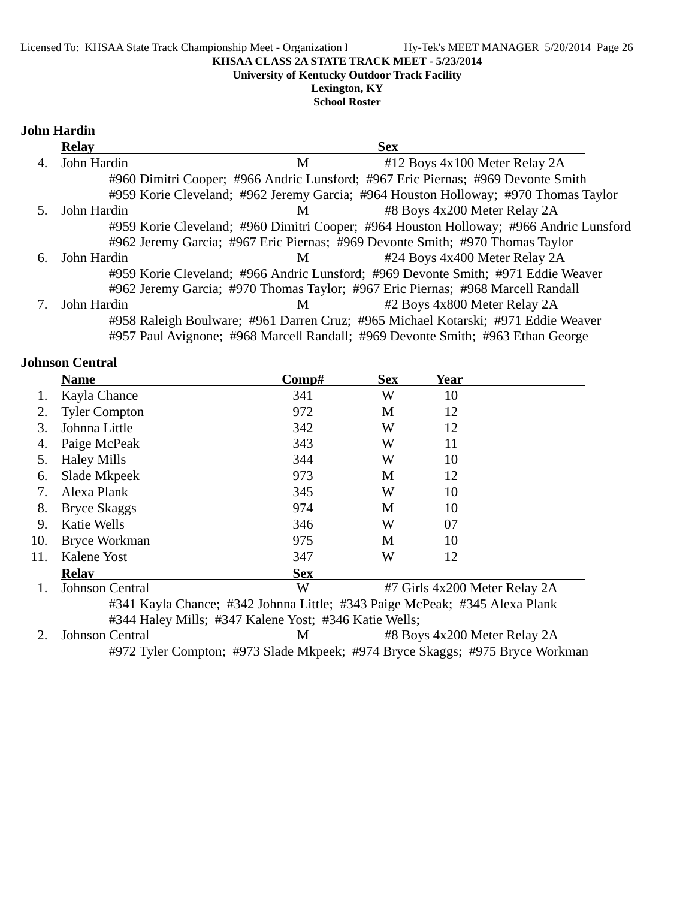**University of Kentucky Outdoor Track Facility**

**Lexington, KY School Roster**

### **John Hardin**

|    | <b>Relay</b> |   | <b>Sex</b>                                                                             |  |
|----|--------------|---|----------------------------------------------------------------------------------------|--|
| 4. | John Hardin  | M | #12 Boys 4x100 Meter Relay 2A                                                          |  |
|    |              |   | #960 Dimitri Cooper; #966 Andric Lunsford; #967 Eric Piernas; #969 Devonte Smith       |  |
|    |              |   | #959 Korie Cleveland; #962 Jeremy Garcia; #964 Houston Holloway; #970 Thomas Taylor    |  |
|    | John Hardin  | M | #8 Boys 4x200 Meter Relay 2A                                                           |  |
|    |              |   | #959 Korie Cleveland; #960 Dimitri Cooper; #964 Houston Holloway; #966 Andric Lunsford |  |
|    |              |   | #962 Jeremy Garcia; #967 Eric Piernas; #969 Devonte Smith; #970 Thomas Taylor          |  |
| 6. | John Hardin  | M | #24 Boys 4x400 Meter Relay 2A                                                          |  |
|    |              |   | #959 Korie Cleveland; #966 Andric Lunsford; #969 Devonte Smith; #971 Eddie Weaver      |  |
|    |              |   | #962 Jeremy Garcia; #970 Thomas Taylor; #967 Eric Piernas; #968 Marcell Randall        |  |
|    | John Hardin  | M | #2 Boys 4x800 Meter Relay 2A                                                           |  |
|    |              |   | #958 Raleigh Boulware; #961 Darren Cruz; #965 Michael Kotarski; #971 Eddie Weaver      |  |
|    |              |   | #957 Paul Avignone; #968 Marcell Randall; #969 Devonte Smith; #963 Ethan George        |  |

### **Johnson Central**

|     | <b>Name</b>            | Comp#      | <b>Sex</b> | Year                          |  |
|-----|------------------------|------------|------------|-------------------------------|--|
|     | Kayla Chance           | 341        | W          | 10                            |  |
| 2.  | <b>Tyler Compton</b>   | 972        | M          | 12                            |  |
| 3.  | Johnna Little          | 342        | W          | 12                            |  |
| 4.  | Paige McPeak           | 343        | W          | 11                            |  |
| 5.  | <b>Haley Mills</b>     | 344        | W          | 10                            |  |
| 6.  | Slade Mkpeek           | 973        | M          | 12                            |  |
| 7.  | Alexa Plank            | 345        | W          | 10                            |  |
| 8.  | <b>Bryce Skaggs</b>    | 974        | M          | 10                            |  |
| 9.  | <b>Katie Wells</b>     | 346        | W          | 07                            |  |
| 10. | <b>Bryce Workman</b>   | 975        | М          | 10                            |  |
| 11. | Kalene Yost            | 347        | W          | 12                            |  |
|     | <b>Relav</b>           | <b>Sex</b> |            |                               |  |
|     | <b>Johnson Central</b> | W          |            | #7 Girls 4x200 Meter Relay 2A |  |

#341 Kayla Chance; #342 Johnna Little; #343 Paige McPeak; #345 Alexa Plank #344 Haley Mills; #347 Kalene Yost; #346 Katie Wells;

2. Johnson Central M #8 Boys 4x200 Meter Relay 2A #972 Tyler Compton; #973 Slade Mkpeek; #974 Bryce Skaggs; #975 Bryce Workman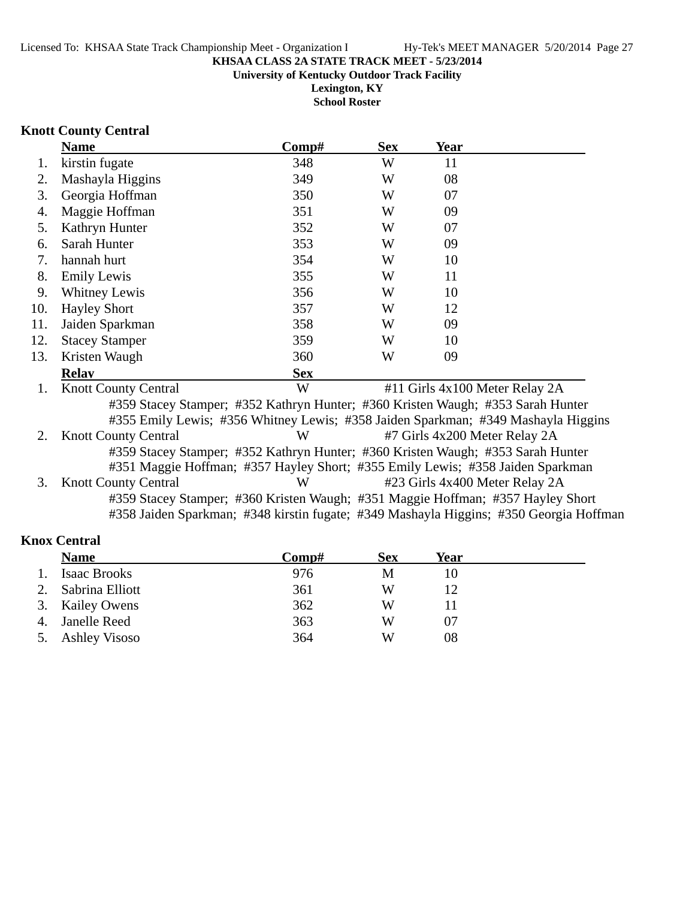**Lexington, KY**

**School Roster**

### **Knott County Central**

|     | <b>Name</b>                                                                       | Comp#      | <b>Sex</b> | Year                          |                                |
|-----|-----------------------------------------------------------------------------------|------------|------------|-------------------------------|--------------------------------|
| 1.  | kirstin fugate                                                                    | 348        | W          | 11                            |                                |
| 2.  | Mashayla Higgins                                                                  | 349        | W          | 08                            |                                |
| 3.  | Georgia Hoffman                                                                   | 350        | W          | 07                            |                                |
| 4.  | Maggie Hoffman                                                                    | 351        | W          | 09                            |                                |
| 5.  | Kathryn Hunter                                                                    | 352        | W          | 07                            |                                |
| 6.  | Sarah Hunter                                                                      | 353        | W          | 09                            |                                |
| 7.  | hannah hurt                                                                       | 354        | W          | 10                            |                                |
| 8.  | <b>Emily Lewis</b>                                                                | 355        | W          | 11                            |                                |
| 9.  | <b>Whitney Lewis</b>                                                              | 356        | W          | 10                            |                                |
| 10. | <b>Hayley Short</b>                                                               | 357        | W          | 12                            |                                |
| 11. | Jaiden Sparkman                                                                   | 358        | W          | 09                            |                                |
| 12. | <b>Stacey Stamper</b>                                                             | 359        | W          | 10                            |                                |
| 13. | Kristen Waugh                                                                     | 360        | W          | 09                            |                                |
|     | <b>Relav</b>                                                                      | <b>Sex</b> |            |                               |                                |
| 1.  | <b>Knott County Central</b>                                                       | W          |            |                               | #11 Girls 4x100 Meter Relay 2A |
|     | #359 Stacey Stamper; #352 Kathryn Hunter; #360 Kristen Waugh; #353 Sarah Hunter   |            |            |                               |                                |
|     | #355 Emily Lewis; #356 Whitney Lewis; #358 Jaiden Sparkman; #349 Mashayla Higgins |            |            |                               |                                |
| 2.  | <b>Knott County Central</b>                                                       | W          |            | #7 Girls 4x200 Meter Relay 2A |                                |
|     | #359 Stacey Stamper; #352 Kathryn Hunter; #360 Kristen Waugh; #353 Sarah Hunter   |            |            |                               |                                |
|     | #351 Maggie Hoffman; #357 Hayley Short; #355 Emily Lewis; #358 Jaiden Sparkman    |            |            |                               |                                |
| 3.  | <b>Knott County Central</b>                                                       | W          |            |                               | #23 Girls 4x400 Meter Relay 2A |

#359 Stacey Stamper; #360 Kristen Waugh; #351 Maggie Hoffman; #357 Hayley Short #358 Jaiden Sparkman; #348 kirstin fugate; #349 Mashayla Higgins; #350 Georgia Hoffman

## **Knox Central**

|    | <b>Name</b>          | $\bf Comp\#$ | <b>Sex</b> | Year |  |
|----|----------------------|--------------|------------|------|--|
| 1. | <b>Isaac Brooks</b>  | 976          | M          | 10   |  |
| 2. | Sabrina Elliott      | 361          | W          |      |  |
|    | 3. Kailey Owens      | 362          | W          |      |  |
| 4. | Janelle Reed         | 363          | W          | 07   |  |
| 5. | <b>Ashley Visoso</b> | 364          | W          | 08   |  |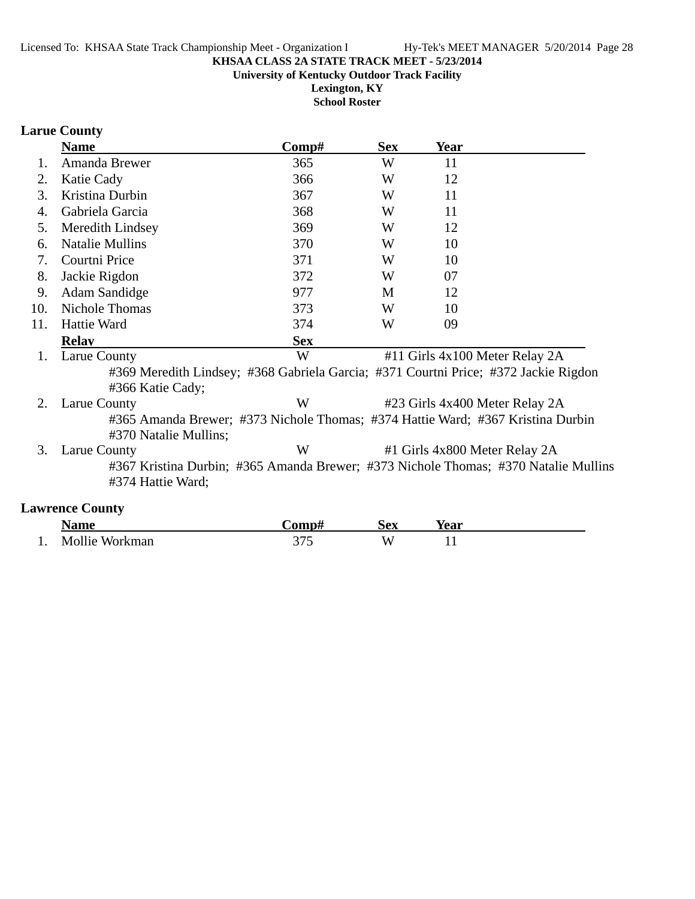**University of Kentucky Outdoor Track Facility**

**Lexington, KY School Roster**

## **Larue County**

|     | <b>Name</b>                                                                                              | Comp#      | <b>Sex</b> | <b>Year</b>                    |  |
|-----|----------------------------------------------------------------------------------------------------------|------------|------------|--------------------------------|--|
| 1.  | Amanda Brewer                                                                                            | 365        | W          | 11                             |  |
| 2.  | Katie Cady                                                                                               | 366        | W          | 12                             |  |
| 3.  | Kristina Durbin                                                                                          | 367        | W          | 11                             |  |
| 4.  | Gabriela Garcia                                                                                          | 368        | W          | 11                             |  |
| 5.  | Meredith Lindsey                                                                                         | 369        | W          | 12                             |  |
| 6.  | <b>Natalie Mullins</b>                                                                                   | 370        | W          | 10                             |  |
| 7.  | Courtni Price                                                                                            | 371        | W          | 10                             |  |
| 8.  | Jackie Rigdon                                                                                            | 372        | W          | 07                             |  |
| 9.  | <b>Adam Sandidge</b>                                                                                     | 977        | M          | 12                             |  |
| 10. | Nichole Thomas                                                                                           | 373        | W          | 10                             |  |
| 11. | Hattie Ward                                                                                              | 374        | W          | 09                             |  |
|     | <b>Relay</b>                                                                                             | <b>Sex</b> |            |                                |  |
| 1.  | Larue County                                                                                             | W          |            | #11 Girls 4x100 Meter Relay 2A |  |
|     | #369 Meredith Lindsey; #368 Gabriela Garcia; #371 Courtni Price; #372 Jackie Rigdon<br>#366 Katie Cady;  |            |            |                                |  |
| 2.  | Larue County                                                                                             | W          |            | #23 Girls 4x400 Meter Relay 2A |  |
|     | #365 Amanda Brewer; #373 Nichole Thomas; #374 Hattie Ward; #367 Kristina Durbin<br>#370 Natalie Mullins; |            |            |                                |  |
| 3.  | Larue County                                                                                             | W          |            | #1 Girls 4x800 Meter Relay 2A  |  |
|     | #367 Kristina Durbin; #365 Amanda Brewer; #373 Nichole Thomas; #370 Natalie Mullins<br>#374 Hattie Ward; |            |            |                                |  |

## **Lawrence County**

|     | <b>Name</b>    | <b>€omp</b> | $\mathbf{A}$<br>IJUЛ | Year |
|-----|----------------|-------------|----------------------|------|
| . . | Mollie Workman | ັ້          | A.                   | . .  |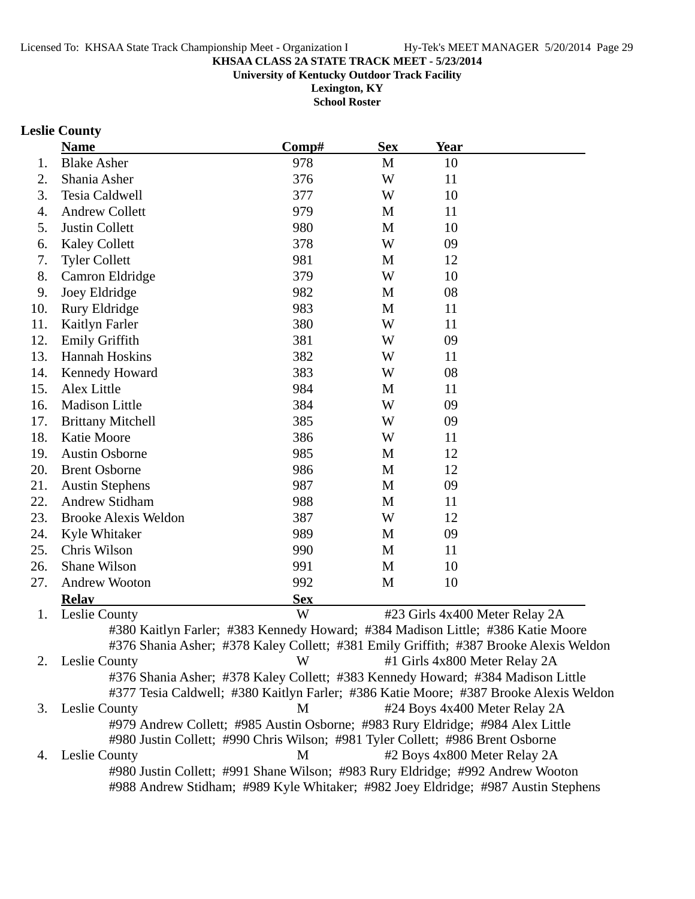**University of Kentucky Outdoor Track Facility**

**Lexington, KY School Roster**

# **Leslie County**

|     | <b>Name</b>                                                                                     | Comp#      | <b>Sex</b> | <b>Year</b>                   |                                |
|-----|-------------------------------------------------------------------------------------------------|------------|------------|-------------------------------|--------------------------------|
| 1.  | <b>Blake Asher</b>                                                                              | 978        | M          | 10                            |                                |
| 2.  | Shania Asher                                                                                    | 376        | W          | 11                            |                                |
| 3.  | Tesia Caldwell                                                                                  | 377        | W          | 10                            |                                |
| 4.  | <b>Andrew Collett</b>                                                                           | 979        | M          | 11                            |                                |
| 5.  | Justin Collett                                                                                  | 980        | M          | 10                            |                                |
| 6.  | <b>Kaley Collett</b>                                                                            | 378        | W          | 09                            |                                |
| 7.  | <b>Tyler Collett</b>                                                                            | 981        | M          | 12                            |                                |
| 8.  | Camron Eldridge                                                                                 | 379        | W          | 10                            |                                |
| 9.  | Joey Eldridge                                                                                   | 982        | M          | 08                            |                                |
| 10. | Rury Eldridge                                                                                   | 983        | M          | 11                            |                                |
| 11. | Kaitlyn Farler                                                                                  | 380        | W          | 11                            |                                |
| 12. | Emily Griffith                                                                                  | 381        | W          | 09                            |                                |
| 13. | Hannah Hoskins                                                                                  | 382        | W          | 11                            |                                |
| 14. | Kennedy Howard                                                                                  | 383        | W          | 08                            |                                |
| 15. | Alex Little                                                                                     | 984        | M          | 11                            |                                |
| 16. | <b>Madison Little</b>                                                                           | 384        | W          | 09                            |                                |
| 17. | <b>Brittany Mitchell</b>                                                                        | 385        | W          | 09                            |                                |
| 18. | Katie Moore                                                                                     | 386        | W          | 11                            |                                |
| 19. | <b>Austin Osborne</b>                                                                           | 985        | M          | 12                            |                                |
| 20. | <b>Brent Osborne</b>                                                                            | 986        | M          | 12                            |                                |
| 21. | <b>Austin Stephens</b>                                                                          | 987        | M          | 09                            |                                |
| 22. | Andrew Stidham                                                                                  | 988        | M          | 11                            |                                |
| 23. | <b>Brooke Alexis Weldon</b>                                                                     | 387        | W          | 12                            |                                |
| 24. | Kyle Whitaker                                                                                   | 989        | M          | 09                            |                                |
| 25. | Chris Wilson                                                                                    | 990        | M          | 11                            |                                |
| 26. | Shane Wilson                                                                                    | 991        | M          | 10                            |                                |
| 27. | <b>Andrew Wooton</b>                                                                            | 992        | M          | 10                            |                                |
|     | <b>Relay</b>                                                                                    | <b>Sex</b> |            |                               |                                |
| 1.  | Leslie County                                                                                   | W          |            |                               | #23 Girls 4x400 Meter Relay 2A |
|     | #380 Kaitlyn Farler; #383 Kennedy Howard; #384 Madison Little; #386 Katie Moore                 |            |            |                               |                                |
|     | #376 Shania Asher; #378 Kaley Collett; #381 Emily Griffith; #387 Brooke Alexis Weldon           |            |            |                               |                                |
|     | 2. Leslie County                                                                                | W          |            | #1 Girls 4x800 Meter Relay 2A |                                |
|     | #376 Shania Asher; #378 Kaley Collett; #383 Kennedy Howard; #384 Madison Little                 |            |            |                               |                                |
|     | #377 Tesia Caldwell; #380 Kaitlyn Farler; #386 Katie Moore; #387 Brooke Alexis Weldon           |            |            |                               |                                |
| 3.  | Leslie County                                                                                   | M          |            |                               | #24 Boys 4x400 Meter Relay 2A  |
|     | #979 Andrew Collett; #985 Austin Osborne; #983 Rury Eldridge; #984 Alex Little                  |            |            |                               |                                |
|     | #980 Justin Collett; #990 Chris Wilson; #981 Tyler Collett; #986 Brent Osborne                  | M          |            |                               |                                |
| 4.  | Leslie County<br>#980 Justin Collett; #991 Shane Wilson; #983 Rury Eldridge; #992 Andrew Wooton |            |            | #2 Boys 4x800 Meter Relay 2A  |                                |
|     | #988 Andrew Stidham; #989 Kyle Whitaker; #982 Joey Eldridge; #987 Austin Stephens               |            |            |                               |                                |
|     |                                                                                                 |            |            |                               |                                |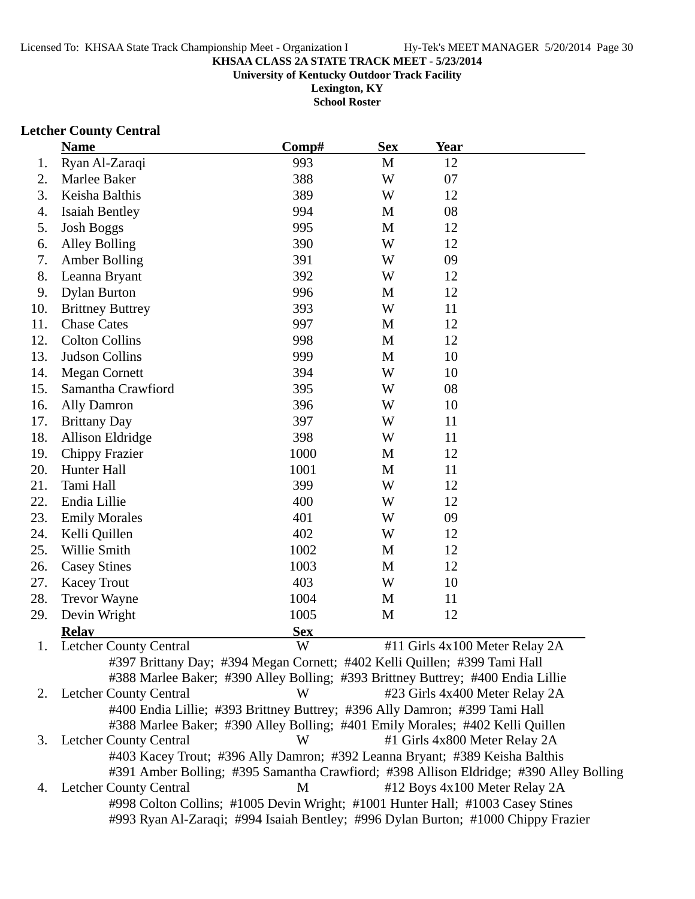**University of Kentucky Outdoor Track Facility**

**Lexington, KY School Roster**

## **Letcher County Central**

|     | <b>Name</b>                                                                                                                                                           | Comp#      | <b>Sex</b> | <b>Year</b>                   |                                |
|-----|-----------------------------------------------------------------------------------------------------------------------------------------------------------------------|------------|------------|-------------------------------|--------------------------------|
| 1.  | Ryan Al-Zaraqi                                                                                                                                                        | 993        | M          | 12                            |                                |
| 2.  | Marlee Baker                                                                                                                                                          | 388        | W          | 07                            |                                |
| 3.  | Keisha Balthis                                                                                                                                                        | 389        | W          | 12                            |                                |
| 4.  | <b>Isaiah Bentley</b>                                                                                                                                                 | 994        | M          | 08                            |                                |
| 5.  | <b>Josh Boggs</b>                                                                                                                                                     | 995        | M          | 12                            |                                |
| 6.  | <b>Alley Bolling</b>                                                                                                                                                  | 390        | W          | 12                            |                                |
| 7.  | <b>Amber Bolling</b>                                                                                                                                                  | 391        | W          | 09                            |                                |
| 8.  | Leanna Bryant                                                                                                                                                         | 392        | W          | 12                            |                                |
| 9.  | <b>Dylan Burton</b>                                                                                                                                                   | 996        | M          | 12                            |                                |
| 10. | <b>Brittney Buttrey</b>                                                                                                                                               | 393        | W          | 11                            |                                |
| 11. | <b>Chase Cates</b>                                                                                                                                                    | 997        | M          | 12                            |                                |
| 12. | <b>Colton Collins</b>                                                                                                                                                 | 998        | M          | 12                            |                                |
| 13. | Judson Collins                                                                                                                                                        | 999        | M          | 10                            |                                |
| 14. | <b>Megan Cornett</b>                                                                                                                                                  | 394        | W          | 10                            |                                |
| 15. | Samantha Crawfiord                                                                                                                                                    | 395        | W          | 08                            |                                |
| 16. | <b>Ally Damron</b>                                                                                                                                                    | 396        | W          | 10                            |                                |
| 17. | <b>Brittany Day</b>                                                                                                                                                   | 397        | W          | 11                            |                                |
| 18. | <b>Allison Eldridge</b>                                                                                                                                               | 398        | W          | 11                            |                                |
| 19. | <b>Chippy Frazier</b>                                                                                                                                                 | 1000       | M          | 12                            |                                |
| 20. | Hunter Hall                                                                                                                                                           | 1001       | M          | 11                            |                                |
| 21. | Tami Hall                                                                                                                                                             | 399        | W          | 12                            |                                |
| 22. | Endia Lillie                                                                                                                                                          | 400        | W          | 12                            |                                |
| 23. | <b>Emily Morales</b>                                                                                                                                                  | 401        | W          | 09                            |                                |
| 24. | Kelli Quillen                                                                                                                                                         | 402        | W          | 12                            |                                |
| 25. | Willie Smith                                                                                                                                                          | 1002       | M          | 12                            |                                |
| 26. | <b>Casey Stines</b>                                                                                                                                                   | 1003       | M          | 12                            |                                |
| 27. | <b>Kacey Trout</b>                                                                                                                                                    | 403        | W          | 10                            |                                |
| 28. | <b>Trevor Wayne</b>                                                                                                                                                   | 1004       | M          | 11                            |                                |
| 29. | Devin Wright                                                                                                                                                          | 1005       | M          | 12                            |                                |
|     | <b>Relay</b>                                                                                                                                                          | <b>Sex</b> |            |                               |                                |
| 1.  | <b>Letcher County Central</b>                                                                                                                                         | W          |            |                               | #11 Girls 4x100 Meter Relay 2A |
|     | #397 Brittany Day; #394 Megan Cornett; #402 Kelli Quillen; #399 Tami Hall                                                                                             |            |            |                               |                                |
|     | #388 Marlee Baker; #390 Alley Bolling; #393 Brittney Buttrey; #400 Endia Lillie                                                                                       |            |            |                               |                                |
|     | 2. Letcher County Central                                                                                                                                             | W          |            |                               | #23 Girls 4x400 Meter Relay 2A |
|     | #400 Endia Lillie; #393 Brittney Buttrey; #396 Ally Damron; #399 Tami Hall                                                                                            |            |            |                               |                                |
|     | #388 Marlee Baker; #390 Alley Bolling; #401 Emily Morales; #402 Kelli Quillen                                                                                         |            |            |                               |                                |
| 3.  | <b>Letcher County Central</b>                                                                                                                                         | W          |            | #1 Girls 4x800 Meter Relay 2A |                                |
|     | #403 Kacey Trout; #396 Ally Damron; #392 Leanna Bryant; #389 Keisha Balthis<br>#391 Amber Bolling; #395 Samantha Crawfiord; #398 Allison Eldridge; #390 Alley Bolling |            |            |                               |                                |
| 4.  | <b>Letcher County Central</b>                                                                                                                                         | M          |            |                               | #12 Boys 4x100 Meter Relay 2A  |
|     | #998 Colton Collins; #1005 Devin Wright; #1001 Hunter Hall; #1003 Casey Stines                                                                                        |            |            |                               |                                |
|     | #993 Ryan Al-Zaraqi; #994 Isaiah Bentley; #996 Dylan Burton; #1000 Chippy Frazier                                                                                     |            |            |                               |                                |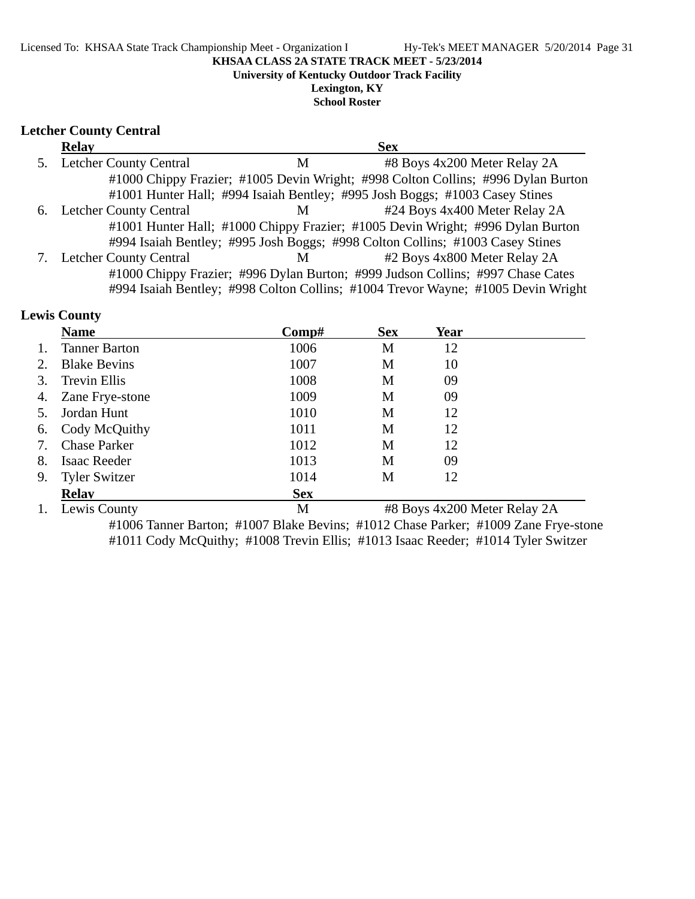**University of Kentucky Outdoor Track Facility**

**Lexington, KY School Roster**

### **Letcher County Central**

| <b>Relay</b>              |   | <b>Sex</b>                                                                       |  |
|---------------------------|---|----------------------------------------------------------------------------------|--|
| 5. Letcher County Central | M | #8 Boys 4x200 Meter Relay 2A                                                     |  |
|                           |   | #1000 Chippy Frazier; #1005 Devin Wright; #998 Colton Collins; #996 Dylan Burton |  |
|                           |   | #1001 Hunter Hall; #994 Isaiah Bentley; #995 Josh Boggs; #1003 Casey Stines      |  |
| 6. Letcher County Central | M | #24 Boys 4x400 Meter Relay 2A                                                    |  |
|                           |   | #1001 Hunter Hall; #1000 Chippy Frazier; #1005 Devin Wright; #996 Dylan Burton   |  |
|                           |   | #994 Isaiah Bentley; #995 Josh Boggs; #998 Colton Collins; #1003 Casey Stines    |  |
| 7. Letcher County Central | M | #2 Boys 4x800 Meter Relay 2A                                                     |  |
|                           |   | #1000 Chippy Frazier; #996 Dylan Burton; #999 Judson Collins; #997 Chase Cates   |  |
|                           |   | #994 Isaiah Bentley; #998 Colton Collins; #1004 Trevor Wayne; #1005 Devin Wright |  |

## **Lewis County**

|    | <b>Name</b>          | $\bf Comp\#$ | <b>Sex</b> | Year                         |
|----|----------------------|--------------|------------|------------------------------|
|    | <b>Tanner Barton</b> | 1006         | M          | 12                           |
| 2. | <b>Blake Bevins</b>  | 1007         | M          | 10                           |
| 3. | <b>Trevin Ellis</b>  | 1008         | M          | 09                           |
| 4. | Zane Frye-stone      | 1009         | M          | 09                           |
|    | Jordan Hunt          | 1010         | M          | 12                           |
| 6. | Cody McQuithy        | 1011         | M          | 12                           |
| 7. | <b>Chase Parker</b>  | 1012         | M          | 12                           |
| 8. | Isaac Reeder         | 1013         | М          | 09                           |
| 9. | <b>Tyler Switzer</b> | 1014         | М          | 12                           |
|    | <b>Relay</b>         | <b>Sex</b>   |            |                              |
|    | Lewis County         | M            |            | #8 Boys 4x200 Meter Relay 2A |

#1006 Tanner Barton; #1007 Blake Bevins; #1012 Chase Parker; #1009 Zane Frye-stone #1011 Cody McQuithy; #1008 Trevin Ellis; #1013 Isaac Reeder; #1014 Tyler Switzer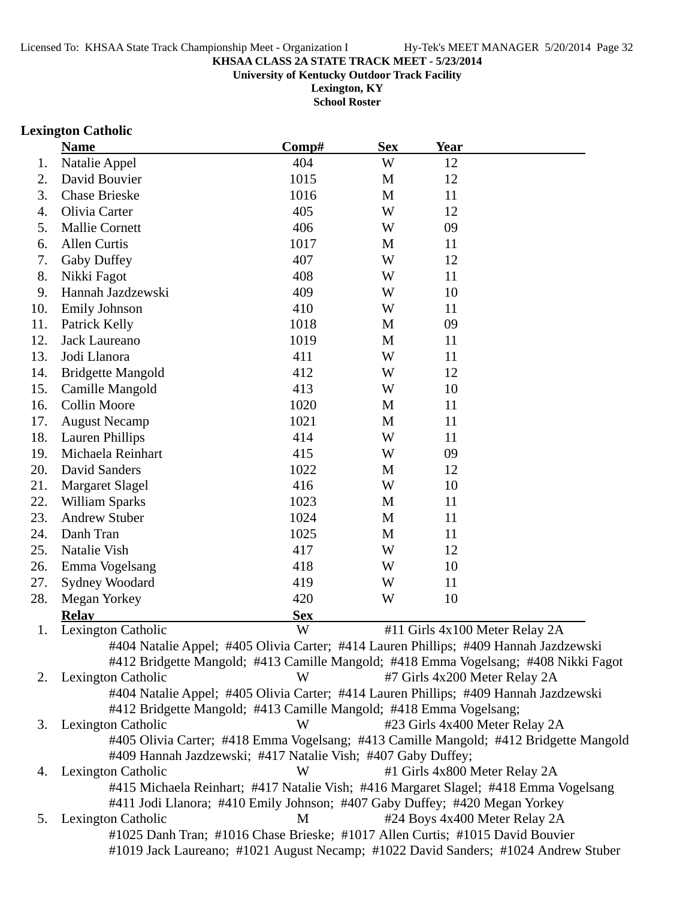**University of Kentucky Outdoor Track Facility**

**Lexington, KY School Roster**

## **Lexington Catholic**

|     | <b>Name</b>                                                                | Comp#      | <b>Sex</b> | <b>Year</b>                                                                           |  |
|-----|----------------------------------------------------------------------------|------------|------------|---------------------------------------------------------------------------------------|--|
| 1.  | Natalie Appel                                                              | 404        | W          | 12                                                                                    |  |
| 2.  | David Bouvier                                                              | 1015       | M          | 12                                                                                    |  |
| 3.  | <b>Chase Brieske</b>                                                       | 1016       | M          | 11                                                                                    |  |
| 4.  | Olivia Carter                                                              | 405        | W          | 12                                                                                    |  |
| 5.  | <b>Mallie Cornett</b>                                                      | 406        | W          | 09                                                                                    |  |
| 6.  | <b>Allen Curtis</b>                                                        | 1017       | M          | 11                                                                                    |  |
| 7.  | Gaby Duffey                                                                | 407        | W          | 12                                                                                    |  |
| 8.  | Nikki Fagot                                                                | 408        | W          | 11                                                                                    |  |
| 9.  | Hannah Jazdzewski                                                          | 409        | W          | 10                                                                                    |  |
| 10. | <b>Emily Johnson</b>                                                       | 410        | W          | 11                                                                                    |  |
| 11. | Patrick Kelly                                                              | 1018       | M          | 09                                                                                    |  |
| 12. | Jack Laureano                                                              | 1019       | M          | 11                                                                                    |  |
| 13. | Jodi Llanora                                                               | 411        | W          | 11                                                                                    |  |
| 14. | <b>Bridgette Mangold</b>                                                   | 412        | W          | 12                                                                                    |  |
| 15. | Camille Mangold                                                            | 413        | W          | 10                                                                                    |  |
| 16. | <b>Collin Moore</b>                                                        | 1020       | M          | 11                                                                                    |  |
| 17. | <b>August Necamp</b>                                                       | 1021       | M          | 11                                                                                    |  |
| 18. | <b>Lauren Phillips</b>                                                     | 414        | W          | 11                                                                                    |  |
| 19. | Michaela Reinhart                                                          | 415        | W          | 09                                                                                    |  |
| 20. | David Sanders                                                              | 1022       | M          | 12                                                                                    |  |
| 21. | <b>Margaret Slagel</b>                                                     | 416        | W          | 10                                                                                    |  |
| 22. | William Sparks                                                             | 1023       | M          | 11                                                                                    |  |
| 23. | <b>Andrew Stuber</b>                                                       | 1024       | M          | 11                                                                                    |  |
| 24. | Danh Tran                                                                  | 1025       | M          | 11                                                                                    |  |
| 25. | Natalie Vish                                                               | 417        | W          | 12                                                                                    |  |
| 26. | Emma Vogelsang                                                             | 418        | W          | 10                                                                                    |  |
| 27. | Sydney Woodard                                                             | 419        | W          | 11                                                                                    |  |
| 28. | Megan Yorkey                                                               | 420        | W          | 10                                                                                    |  |
|     | <b>Relay</b>                                                               | <b>Sex</b> |            |                                                                                       |  |
| 1.  | Lexington Catholic                                                         | W          |            | #11 Girls 4x100 Meter Relay 2A                                                        |  |
|     |                                                                            |            |            | #404 Natalie Appel; #405 Olivia Carter; #414 Lauren Phillips; #409 Hannah Jazdzewski  |  |
|     |                                                                            |            |            | #412 Bridgette Mangold; #413 Camille Mangold; #418 Emma Vogelsang; #408 Nikki Fagot   |  |
| 2.  | Lexington Catholic                                                         | W          |            | #7 Girls 4x200 Meter Relay 2A                                                         |  |
|     |                                                                            |            |            | #404 Natalie Appel; #405 Olivia Carter; #414 Lauren Phillips; #409 Hannah Jazdzewski  |  |
|     | #412 Bridgette Mangold; #413 Camille Mangold; #418 Emma Vogelsang;         |            |            |                                                                                       |  |
| 3.  | Lexington Catholic                                                         | W          |            | #23 Girls 4x400 Meter Relay 2A                                                        |  |
|     |                                                                            |            |            | #405 Olivia Carter; #418 Emma Vogelsang; #413 Camille Mangold; #412 Bridgette Mangold |  |
|     | #409 Hannah Jazdzewski; #417 Natalie Vish; #407 Gaby Duffey;               |            |            |                                                                                       |  |
| 4.  | <b>Lexington Catholic</b>                                                  | W          |            | #1 Girls 4x800 Meter Relay 2A                                                         |  |
|     |                                                                            |            |            | #415 Michaela Reinhart; #417 Natalie Vish; #416 Margaret Slagel; #418 Emma Vogelsang  |  |
|     | #411 Jodi Llanora; #410 Emily Johnson; #407 Gaby Duffey; #420 Megan Yorkey |            |            |                                                                                       |  |
| 5.  | Lexington Catholic                                                         | M          |            | #24 Boys 4x400 Meter Relay 2A                                                         |  |
|     |                                                                            |            |            | #1025 Danh Tran; #1016 Chase Brieske; #1017 Allen Curtis; #1015 David Bouvier         |  |
|     |                                                                            |            |            | #1019 Jack Laureano; #1021 August Necamp; #1022 David Sanders; #1024 Andrew Stuber    |  |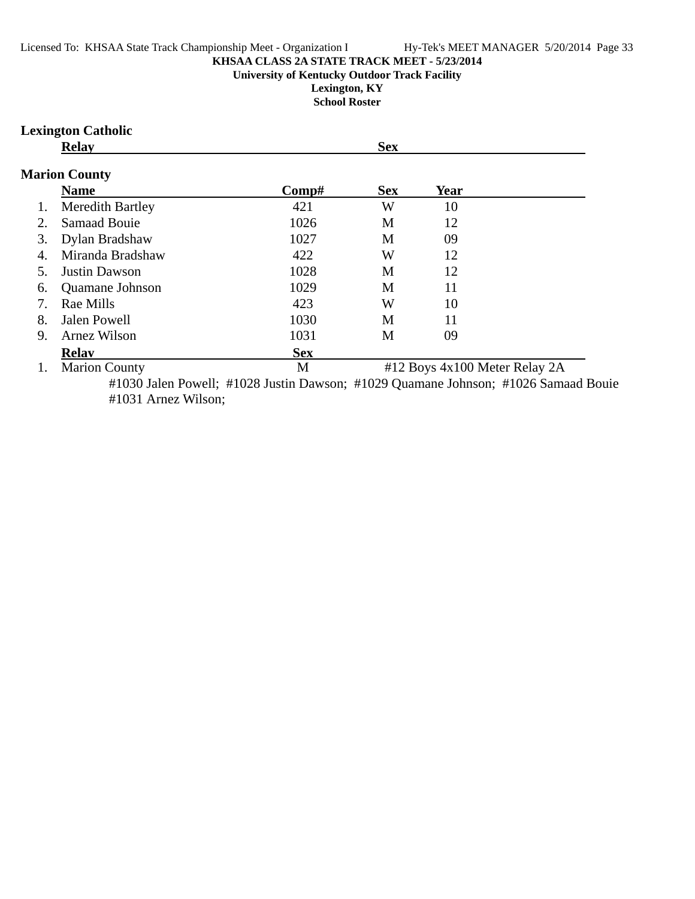## **University of Kentucky Outdoor Track Facility**

**Lexington, KY School Roster**

### **Lexington Catholic**

**Relay Sex** 

## **Marion County**

|                  | <b>Name</b>             | Comp#      | <b>Sex</b> | Year                          |
|------------------|-------------------------|------------|------------|-------------------------------|
| 1.               | <b>Meredith Bartley</b> | 421        | W          | 10                            |
| 2.               | <b>Samaad Bouje</b>     | 1026       | M          | 12                            |
| 3.               | Dylan Bradshaw          | 1027       | M          | 09                            |
| $\overline{4}$ . | Miranda Bradshaw        | 422        | W          | 12                            |
|                  | <b>Justin Dawson</b>    | 1028       | M          | 12                            |
| 6.               | Quamane Johnson         | 1029       | M          | 11                            |
|                  | Rae Mills               | 423        | W          | 10                            |
| 8.               | Jalen Powell            | 1030       | M          | 11                            |
| 9.               | Arnez Wilson            | 1031       | М          | 09                            |
|                  | <b>Relay</b>            | <b>Sex</b> |            |                               |
|                  | <b>Marion County</b>    | M          |            | #12 Boys 4x100 Meter Relay 2A |

#1030 Jalen Powell; #1028 Justin Dawson; #1029 Quamane Johnson; #1026 Samaad Bouie #1031 Arnez Wilson;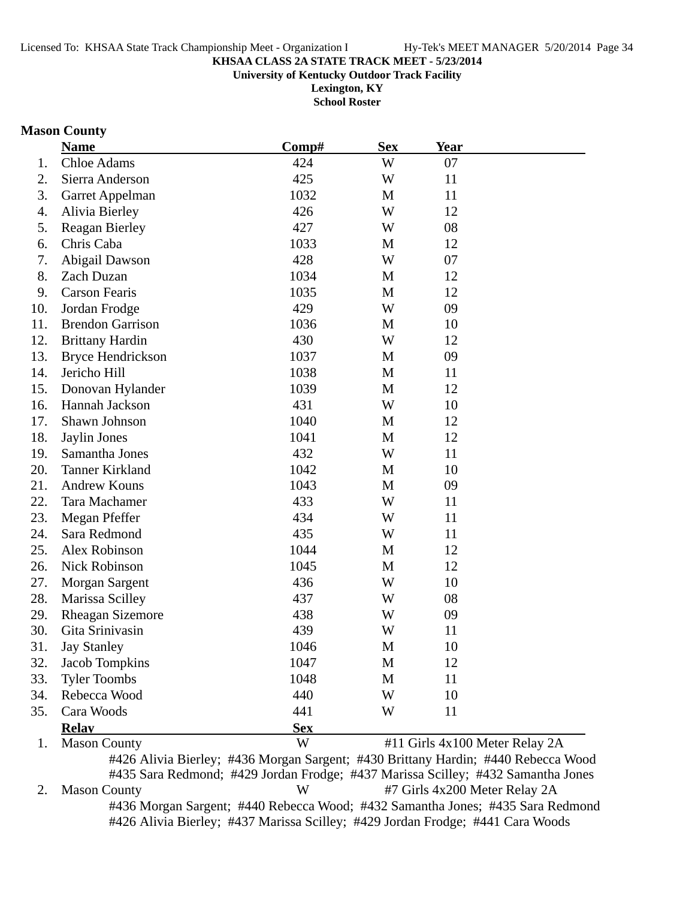**University of Kentucky Outdoor Track Facility**

**Lexington, KY School Roster**

### **Mason County**

|     | <b>Name</b>             | Comp#                                                                             | <b>Sex</b> | <b>Year</b>                    |  |
|-----|-------------------------|-----------------------------------------------------------------------------------|------------|--------------------------------|--|
| 1.  | Chloe Adams             | 424                                                                               | W          | 07                             |  |
| 2.  | Sierra Anderson         | 425                                                                               | W          | 11                             |  |
| 3.  | Garret Appelman         | 1032                                                                              | M          | 11                             |  |
| 4.  | Alivia Bierley          | 426                                                                               | W          | 12                             |  |
| 5.  | <b>Reagan Bierley</b>   | 427                                                                               | W          | 08                             |  |
| 6.  | Chris Caba              | 1033                                                                              | M          | 12                             |  |
| 7.  | Abigail Dawson          | 428                                                                               | W          | 07                             |  |
| 8.  | Zach Duzan              | 1034                                                                              | M          | 12                             |  |
| 9.  | <b>Carson Fearis</b>    | 1035                                                                              | M          | 12                             |  |
| 10. | Jordan Frodge           | 429                                                                               | W          | 09                             |  |
| 11. | <b>Brendon Garrison</b> | 1036                                                                              | M          | 10                             |  |
| 12. | <b>Brittany Hardin</b>  | 430                                                                               | W          | 12                             |  |
| 13. | Bryce Hendrickson       | 1037                                                                              | M          | 09                             |  |
| 14. | Jericho Hill            | 1038                                                                              | M          | 11                             |  |
| 15. | Donovan Hylander        | 1039                                                                              | M          | 12                             |  |
| 16. | Hannah Jackson          | 431                                                                               | W          | 10                             |  |
| 17. | Shawn Johnson           | 1040                                                                              | M          | 12                             |  |
| 18. | Jaylin Jones            | 1041                                                                              | M          | 12                             |  |
| 19. | Samantha Jones          | 432                                                                               | W          | 11                             |  |
| 20. | <b>Tanner Kirkland</b>  | 1042                                                                              | M          | 10                             |  |
| 21. | <b>Andrew Kouns</b>     | 1043                                                                              | M          | 09                             |  |
| 22. | Tara Machamer           | 433                                                                               | W          | 11                             |  |
| 23. | Megan Pfeffer           | 434                                                                               | W          | 11                             |  |
| 24. | Sara Redmond            | 435                                                                               | W          | 11                             |  |
| 25. | Alex Robinson           | 1044                                                                              | M          | 12                             |  |
| 26. | Nick Robinson           | 1045                                                                              | M          | 12                             |  |
| 27. | <b>Morgan Sargent</b>   | 436                                                                               | W          | 10                             |  |
| 28. | Marissa Scilley         | 437                                                                               | W          | 08                             |  |
| 29. | <b>Rheagan Sizemore</b> | 438                                                                               | W          | 09                             |  |
| 30. | Gita Srinivasin         | 439                                                                               | W          | 11                             |  |
| 31. | <b>Jay Stanley</b>      | 1046                                                                              | M          | 10                             |  |
| 32. | Jacob Tompkins          | 1047                                                                              | M          | 12                             |  |
| 33. | <b>Tyler Toombs</b>     | 1048                                                                              | M          | 11                             |  |
| 34. | Rebecca Wood            | 440                                                                               | W          | 10                             |  |
| 35. | Cara Woods              | 441                                                                               | W          | 11                             |  |
|     | <b>Relay</b>            | <b>Sex</b>                                                                        |            |                                |  |
| 1.  | <b>Mason County</b>     | W                                                                                 |            | #11 Girls 4x100 Meter Relay 2A |  |
|     |                         | #426 Alivia Bierley; #436 Morgan Sargent; #430 Brittany Hardin; #440 Rebecca Wood |            |                                |  |

#435 Sara Redmond; #429 Jordan Frodge; #437 Marissa Scilley; #432 Samantha Jones 2. Mason County W #7 Girls 4x200 Meter Relay 2A #436 Morgan Sargent; #440 Rebecca Wood; #432 Samantha Jones; #435 Sara Redmond #426 Alivia Bierley; #437 Marissa Scilley; #429 Jordan Frodge; #441 Cara Woods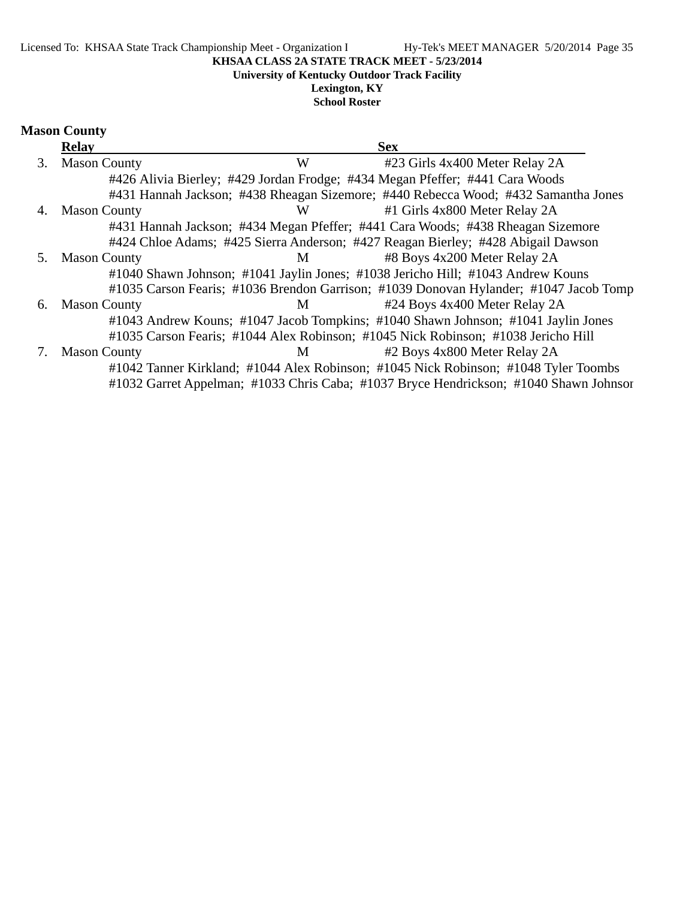**University of Kentucky Outdoor Track Facility**

## **Lexington, KY**

**School Roster**

|    | <b>Relay</b>        |             | <b>Sex</b>                                                                            |
|----|---------------------|-------------|---------------------------------------------------------------------------------------|
| 3. | <b>Mason County</b> | W           | #23 Girls 4x400 Meter Relay 2A                                                        |
|    |                     |             | #426 Alivia Bierley; #429 Jordan Frodge; #434 Megan Pfeffer; #441 Cara Woods          |
|    |                     |             | #431 Hannah Jackson; #438 Rheagan Sizemore; #440 Rebecca Wood; #432 Samantha Jones    |
| 4. | <b>Mason County</b> | W           | #1 Girls 4x800 Meter Relay 2A                                                         |
|    |                     |             | #431 Hannah Jackson; #434 Megan Pfeffer; #441 Cara Woods; #438 Rheagan Sizemore       |
|    |                     |             | #424 Chloe Adams; #425 Sierra Anderson; #427 Reagan Bierley; #428 Abigail Dawson      |
| 5. | <b>Mason County</b> | M           | #8 Boys 4x200 Meter Relay 2A                                                          |
|    |                     |             | #1040 Shawn Johnson; #1041 Jaylin Jones; #1038 Jericho Hill; #1043 Andrew Kouns       |
|    |                     |             | #1035 Carson Fearis; #1036 Brendon Garrison; #1039 Donovan Hylander; #1047 Jacob Tomp |
| 6. | <b>Mason County</b> | $M$ and $M$ | #24 Boys 4x400 Meter Relay 2A                                                         |
|    |                     |             | #1043 Andrew Kouns; #1047 Jacob Tompkins; #1040 Shawn Johnson; #1041 Jaylin Jones     |
|    |                     |             | #1035 Carson Fearis; #1044 Alex Robinson; #1045 Nick Robinson; #1038 Jericho Hill     |
| 7. | <b>Mason County</b> | M           | #2 Boys 4x800 Meter Relay 2A                                                          |
|    |                     |             | #1042 Tanner Kirkland; #1044 Alex Robinson; #1045 Nick Robinson; #1048 Tyler Toombs   |
|    |                     |             | #1032 Garret Appelman; #1033 Chris Caba; #1037 Bryce Hendrickson; #1040 Shawn Johnsor |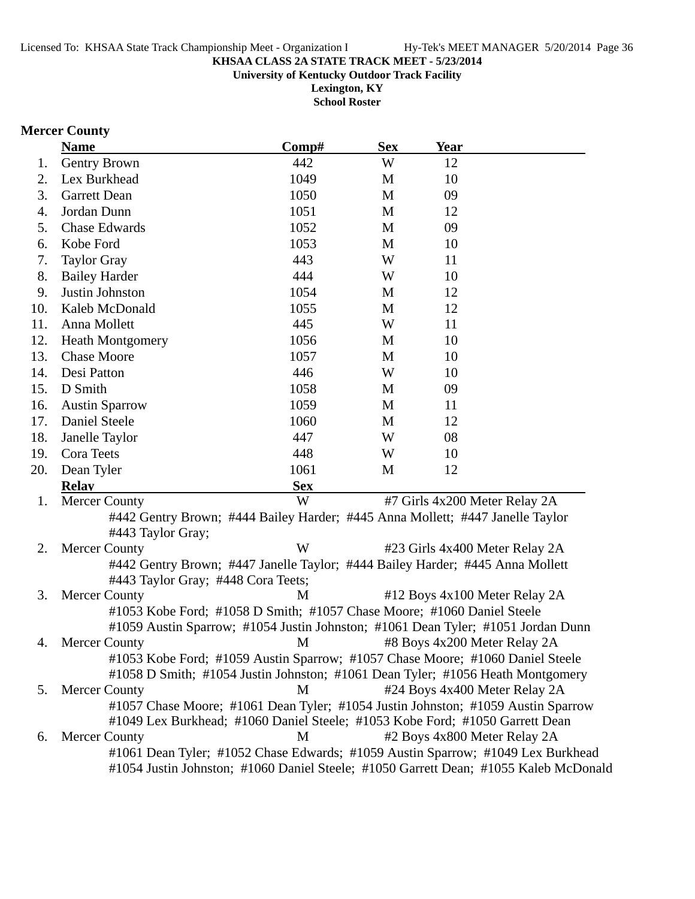**University of Kentucky Outdoor Track Facility**

**Lexington, KY School Roster**

### **Mercer County**

|     | <b>Name</b>                                                                                             | Comp#      | <b>Sex</b>   | <b>Year</b>                    |  |
|-----|---------------------------------------------------------------------------------------------------------|------------|--------------|--------------------------------|--|
| 1.  | Gentry Brown                                                                                            | 442        | W            | 12                             |  |
| 2.  | Lex Burkhead                                                                                            | 1049       | M            | 10                             |  |
| 3.  | <b>Garrett Dean</b>                                                                                     | 1050       | M            | 09                             |  |
| 4.  | Jordan Dunn                                                                                             | 1051       | $\mathbf{M}$ | 12                             |  |
| 5.  | <b>Chase Edwards</b>                                                                                    | 1052       | $\mathbf{M}$ | 09                             |  |
| 6.  | Kobe Ford                                                                                               | 1053       | M            | 10                             |  |
| 7.  | <b>Taylor Gray</b>                                                                                      | 443        | W            | 11                             |  |
| 8.  | <b>Bailey Harder</b>                                                                                    | 444        | W            | 10                             |  |
| 9.  | Justin Johnston                                                                                         | 1054       | M            | 12                             |  |
| 10. | Kaleb McDonald                                                                                          | 1055       | M            | 12                             |  |
| 11. | Anna Mollett                                                                                            | 445        | W            | 11                             |  |
| 12. | <b>Heath Montgomery</b>                                                                                 | 1056       | M            | 10                             |  |
| 13. | <b>Chase Moore</b>                                                                                      | 1057       | M            | 10                             |  |
| 14. | Desi Patton                                                                                             | 446        | W            | 10                             |  |
| 15. | D Smith                                                                                                 | 1058       | M            | 09                             |  |
| 16. | <b>Austin Sparrow</b>                                                                                   | 1059       | $\mathbf{M}$ | 11                             |  |
| 17. | Daniel Steele                                                                                           | 1060       | M            | 12                             |  |
| 18. | Janelle Taylor                                                                                          | 447        | W            | 08                             |  |
| 19. | Cora Teets                                                                                              | 448        | W            | 10                             |  |
| 20. | Dean Tyler                                                                                              | 1061       | M            | 12                             |  |
|     | <b>Relay</b>                                                                                            | <b>Sex</b> |              |                                |  |
| 1.  | <b>Mercer County</b>                                                                                    | W          |              | #7 Girls 4x200 Meter Relay 2A  |  |
|     | #442 Gentry Brown; #444 Bailey Harder; #445 Anna Mollett; #447 Janelle Taylor<br>#443 Taylor Gray;      |            |              |                                |  |
| 2.  | <b>Mercer County</b>                                                                                    | W          |              | #23 Girls 4x400 Meter Relay 2A |  |
|     | #442 Gentry Brown; #447 Janelle Taylor; #444 Bailey Harder; #445 Anna Mollett                           |            |              |                                |  |
|     | #443 Taylor Gray; #448 Cora Teets;                                                                      |            |              |                                |  |
| 3.  | <b>Mercer County</b>                                                                                    | M          |              | #12 Boys 4x100 Meter Relay 2A  |  |
|     | #1053 Kobe Ford; #1058 D Smith; #1057 Chase Moore; #1060 Daniel Steele                                  |            |              |                                |  |
|     | #1059 Austin Sparrow; #1054 Justin Johnston; #1061 Dean Tyler; #1051 Jordan Dunn                        |            |              |                                |  |
| 4.  | <b>Mercer County</b>                                                                                    | M          |              | #8 Boys 4x200 Meter Relay 2A   |  |
|     | #1053 Kobe Ford; #1059 Austin Sparrow; #1057 Chase Moore; #1060 Daniel Steele                           |            |              |                                |  |
|     | #1058 D Smith; #1054 Justin Johnston; #1061 Dean Tyler; #1056 Heath Montgomery                          |            |              |                                |  |
| 5.  | <b>Mercer County</b>                                                                                    | M          |              | #24 Boys 4x400 Meter Relay 2A  |  |
|     | #1057 Chase Moore; #1061 Dean Tyler; #1054 Justin Johnston; #1059 Austin Sparrow                        |            |              |                                |  |
|     | #1049 Lex Burkhead; #1060 Daniel Steele; #1053 Kobe Ford; #1050 Garrett Dean                            |            |              |                                |  |
| 6.  | <b>Mercer County</b><br>#1061 Dean Tyler; #1052 Chase Edwards; #1059 Austin Sparrow; #1049 Lex Burkhead | M          |              | #2 Boys 4x800 Meter Relay 2A   |  |
|     | #1054 Justin Johnston; #1060 Daniel Steele; #1050 Garrett Dean; #1055 Kaleb McDonald                    |            |              |                                |  |
|     |                                                                                                         |            |              |                                |  |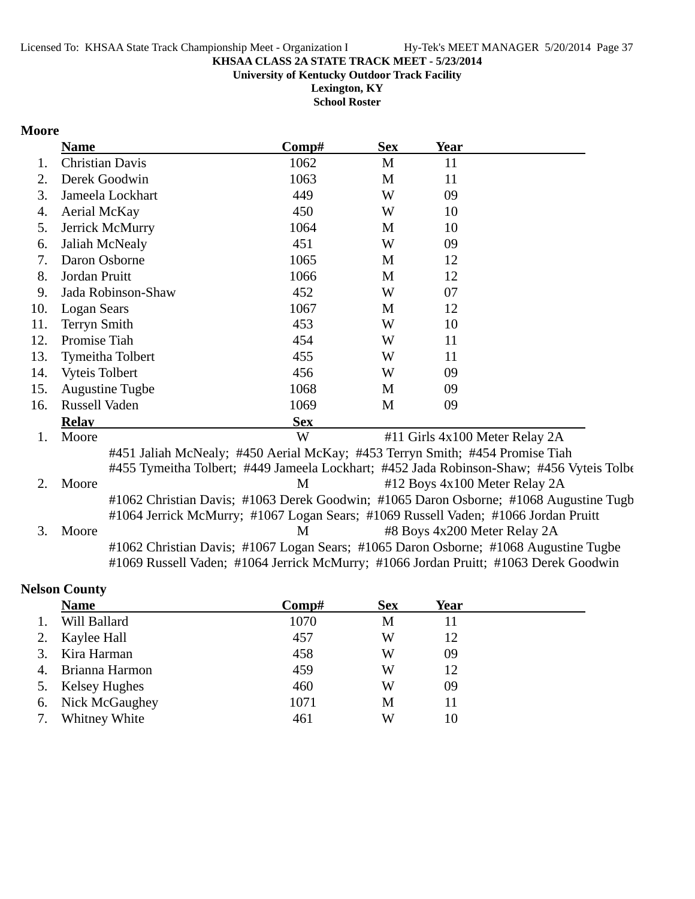**University of Kentucky Outdoor Track Facility**

**Lexington, KY School Roster**

### **Moore**

|     | <b>Name</b>            | Comp#                                                                              | <b>Sex</b> | <b>Year</b> |                                                                                          |
|-----|------------------------|------------------------------------------------------------------------------------|------------|-------------|------------------------------------------------------------------------------------------|
| 1.  | <b>Christian Davis</b> | 1062                                                                               | M          | 11          |                                                                                          |
| 2.  | Derek Goodwin          | 1063                                                                               | M          | 11          |                                                                                          |
| 3.  | Jameela Lockhart       | 449                                                                                | W          | 09          |                                                                                          |
| 4.  | Aerial McKay           | 450                                                                                | W          | 10          |                                                                                          |
| 5.  | Jerrick McMurry        | 1064                                                                               | M          | 10          |                                                                                          |
| 6.  | Jaliah McNealy         | 451                                                                                | W          | 09          |                                                                                          |
| 7.  | Daron Osborne          | 1065                                                                               | M          | 12          |                                                                                          |
| 8.  | Jordan Pruitt          | 1066                                                                               | M          | 12          |                                                                                          |
| 9.  | Jada Robinson-Shaw     | 452                                                                                | W          | 07          |                                                                                          |
| 10. | Logan Sears            | 1067                                                                               | M          | 12          |                                                                                          |
| 11. | <b>Terryn Smith</b>    | 453                                                                                | W          | 10          |                                                                                          |
| 12. | Promise Tiah           | 454                                                                                | W          | 11          |                                                                                          |
| 13. | Tymeitha Tolbert       | 455                                                                                | W          | 11          |                                                                                          |
| 14. | <b>Vyteis Tolbert</b>  | 456                                                                                | W          | 09          |                                                                                          |
| 15. | <b>Augustine Tugbe</b> | 1068                                                                               | M          | 09          |                                                                                          |
| 16. | Russell Vaden          | 1069                                                                               | M          | 09          |                                                                                          |
|     | <b>Relay</b>           | <b>Sex</b>                                                                         |            |             |                                                                                          |
| 1.  | Moore                  | W                                                                                  |            |             | #11 Girls 4x100 Meter Relay 2A                                                           |
|     |                        | #451 Jaliah McNealy; #450 Aerial McKay; #453 Terryn Smith; #454 Promise Tiah       |            |             |                                                                                          |
|     |                        |                                                                                    |            |             | #455 Tymeitha Tolbert; #449 Jameela Lockhart; #452 Jada Robinson-Shaw; #456 Vyteis Tolbe |
| 2.  | Moore                  | M                                                                                  |            |             | #12 Boys 4x100 Meter Relay 2A                                                            |
|     |                        |                                                                                    |            |             | #1062 Christian Davis; #1063 Derek Goodwin; #1065 Daron Osborne; #1068 Augustine Tugb    |
|     |                        | #1064 Jerrick McMurry; #1067 Logan Sears; #1069 Russell Vaden; #1066 Jordan Pruitt |            |             |                                                                                          |
| 3.  | Moore                  | M                                                                                  |            |             | #8 Boys 4x200 Meter Relay 2A                                                             |
|     |                        |                                                                                    |            |             | #1062 Christian Davis; #1067 Logan Sears; #1065 Daron Osborne; #1068 Augustine Tugbe     |
|     |                        |                                                                                    |            |             | #1069 Russell Vaden; #1064 Jerrick McMurry; #1066 Jordan Pruitt; #1063 Derek Goodwin     |

## **Nelson County**

|    | <b>Name</b>    | $\bf Comp\#$ | <b>Sex</b> | Year |
|----|----------------|--------------|------------|------|
|    | Will Ballard   | 1070         | М          | 11   |
| 2. | Kaylee Hall    | 457          | W          | 12   |
|    | Kira Harman    | 458          | W          | 09   |
| 4. | Brianna Harmon | 459          | W          | 12   |
| 5. | Kelsey Hughes  | 460          | W          | 09   |
| 6. | Nick McGaughey | 1071         | M          | 11   |
|    | Whitney White  | 461          | W          | 10   |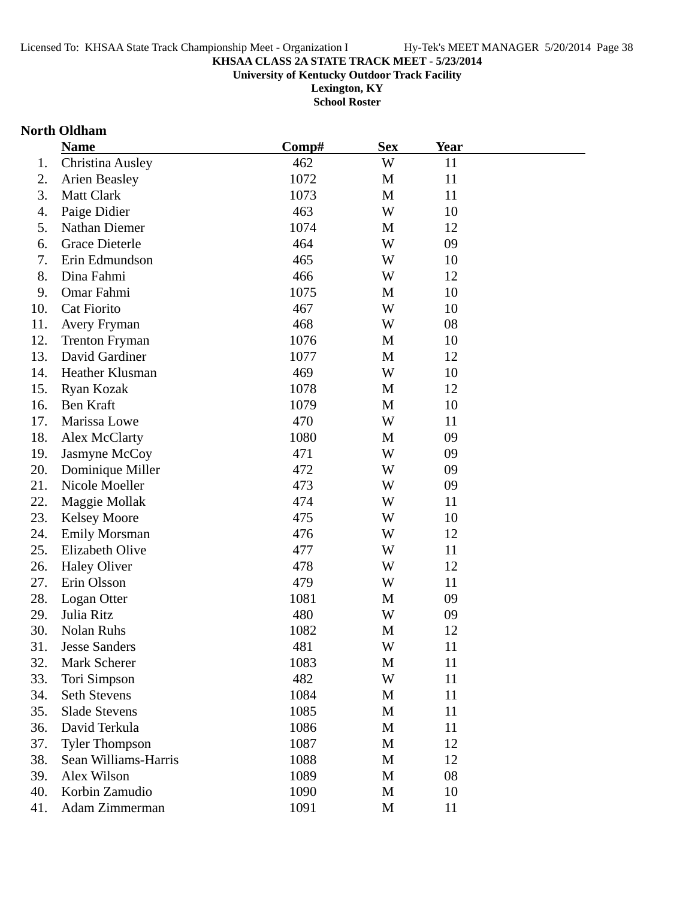**University of Kentucky Outdoor Track Facility**

**Lexington, KY School Roster**

## **North Oldham**

|     | <b>Name</b>           | Comp# | <b>Sex</b> | <b>Year</b> |  |
|-----|-----------------------|-------|------------|-------------|--|
| 1.  | Christina Ausley      | 462   | W          | 11          |  |
| 2.  | <b>Arien Beasley</b>  | 1072  | M          | 11          |  |
| 3.  | Matt Clark            | 1073  | M          | 11          |  |
| 4.  | Paige Didier          | 463   | W          | 10          |  |
| 5.  | Nathan Diemer         | 1074  | M          | 12          |  |
| 6.  | <b>Grace Dieterle</b> | 464   | W          | 09          |  |
| 7.  | Erin Edmundson        | 465   | W          | 10          |  |
| 8.  | Dina Fahmi            | 466   | W          | 12          |  |
| 9.  | Omar Fahmi            | 1075  | M          | 10          |  |
| 10. | Cat Fiorito           | 467   | W          | 10          |  |
| 11. | Avery Fryman          | 468   | W          | 08          |  |
| 12. | <b>Trenton Fryman</b> | 1076  | M          | 10          |  |
| 13. | David Gardiner        | 1077  | M          | 12          |  |
| 14. | Heather Klusman       | 469   | W          | 10          |  |
| 15. | Ryan Kozak            | 1078  | M          | 12          |  |
| 16. | Ben Kraft             | 1079  | M          | 10          |  |
| 17. | Marissa Lowe          | 470   | W          | 11          |  |
| 18. | Alex McClarty         | 1080  | M          | 09          |  |
| 19. | Jasmyne McCoy         | 471   | W          | 09          |  |
| 20. | Dominique Miller      | 472   | W          | 09          |  |
| 21. | Nicole Moeller        | 473   | W          | 09          |  |
| 22. | Maggie Mollak         | 474   | W          | 11          |  |
| 23. | <b>Kelsey Moore</b>   | 475   | W          | 10          |  |
| 24. | <b>Emily Morsman</b>  | 476   | W          | 12          |  |
| 25. | Elizabeth Olive       | 477   | W          | 11          |  |
| 26. | <b>Haley Oliver</b>   | 478   | W          | 12          |  |
| 27. | Erin Olsson           | 479   | W          | 11          |  |
| 28. | Logan Otter           | 1081  | M          | 09          |  |
| 29. | Julia Ritz            | 480   | W          | 09          |  |
| 30. | Nolan Ruhs            | 1082  | M          | 12          |  |
| 31. | <b>Jesse Sanders</b>  | 481   | W          | 11          |  |
| 32. | Mark Scherer          | 1083  | M          | 11          |  |
| 33. | Tori Simpson          | 482   | W          | 11          |  |
| 34. | <b>Seth Stevens</b>   | 1084  | M          | 11          |  |
| 35. | <b>Slade Stevens</b>  | 1085  | M          | 11          |  |
| 36. | David Terkula         | 1086  | M          | 11          |  |
| 37. | <b>Tyler Thompson</b> | 1087  | M          | 12          |  |
| 38. | Sean Williams-Harris  | 1088  | M          | 12          |  |
| 39. | Alex Wilson           | 1089  | M          | 08          |  |
| 40. | Korbin Zamudio        | 1090  | M          | 10          |  |
| 41. | Adam Zimmerman        | 1091  | M          | 11          |  |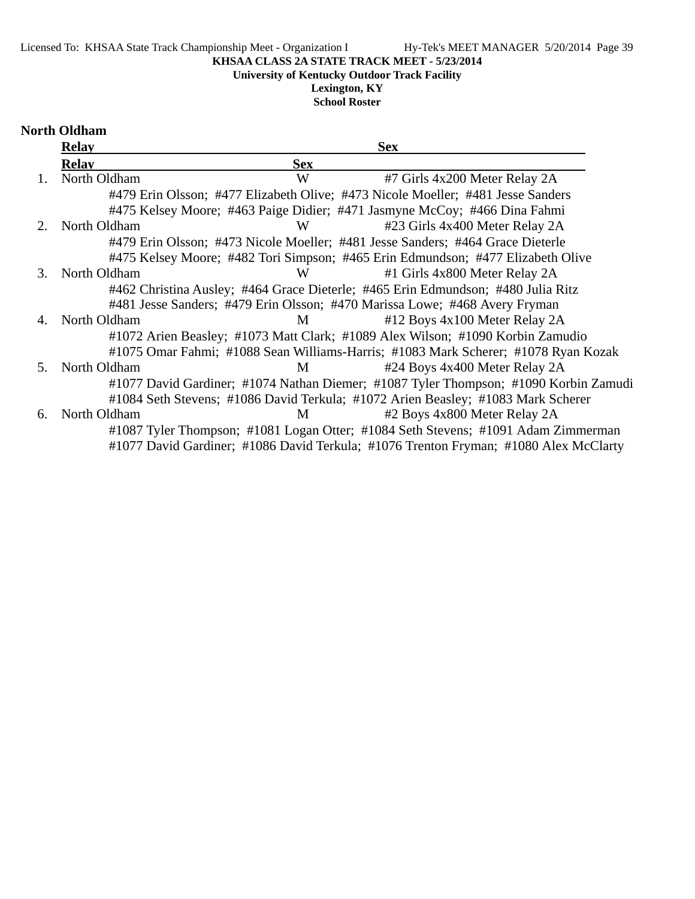### Licensed To: KHSAA State Track Championship Meet - Organization I Hy-Tek's MEET MANAGER 5/20/2014 Page 39

### **KHSAA CLASS 2A STATE TRACK MEET - 5/23/2014**

**University of Kentucky Outdoor Track Facility**

## **Lexington, KY**

**School Roster**

## **North Oldham**

|    | <b>Relay</b> |            | <b>Sex</b>                                                                           |
|----|--------------|------------|--------------------------------------------------------------------------------------|
|    | <b>Relav</b> | <b>Sex</b> |                                                                                      |
|    | North Oldham | W          | #7 Girls 4x200 Meter Relay 2A                                                        |
|    |              |            | #479 Erin Olsson; #477 Elizabeth Olive; #473 Nicole Moeller; #481 Jesse Sanders      |
|    |              |            | #475 Kelsey Moore; #463 Paige Didier; #471 Jasmyne McCoy; #466 Dina Fahmi            |
| 2. | North Oldham | W          | #23 Girls 4x400 Meter Relay 2A                                                       |
|    |              |            | #479 Erin Olsson; #473 Nicole Moeller; #481 Jesse Sanders; #464 Grace Dieterle       |
|    |              |            | #475 Kelsey Moore; #482 Tori Simpson; #465 Erin Edmundson; #477 Elizabeth Olive      |
| 3. | North Oldham | W          | #1 Girls 4x800 Meter Relay 2A                                                        |
|    |              |            | #462 Christina Ausley; #464 Grace Dieterle; #465 Erin Edmundson; #480 Julia Ritz     |
|    |              |            | #481 Jesse Sanders; #479 Erin Olsson; #470 Marissa Lowe; #468 Avery Fryman           |
| 4. | North Oldham | M          | #12 Boys 4x100 Meter Relay 2A                                                        |
|    |              |            | #1072 Arien Beasley; #1073 Matt Clark; #1089 Alex Wilson; #1090 Korbin Zamudio       |
|    |              |            | #1075 Omar Fahmi; #1088 Sean Williams-Harris; #1083 Mark Scherer; #1078 Ryan Kozak   |
| 5. | North Oldham | M          | #24 Boys 4x400 Meter Relay 2A                                                        |
|    |              |            | #1077 David Gardiner; #1074 Nathan Diemer; #1087 Tyler Thompson; #1090 Korbin Zamudi |
|    |              |            | #1084 Seth Stevens; #1086 David Terkula; #1072 Arien Beasley; #1083 Mark Scherer     |
| 6. | North Oldham | М          | #2 Boys 4x800 Meter Relay 2A                                                         |
|    |              |            | #1087 Tyler Thompson; #1081 Logan Otter; #1084 Seth Stevens; #1091 Adam Zimmerman    |
|    |              |            | #1077 David Gardiner; #1086 David Terkula; #1076 Trenton Fryman; #1080 Alex McClarty |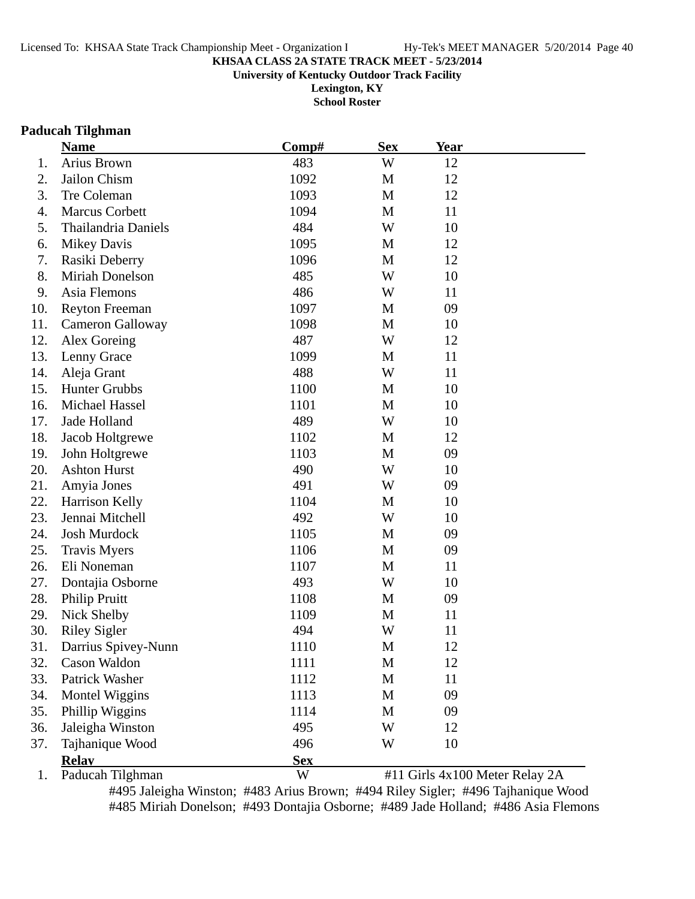**University of Kentucky Outdoor Track Facility**

**Lexington, KY School Roster**

### **Paducah Tilghman**

|     | <b>Name</b>           | Comp#      | <b>Sex</b>  | <b>Year</b> |                                |
|-----|-----------------------|------------|-------------|-------------|--------------------------------|
| 1.  | Arius Brown           | 483        | W           | 12          |                                |
| 2.  | Jailon Chism          | 1092       | M           | 12          |                                |
| 3.  | Tre Coleman           | 1093       | M           | 12          |                                |
| 4.  | Marcus Corbett        | 1094       | M           | 11          |                                |
| 5.  | Thailandria Daniels   | 484        | W           | 10          |                                |
| 6.  | <b>Mikey Davis</b>    | 1095       | M           | 12          |                                |
| 7.  | Rasiki Deberry        | 1096       | M           | 12          |                                |
| 8.  | Miriah Donelson       | 485        | W           | 10          |                                |
| 9.  | Asia Flemons          | 486        | W           | 11          |                                |
| 10. | <b>Reyton Freeman</b> | 1097       | M           | 09          |                                |
| 11. | Cameron Galloway      | 1098       | M           | 10          |                                |
| 12. | Alex Goreing          | 487        | W           | 12          |                                |
| 13. | Lenny Grace           | 1099       | M           | 11          |                                |
| 14. | Aleja Grant           | 488        | W           | 11          |                                |
| 15. | <b>Hunter Grubbs</b>  | 1100       | M           | 10          |                                |
| 16. | Michael Hassel        | 1101       | M           | 10          |                                |
| 17. | Jade Holland          | 489        | W           | 10          |                                |
| 18. | Jacob Holtgrewe       | 1102       | M           | 12          |                                |
| 19. | John Holtgrewe        | 1103       | M           | 09          |                                |
| 20. | <b>Ashton Hurst</b>   | 490        | W           | 10          |                                |
| 21. | Amyia Jones           | 491        | W           | 09          |                                |
| 22. | Harrison Kelly        | 1104       | M           | 10          |                                |
| 23. | Jennai Mitchell       | 492        | W           | 10          |                                |
| 24. | Josh Murdock          | 1105       | M           | 09          |                                |
| 25. | <b>Travis Myers</b>   | 1106       | M           | 09          |                                |
| 26. | Eli Noneman           | 1107       | M           | 11          |                                |
| 27. | Dontajia Osborne      | 493        | W           | 10          |                                |
| 28. | Philip Pruitt         | 1108       | M           | 09          |                                |
| 29. | Nick Shelby           | 1109       | M           | 11          |                                |
| 30. | <b>Riley Sigler</b>   | 494        | W           | 11          |                                |
| 31. | Darrius Spivey-Nunn   | 1110       | M           | 12          |                                |
| 32. | Cason Waldon          | 1111       | M           | 12          |                                |
| 33. | Patrick Washer        | 1112       | M           | 11          |                                |
| 34. | Montel Wiggins        | 1113       | $\mathbf M$ | 09          |                                |
| 35. | Phillip Wiggins       | 1114       | M           | 09          |                                |
| 36. | Jaleigha Winston      | 495        | W           | 12          |                                |
| 37. | Tajhanique Wood       | 496        | W           | 10          |                                |
|     | <b>Relav</b>          | <b>Sex</b> |             |             |                                |
| 1.  | Paducah Tilghman      | W          |             |             | #11 Girls 4x100 Meter Relay 2A |

#495 Jaleigha Winston; #483 Arius Brown; #494 Riley Sigler; #496 Tajhanique Wood #485 Miriah Donelson; #493 Dontajia Osborne; #489 Jade Holland; #486 Asia Flemons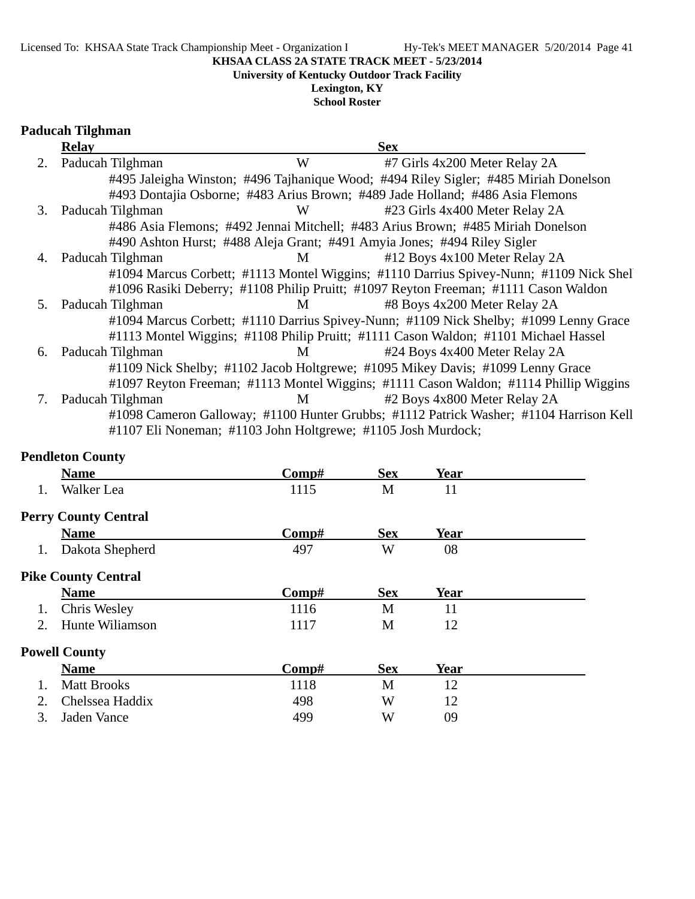**University of Kentucky Outdoor Track Facility**

## **Lexington, KY**

**School Roster**

### **Paducah Tilghman**

|    | <b>Relay</b>     |                                                              | <b>Sex</b>                                                                             |
|----|------------------|--------------------------------------------------------------|----------------------------------------------------------------------------------------|
| 2. | Paducah Tilghman | W                                                            | #7 Girls 4x200 Meter Relay 2A                                                          |
|    |                  |                                                              | #495 Jaleigha Winston; #496 Tajhanique Wood; #494 Riley Sigler; #485 Miriah Donelson   |
|    |                  |                                                              | #493 Dontajia Osborne; #483 Arius Brown; #489 Jade Holland; #486 Asia Flemons          |
| 3. | Paducah Tilghman | W                                                            | #23 Girls 4x400 Meter Relay 2A                                                         |
|    |                  |                                                              | #486 Asia Flemons; #492 Jennai Mitchell; #483 Arius Brown; #485 Miriah Donelson        |
|    |                  |                                                              | #490 Ashton Hurst; #488 Aleja Grant; #491 Amyia Jones; #494 Riley Sigler               |
| 4. | Paducah Tilghman | M                                                            | #12 Boys 4x100 Meter Relay 2A                                                          |
|    |                  |                                                              | #1094 Marcus Corbett; #1113 Montel Wiggins; #1110 Darrius Spivey-Nunn; #1109 Nick Shel |
|    |                  |                                                              | #1096 Rasiki Deberry; #1108 Philip Pruitt; #1097 Reyton Freeman; #1111 Cason Waldon    |
| 5. | Paducah Tilghman | M                                                            | #8 Boys 4x200 Meter Relay 2A                                                           |
|    |                  |                                                              | #1094 Marcus Corbett; #1110 Darrius Spivey-Nunn; #1109 Nick Shelby; #1099 Lenny Grace  |
|    |                  |                                                              | #1113 Montel Wiggins; #1108 Philip Pruitt; #1111 Cason Waldon; #1101 Michael Hassel    |
| 6. | Paducah Tilghman | M                                                            | #24 Boys 4x400 Meter Relay 2A                                                          |
|    |                  |                                                              | #1109 Nick Shelby; #1102 Jacob Holtgrewe; #1095 Mikey Davis; #1099 Lenny Grace         |
|    |                  |                                                              | #1097 Reyton Freeman; #1113 Montel Wiggins; #1111 Cason Waldon; #1114 Phillip Wiggins  |
|    | Paducah Tilghman | M                                                            | #2 Boys 4x800 Meter Relay 2A                                                           |
|    |                  |                                                              | #1098 Cameron Galloway; #1100 Hunter Grubbs; #1112 Patrick Washer; #1104 Harrison Kell |
|    |                  | #1107 Eli Noneman; #1103 John Holtgrewe; #1105 Josh Murdock; |                                                                                        |

## **Pendleton County**

|    | <b>Name</b>                 | Comp# | <b>Sex</b> | <b>Year</b> |  |
|----|-----------------------------|-------|------------|-------------|--|
| 1. | Walker Lea                  | 1115  | M          | 11          |  |
|    | <b>Perry County Central</b> |       |            |             |  |
|    | <b>Name</b>                 | Comp# | <b>Sex</b> | <b>Year</b> |  |
| 1. | Dakota Shepherd             | 497   | W          | 08          |  |
|    | <b>Pike County Central</b>  |       |            |             |  |
|    | <b>Name</b>                 | Comp# | <b>Sex</b> | <b>Year</b> |  |
| 1. | Chris Wesley                | 1116  | M          | 11          |  |
| 2. | Hunte Wiliamson             | 1117  | M          | 12          |  |
|    | <b>Powell County</b>        |       |            |             |  |
|    | <b>Name</b>                 | Comp# | <b>Sex</b> | <b>Year</b> |  |
|    | <b>Matt Brooks</b>          | 1118  | M          | 12          |  |
| 2. | Chelssea Haddix             | 498   | W          | 12          |  |
| 3. | Jaden Vance                 | 499   | W          | 09          |  |
|    |                             |       |            |             |  |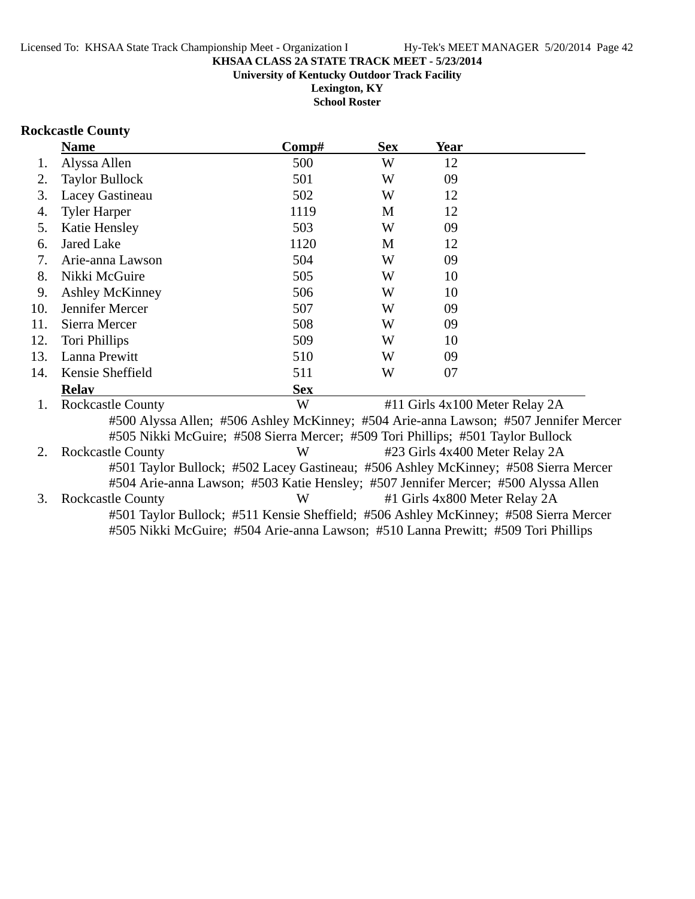**Lexington, KY School Roster**

### **Rockcastle County**

|     | <b>Name</b>                                                                          | Comp#      | <b>Sex</b> | Year |                                                                                      |
|-----|--------------------------------------------------------------------------------------|------------|------------|------|--------------------------------------------------------------------------------------|
| 1.  | Alyssa Allen                                                                         | 500        | W          | 12   |                                                                                      |
| 2.  | <b>Taylor Bullock</b>                                                                | 501        | W          | 09   |                                                                                      |
| 3.  | Lacey Gastineau                                                                      | 502        | W          | 12   |                                                                                      |
| 4.  | <b>Tyler Harper</b>                                                                  | 1119       | M          | 12   |                                                                                      |
| 5.  | Katie Hensley                                                                        | 503        | W          | 09   |                                                                                      |
| 6.  | <b>Jared Lake</b>                                                                    | 1120       | M          | 12   |                                                                                      |
| 7.  | Arie-anna Lawson                                                                     | 504        | W          | 09   |                                                                                      |
| 8.  | Nikki McGuire                                                                        | 505        | W          | 10   |                                                                                      |
| 9.  | <b>Ashley McKinney</b>                                                               | 506        | W          | 10   |                                                                                      |
| 10. | Jennifer Mercer                                                                      | 507        | W          | 09   |                                                                                      |
| 11. | Sierra Mercer                                                                        | 508        | W          | 09   |                                                                                      |
| 12. | Tori Phillips                                                                        | 509        | W          | 10   |                                                                                      |
| 13. | Lanna Prewitt                                                                        | 510        | W          | 09   |                                                                                      |
| 14. | Kensie Sheffield                                                                     | 511        | W          | 07   |                                                                                      |
|     | <b>Relav</b>                                                                         | <b>Sex</b> |            |      |                                                                                      |
| 1.  | <b>Rockcastle County</b>                                                             | W          |            |      | #11 Girls 4x100 Meter Relay 2A                                                       |
|     | #505 Nikki McGuire; #508 Sierra Mercer; #509 Tori Phillips; #501 Taylor Bullock      |            |            |      | #500 Alyssa Allen; #506 Ashley McKinney; #504 Arie-anna Lawson; #507 Jennifer Mercer |
| 2.  | <b>Rockcastle County</b>                                                             | W          |            |      | #23 Girls 4x400 Meter Relay 2A                                                       |
|     | #501 Taylor Bullock; #502 Lacey Gastineau; #506 Ashley McKinney; #508 Sierra Mercer  |            |            |      |                                                                                      |
|     | #504 Arie-anna Lawson; #503 Katie Hensley; #507 Jennifer Mercer; #500 Alyssa Allen   |            |            |      |                                                                                      |
| 3.  | <b>Rockcastle County</b>                                                             | W          |            |      | #1 Girls 4x800 Meter Relay 2A                                                        |
|     | #501 Taylor Bullock; #511 Kensie Sheffield; #506 Ashley McKinney; #508 Sierra Mercer |            |            |      |                                                                                      |
|     | #505 Nikki McGuire; #504 Arie-anna Lawson; #510 Lanna Prewitt; #509 Tori Phillips    |            |            |      |                                                                                      |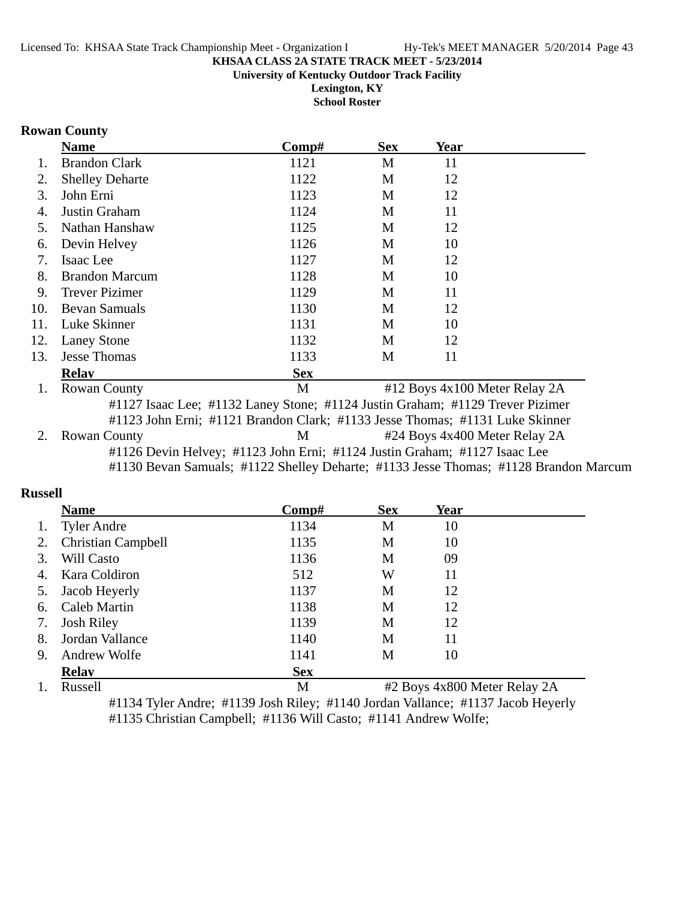**Lexington, KY School Roster**

### **Rowan County**

|     | <b>Name</b>                                                                   | Comp#      | <b>Sex</b> | Year                          |  |
|-----|-------------------------------------------------------------------------------|------------|------------|-------------------------------|--|
| 1.  | <b>Brandon Clark</b>                                                          | 1121       | M          | 11                            |  |
| 2.  | <b>Shelley Deharte</b>                                                        | 1122       | M          | 12                            |  |
| 3.  | John Erni                                                                     | 1123       | M          | 12                            |  |
| 4.  | Justin Graham                                                                 | 1124       | M          | 11                            |  |
| 5.  | Nathan Hanshaw                                                                | 1125       | М          | 12                            |  |
| 6.  | Devin Helvey                                                                  | 1126       | M          | 10                            |  |
| 7.  | Isaac Lee                                                                     | 1127       | M          | 12                            |  |
| 8.  | <b>Brandon Marcum</b>                                                         | 1128       | M          | 10                            |  |
| 9.  | <b>Trever Pizimer</b>                                                         | 1129       | M          | 11                            |  |
| 10. | <b>Bevan Samuals</b>                                                          | 1130       | M          | 12                            |  |
| 11. | Luke Skinner                                                                  | 1131       | M          | 10                            |  |
| 12. | <b>Laney Stone</b>                                                            | 1132       | M          | 12                            |  |
| 13. | <b>Jesse Thomas</b>                                                           | 1133       | M          | 11                            |  |
|     | <b>Relav</b>                                                                  | <b>Sex</b> |            |                               |  |
| 1.  | <b>Rowan County</b>                                                           | M          |            | #12 Boys 4x100 Meter Relay 2A |  |
|     | #1127 Isaac Lee; #1132 Laney Stone; #1124 Justin Graham; #1129 Trever Pizimer |            |            |                               |  |
|     | #1123 John Erni; #1121 Brandon Clark; #1133 Jesse Thomas; #1131 Luke Skinner  |            |            |                               |  |
| 2.  | <b>Rowan County</b>                                                           | M          |            | #24 Boys 4x400 Meter Relay 2A |  |
|     | #1126 Devin Helvey; #1123 John Erni; #1124 Justin Graham; #1127 Isaac Lee     |            |            |                               |  |

#1130 Bevan Samuals; #1122 Shelley Deharte; #1133 Jesse Thomas; #1128 Brandon Marcum

### **Russell**

|    | <b>Name</b>               | Comp#        | <b>Sex</b>   | <b>Year</b> |                |
|----|---------------------------|--------------|--------------|-------------|----------------|
| 1. | <b>Tyler Andre</b>        | 1134         | M            | 10          |                |
| 2. | <b>Christian Campbell</b> | 1135         | M            | 10          |                |
| 3. | Will Casto                | 1136         | M            | 09          |                |
| 4. | Kara Coldiron             | 512          | W            | 11          |                |
| 5. | Jacob Heyerly             | 1137         | M            | 12          |                |
| 6. | <b>Caleb Martin</b>       | 1138         | M            | 12          |                |
| 7. | <b>Josh Riley</b>         | 1139         | M            | 12          |                |
| 8. | Jordan Vallance           | 1140         | М            | 11          |                |
| 9. | Andrew Wolfe              | 1141         | M            | 10          |                |
|    | <b>Relay</b>              | <b>Sex</b>   |              |             |                |
|    | $\mathbf{r}$ $\mathbf{r}$ | $\mathbf{r}$ | $\mathbf{u}$ |             | $\overline{a}$ |

1. Russell M #2 Boys 4x800 Meter Relay 2A #1134 Tyler Andre; #1139 Josh Riley; #1140 Jordan Vallance; #1137 Jacob Heyerly #1135 Christian Campbell; #1136 Will Casto; #1141 Andrew Wolfe;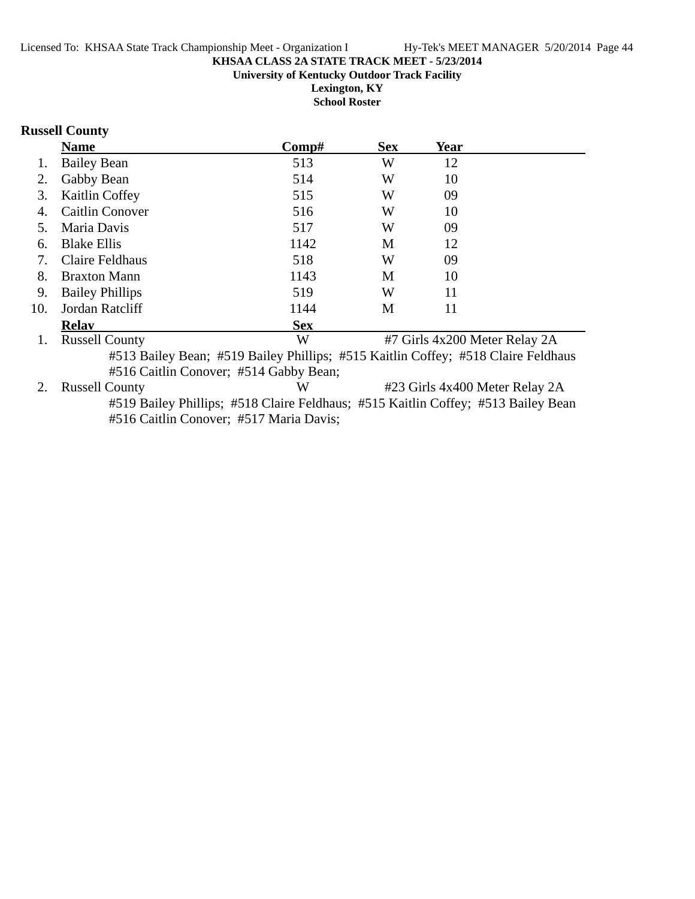**Lexington, KY School Roster**

### **Russell County**

|     | <b>Name</b>                                                                       | $\bf Comp\#$ | <b>Sex</b> | Year |                               |
|-----|-----------------------------------------------------------------------------------|--------------|------------|------|-------------------------------|
| 1.  | <b>Bailey Bean</b>                                                                | 513          | W          | 12   |                               |
| 2.  | Gabby Bean                                                                        | 514          | W          | 10   |                               |
| 3.  | Kaitlin Coffey                                                                    | 515          | W          | 09   |                               |
| 4.  | <b>Caitlin Conover</b>                                                            | 516          | W          | 10   |                               |
| 5.  | Maria Davis                                                                       | 517          | W          | 09   |                               |
| 6.  | <b>Blake Ellis</b>                                                                | 1142         | M          | 12   |                               |
| 7.  | Claire Feldhaus                                                                   | 518          | W          | 09   |                               |
| 8.  | <b>Braxton Mann</b>                                                               | 1143         | М          | 10   |                               |
| 9.  | <b>Bailey Phillips</b>                                                            | 519          | W          | 11   |                               |
| 10. | Jordan Ratcliff                                                                   | 1144         | M          | 11   |                               |
|     | <b>Relav</b>                                                                      | <b>Sex</b>   |            |      |                               |
| 1.  | <b>Russell County</b>                                                             | W            |            |      | #7 Girls 4x200 Meter Relay 2A |
|     | #513 Bailey Bean; #519 Bailey Phillips; #515 Kaitlin Coffey; #518 Claire Feldhaus |              |            |      |                               |
|     | #516 Caitlin Conover; #514 Gabby Bean;                                            |              |            |      |                               |
| 2.  | <b>Russell County</b><br>W<br>#23 Girls 4x400 Meter Relay 2A                      |              |            |      |                               |
|     | #519 Bailey Phillips; #518 Claire Feldhaus; #515 Kaitlin Coffey; #513 Bailey Bean |              |            |      |                               |
|     | #516 Caitlin Conover; #517 Maria Davis;                                           |              |            |      |                               |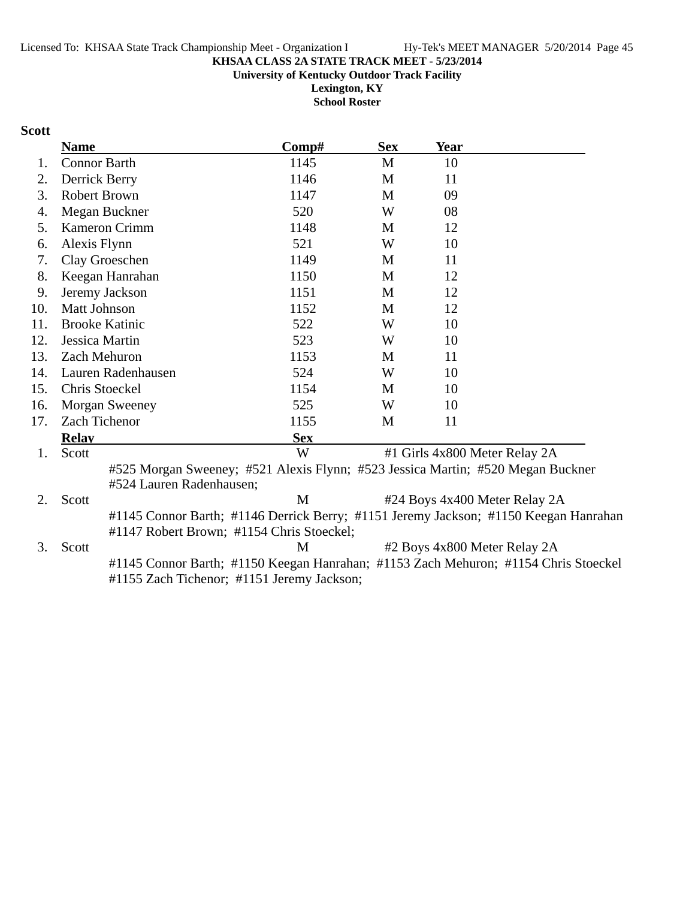**University of Kentucky Outdoor Track Facility**

**Lexington, KY School Roster**

### **Scott**

|     | <b>Name</b>           |                                                                                                                                   | Comp#      | <b>Sex</b> | <b>Year</b>                   |                               |
|-----|-----------------------|-----------------------------------------------------------------------------------------------------------------------------------|------------|------------|-------------------------------|-------------------------------|
| 1.  | <b>Connor Barth</b>   |                                                                                                                                   | 1145       | M          | 10                            |                               |
| 2.  | Derrick Berry         |                                                                                                                                   | 1146       | M          | 11                            |                               |
| 3.  | <b>Robert Brown</b>   |                                                                                                                                   | 1147       | M          | 09                            |                               |
| 4.  |                       | Megan Buckner                                                                                                                     | 520        | W          | 08                            |                               |
| 5.  |                       | Kameron Crimm                                                                                                                     | 1148       | M          | 12                            |                               |
| 6.  | Alexis Flynn          |                                                                                                                                   | 521        | W          | 10                            |                               |
| 7.  |                       | Clay Groeschen                                                                                                                    | 1149       | M          | 11                            |                               |
| 8.  |                       | Keegan Hanrahan                                                                                                                   | 1150       | M          | 12                            |                               |
| 9.  |                       | Jeremy Jackson                                                                                                                    | 1151       | M          | 12                            |                               |
| 10. | Matt Johnson          |                                                                                                                                   | 1152       | M          | 12                            |                               |
| 11. | <b>Brooke Katinic</b> |                                                                                                                                   | 522        | W          | 10                            |                               |
| 12. | Jessica Martin        |                                                                                                                                   | 523        | W          | 10                            |                               |
| 13. | Zach Mehuron          |                                                                                                                                   | 1153       | M          | 11                            |                               |
| 14. |                       | Lauren Radenhausen                                                                                                                | 524        | W          | 10                            |                               |
| 15. | Chris Stoeckel        |                                                                                                                                   | 1154       | M          | 10                            |                               |
| 16. |                       | <b>Morgan Sweeney</b>                                                                                                             | 525        | W          | 10                            |                               |
| 17. | Zach Tichenor         |                                                                                                                                   | 1155       | M          | 11                            |                               |
|     | <b>Relay</b>          |                                                                                                                                   | <b>Sex</b> |            |                               |                               |
| 1.  | Scott                 |                                                                                                                                   | W          |            | #1 Girls 4x800 Meter Relay 2A |                               |
|     |                       | #525 Morgan Sweeney; #521 Alexis Flynn; #523 Jessica Martin; #520 Megan Buckner<br>#524 Lauren Radenhausen;                       |            |            |                               |                               |
| 2.  | Scott                 |                                                                                                                                   | M          |            |                               | #24 Boys 4x400 Meter Relay 2A |
|     |                       | #1145 Connor Barth; #1146 Derrick Berry; #1151 Jeremy Jackson; #1150 Keegan Hanrahan<br>#1147 Robert Brown; #1154 Chris Stoeckel; |            |            |                               |                               |
| 3.  | Scott                 |                                                                                                                                   | M          |            | #2 Boys 4x800 Meter Relay 2A  |                               |
|     |                       | #1145 Connor Barth; #1150 Keegan Hanrahan; #1153 Zach Mehuron; #1154 Chris Stoeckel<br>#1155 Zach Tichenor; #1151 Jeremy Jackson; |            |            |                               |                               |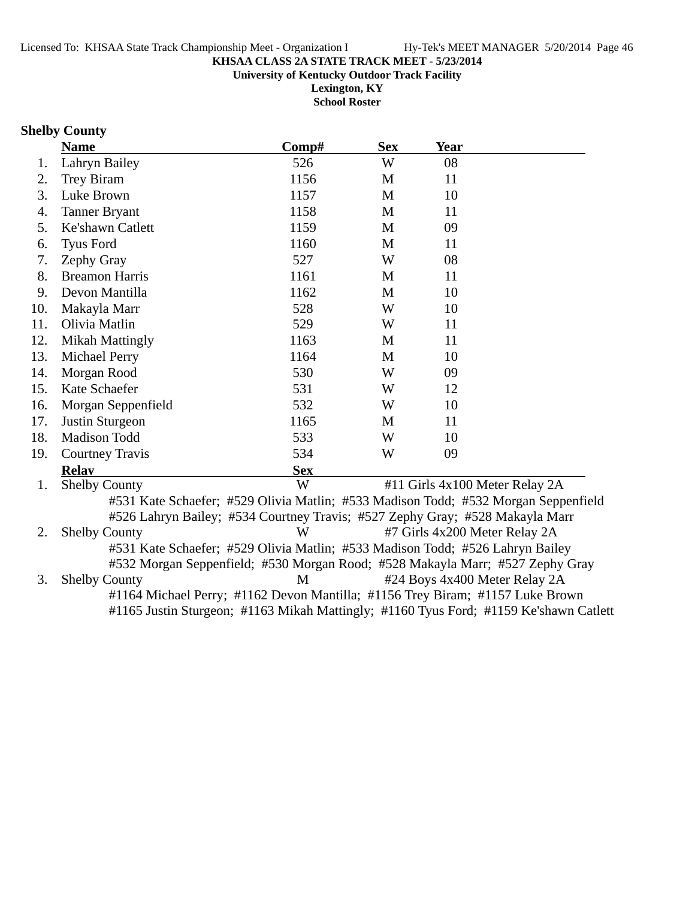**University of Kentucky Outdoor Track Facility**

**Lexington, KY School Roster**

## **Shelby County**

|     | <b>Name</b>                                                                           | Comp#      | <b>Sex</b>   | Year                           |  |
|-----|---------------------------------------------------------------------------------------|------------|--------------|--------------------------------|--|
| 1.  | Lahryn Bailey                                                                         | 526        | W            | 08                             |  |
| 2.  | Trey Biram                                                                            | 1156       | M            | 11                             |  |
| 3.  | Luke Brown                                                                            | 1157       | M            | 10                             |  |
| 4.  | <b>Tanner Bryant</b>                                                                  | 1158       | M            | 11                             |  |
| 5.  | Ke'shawn Catlett                                                                      | 1159       | $\mathbf{M}$ | 09                             |  |
| 6.  | <b>Tyus Ford</b>                                                                      | 1160       | M            | 11                             |  |
| 7.  | Zephy Gray                                                                            | 527        | W            | 08                             |  |
| 8.  | <b>Breamon Harris</b>                                                                 | 1161       | M            | 11                             |  |
| 9.  | Devon Mantilla                                                                        | 1162       | M            | 10                             |  |
| 10. | Makayla Marr                                                                          | 528        | W            | 10                             |  |
| 11. | Olivia Matlin                                                                         | 529        | W            | 11                             |  |
| 12. | <b>Mikah Mattingly</b>                                                                | 1163       | M            | 11                             |  |
| 13. | <b>Michael Perry</b>                                                                  | 1164       | M            | 10                             |  |
| 14. | Morgan Rood                                                                           | 530        | W            | 09                             |  |
| 15. | Kate Schaefer                                                                         | 531        | W            | 12                             |  |
| 16. | Morgan Seppenfield                                                                    | 532        | W            | 10                             |  |
| 17. | Justin Sturgeon                                                                       | 1165       | M            | 11                             |  |
| 18. | Madison Todd                                                                          | 533        | W            | 10                             |  |
| 19. | <b>Courtney Travis</b>                                                                | 534        | W            | 09                             |  |
|     | <b>Relay</b>                                                                          | <b>Sex</b> |              |                                |  |
| 1.  | <b>Shelby County</b>                                                                  | W          |              | #11 Girls 4x100 Meter Relay 2A |  |
|     | #531 Kate Schaefer; #529 Olivia Matlin; #533 Madison Todd; #532 Morgan Seppenfield    |            |              |                                |  |
|     | #526 Lahryn Bailey; #534 Courtney Travis; #527 Zephy Gray; #528 Makayla Marr          |            |              |                                |  |
| 2.  | <b>Shelby County</b>                                                                  | W          |              | #7 Girls 4x200 Meter Relay 2A  |  |
|     | #531 Kate Schaefer; #529 Olivia Matlin; #533 Madison Todd; #526 Lahryn Bailey         |            |              |                                |  |
|     | #532 Morgan Seppenfield; #530 Morgan Rood; #528 Makayla Marr; #527 Zephy Gray         |            |              |                                |  |
| 3.  | <b>Shelby County</b>                                                                  | M          |              | #24 Boys 4x400 Meter Relay 2A  |  |
|     | #1164 Michael Perry; #1162 Devon Mantilla; #1156 Trey Biram; #1157 Luke Brown         |            |              |                                |  |
|     | #1165 Justin Sturgeon; #1163 Mikah Mattingly; #1160 Tyus Ford; #1159 Ke'shawn Catlett |            |              |                                |  |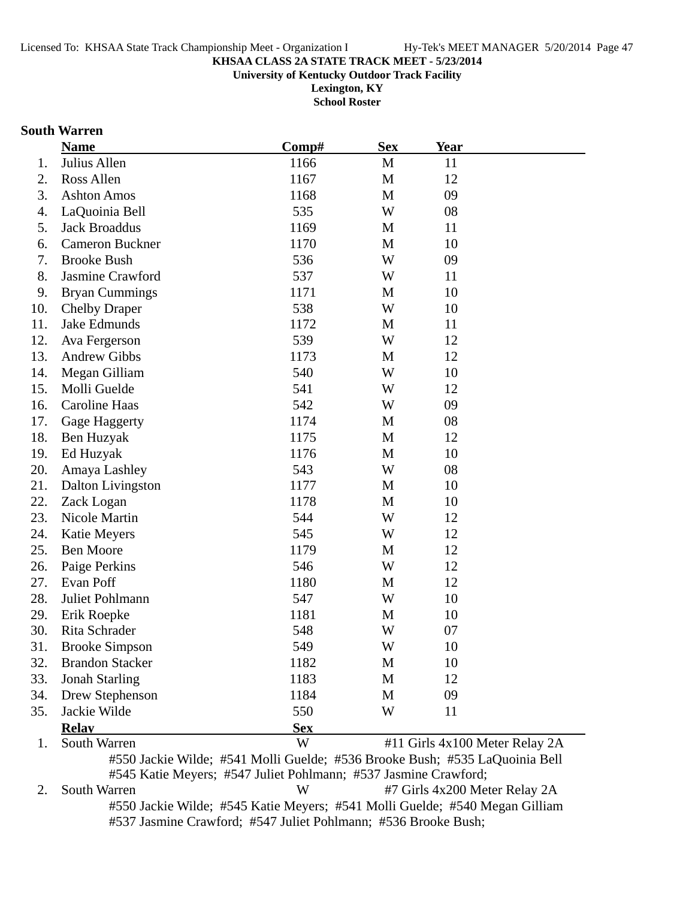**University of Kentucky Outdoor Track Facility**

**Lexington, KY School Roster**

### **South Warren**

|     | <b>Name</b>                                                                 | Comp#      | <b>Sex</b> | <u>Year</u> |                                |
|-----|-----------------------------------------------------------------------------|------------|------------|-------------|--------------------------------|
| 1.  | Julius Allen                                                                | 1166       | M          | 11          |                                |
| 2.  | Ross Allen                                                                  | 1167       | M          | 12          |                                |
| 3.  | <b>Ashton Amos</b>                                                          | 1168       | M          | 09          |                                |
| 4.  | LaQuoinia Bell                                                              | 535        | W          | 08          |                                |
| 5.  | <b>Jack Broaddus</b>                                                        | 1169       | M          | 11          |                                |
| 6.  | <b>Cameron Buckner</b>                                                      | 1170       | M          | 10          |                                |
| 7.  | <b>Brooke Bush</b>                                                          | 536        | W          | 09          |                                |
| 8.  | Jasmine Crawford                                                            | 537        | W          | 11          |                                |
| 9.  | <b>Bryan Cummings</b>                                                       | 1171       | M          | 10          |                                |
| 10. | <b>Chelby Draper</b>                                                        | 538        | W          | 10          |                                |
| 11. | Jake Edmunds                                                                | 1172       | M          | 11          |                                |
| 12. | Ava Fergerson                                                               | 539        | W          | 12          |                                |
| 13. | <b>Andrew Gibbs</b>                                                         | 1173       | M          | 12          |                                |
| 14. | Megan Gilliam                                                               | 540        | W          | 10          |                                |
| 15. | Molli Guelde                                                                | 541        | W          | 12          |                                |
| 16. | Caroline Haas                                                               | 542        | W          | 09          |                                |
| 17. | Gage Haggerty                                                               | 1174       | M          | 08          |                                |
| 18. | Ben Huzyak                                                                  | 1175       | M          | 12          |                                |
| 19. | Ed Huzyak                                                                   | 1176       | M          | 10          |                                |
| 20. | Amaya Lashley                                                               | 543        | W          | 08          |                                |
| 21. | <b>Dalton Livingston</b>                                                    | 1177       | M          | 10          |                                |
| 22. | Zack Logan                                                                  | 1178       | M          | 10          |                                |
| 23. | Nicole Martin                                                               | 544        | W          | 12          |                                |
| 24. | Katie Meyers                                                                | 545        | W          | 12          |                                |
| 25. | <b>Ben Moore</b>                                                            | 1179       | M          | 12          |                                |
| 26. | Paige Perkins                                                               | 546        | W          | 12          |                                |
| 27. | Evan Poff                                                                   | 1180       | M          | 12          |                                |
| 28. | Juliet Pohlmann                                                             | 547        | W          | 10          |                                |
| 29. | Erik Roepke                                                                 | 1181       | M          | 10          |                                |
| 30. | Rita Schrader                                                               | 548        | W          | 07          |                                |
| 31  | <b>Brooke Simpson</b>                                                       | 549        | W          | 10          |                                |
| 32. | <b>Brandon Stacker</b>                                                      | 1182       | M          | 10          |                                |
| 33. | <b>Jonah Starling</b>                                                       | 1183       | M          | 12          |                                |
| 34. | Drew Stephenson                                                             | 1184       | M          | 09          |                                |
| 35. | Jackie Wilde                                                                | 550        | W          | 11          |                                |
|     | <b>Relay</b>                                                                | <b>Sex</b> |            |             |                                |
| 1.  | South Warren                                                                | W          |            |             | #11 Girls 4x100 Meter Relay 2A |
|     | #550 Isolic Wilder #541 Molli Cualder #526 Drooks Duck, #525 LeQueinia Doll |            |            |             |                                |

#550 Jackie Wilde; #541 Molli Guelde; #536 Brooke Bush; #535 LaQuoinia Bell #545 Katie Meyers; #547 Juliet Pohlmann; #537 Jasmine Crawford;

2. South Warren W #7 Girls 4x200 Meter Relay 2A #550 Jackie Wilde; #545 Katie Meyers; #541 Molli Guelde; #540 Megan Gilliam #537 Jasmine Crawford; #547 Juliet Pohlmann; #536 Brooke Bush;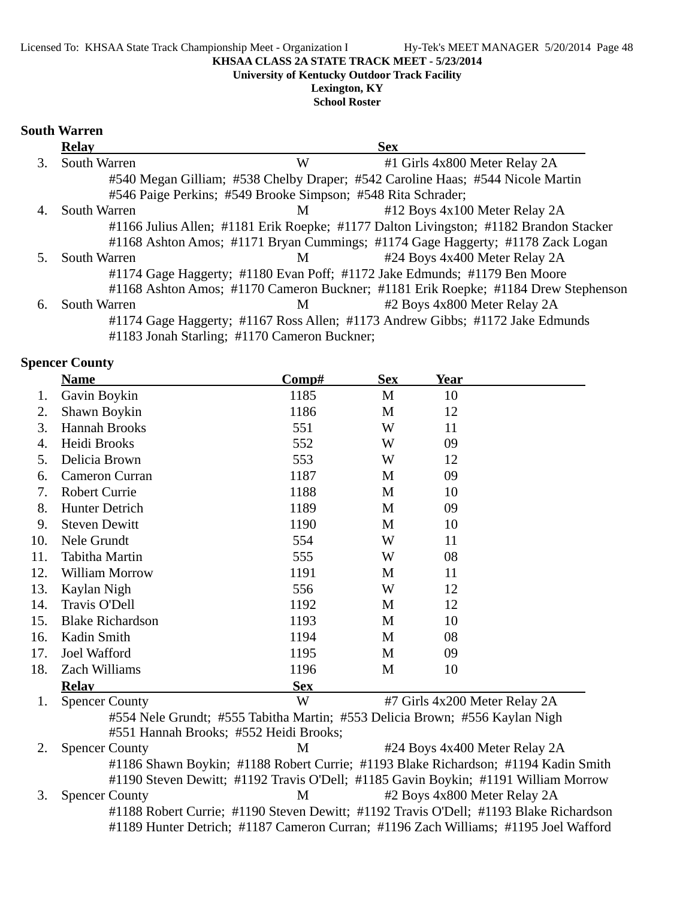**University of Kentucky Outdoor Track Facility**

**Lexington, KY School Roster**

### **South Warren**

|    | <b>Relay</b>        |                                                              | <b>Sex</b>                                                                            |
|----|---------------------|--------------------------------------------------------------|---------------------------------------------------------------------------------------|
| 3. | South Warren        | W                                                            | #1 Girls 4x800 Meter Relay 2A                                                         |
|    |                     |                                                              | #540 Megan Gilliam; #538 Chelby Draper; #542 Caroline Haas; #544 Nicole Martin        |
|    |                     | #546 Paige Perkins; #549 Brooke Simpson; #548 Rita Schrader; |                                                                                       |
|    | <b>South Warren</b> | M                                                            | #12 Boys 4x100 Meter Relay 2A                                                         |
|    |                     |                                                              | #1166 Julius Allen; #1181 Erik Roepke; #1177 Dalton Livingston; #1182 Brandon Stacker |
|    |                     |                                                              | #1168 Ashton Amos; #1171 Bryan Cummings; #1174 Gage Haggerty; #1178 Zack Logan        |
|    | South Warren        | $\mathbf{M}$                                                 | #24 Boys 4x400 Meter Relay 2A                                                         |
|    |                     |                                                              | #1174 Gage Haggerty; #1180 Evan Poff; #1172 Jake Edmunds; #1179 Ben Moore             |
|    |                     |                                                              | #1168 Ashton Amos; #1170 Cameron Buckner; #1181 Erik Roepke; #1184 Drew Stephenson    |
| 6. | South Warren        | M                                                            | #2 Boys 4x800 Meter Relay 2A                                                          |
|    |                     |                                                              | #1174 Gage Haggerty; #1167 Ross Allen; #1173 Andrew Gibbs; #1172 Jake Edmunds         |
|    |                     | #1183 Jonah Starling; #1170 Cameron Buckner;                 |                                                                                       |

### **Spencer County**

|     | <b>Name</b>                            | Comp#      | <b>Sex</b> | Year                                                                               |  |
|-----|----------------------------------------|------------|------------|------------------------------------------------------------------------------------|--|
| 1.  | Gavin Boykin                           | 1185       | M          | 10                                                                                 |  |
| 2.  | Shawn Boykin                           | 1186       | M          | 12                                                                                 |  |
| 3.  | Hannah Brooks                          | 551        | W          | 11                                                                                 |  |
| 4.  | Heidi Brooks                           | 552        | W          | 09                                                                                 |  |
| 5.  | Delicia Brown                          | 553        | W          | 12                                                                                 |  |
| 6.  | Cameron Curran                         | 1187       | M          | 09                                                                                 |  |
| 7.  | <b>Robert Currie</b>                   | 1188       | M          | 10                                                                                 |  |
| 8.  | Hunter Detrich                         | 1189       | M          | 09                                                                                 |  |
| 9.  | <b>Steven Dewitt</b>                   | 1190       | M          | 10                                                                                 |  |
| 10. | Nele Grundt                            | 554        | W          | 11                                                                                 |  |
| 11. | <b>Tabitha Martin</b>                  | 555        | W          | 08                                                                                 |  |
| 12. | William Morrow                         | 1191       | M          | 11                                                                                 |  |
| 13. | Kaylan Nigh                            | 556        | W          | 12                                                                                 |  |
| 14. | Travis O'Dell                          | 1192       | M          | 12                                                                                 |  |
| 15. | <b>Blake Richardson</b>                | 1193       | M          | 10                                                                                 |  |
| 16. | Kadin Smith                            | 1194       | M          | 08                                                                                 |  |
| 17. | Joel Wafford                           | 1195       | M          | 09                                                                                 |  |
| 18. | Zach Williams                          | 1196       | M          | 10                                                                                 |  |
|     | <b>Relay</b>                           | <b>Sex</b> |            |                                                                                    |  |
| 1.  | <b>Spencer County</b>                  | W          |            | #7 Girls 4x200 Meter Relay 2A                                                      |  |
|     | #551 Hannah Brooks; #552 Heidi Brooks; |            |            | #554 Nele Grundt; #555 Tabitha Martin; #553 Delicia Brown; #556 Kaylan Nigh        |  |
| 2.  | <b>Spencer County</b>                  | M          |            | #24 Boys 4x400 Meter Relay 2A                                                      |  |
|     |                                        |            |            | #1186 Shawn Boykin; #1188 Robert Currie; #1193 Blake Richardson; #1194 Kadin Smith |  |

#1190 Steven Dewitt; #1192 Travis O'Dell; #1185 Gavin Boykin; #1191 William Morrow<br>3. Spencer County M #2 Boys 4x800 Meter Relay 2A M #2 Boys 4x800 Meter Relay 2A #1188 Robert Currie; #1190 Steven Dewitt; #1192 Travis O'Dell; #1193 Blake Richardson #1189 Hunter Detrich; #1187 Cameron Curran; #1196 Zach Williams; #1195 Joel Wafford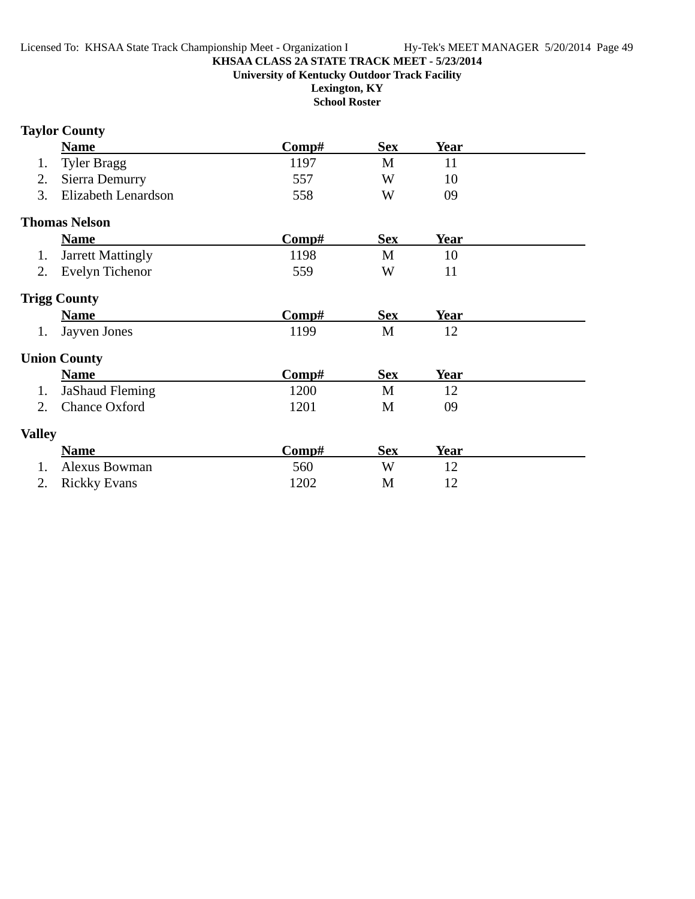**Lexington, KY School Roster**

## **Taylor County**

|               | <b>Name</b>              | $\bf Comp\#$ | <b>Sex</b> | <b>Year</b> |  |
|---------------|--------------------------|--------------|------------|-------------|--|
| 1.            | <b>Tyler Bragg</b>       | 1197         | M          | 11          |  |
| 2.            | Sierra Demurry           | 557          | W          | 10          |  |
| 3.            | Elizabeth Lenardson      | 558          | W          | 09          |  |
|               | <b>Thomas Nelson</b>     |              |            |             |  |
|               | <b>Name</b>              | Comp#        | <b>Sex</b> | <b>Year</b> |  |
| 1.            | <b>Jarrett Mattingly</b> | 1198         | M          | 10          |  |
| 2.            | Evelyn Tichenor          | 559          | W          | 11          |  |
|               | <b>Trigg County</b>      |              |            |             |  |
|               | <b>Name</b>              | Comp#        | <b>Sex</b> | <b>Year</b> |  |
| 1.            | Jayven Jones             | 1199         | M          | 12          |  |
|               | <b>Union County</b>      |              |            |             |  |
|               | <b>Name</b>              | Comp#        | <b>Sex</b> | Year        |  |
| 1.            | <b>JaShaud Fleming</b>   | 1200         | M          | 12          |  |
| 2.            | <b>Chance Oxford</b>     | 1201         | M          | 09          |  |
| <b>Valley</b> |                          |              |            |             |  |
|               | <b>Name</b>              | Comp#        | <b>Sex</b> | Year        |  |
| 1.            | <b>Alexus Bowman</b>     | 560          | W          | 12          |  |
| 2.            | <b>Rickky Evans</b>      | 1202         | M          | 12          |  |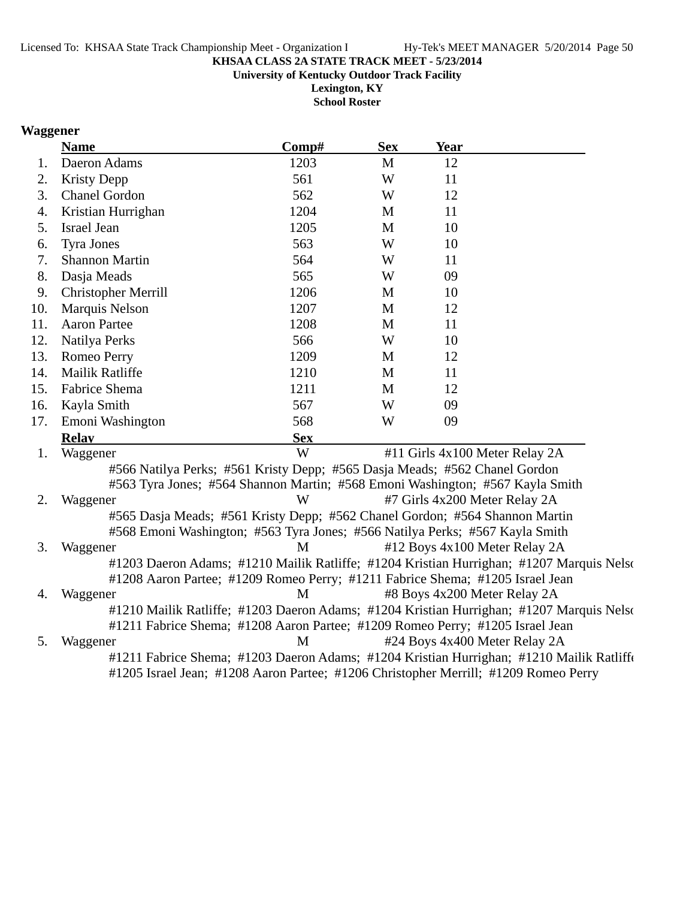**University of Kentucky Outdoor Track Facility**

**Lexington, KY School Roster**

## **Waggener**

|     | <b>Name</b>                                                                               | Comp#      | <b>Sex</b>  | Year |                                |  |
|-----|-------------------------------------------------------------------------------------------|------------|-------------|------|--------------------------------|--|
| 1.  | Daeron Adams                                                                              | 1203       | M           | 12   |                                |  |
| 2.  | <b>Kristy Depp</b>                                                                        | 561        | W           | 11   |                                |  |
| 3.  | <b>Chanel Gordon</b>                                                                      | 562        | W           | 12   |                                |  |
| 4.  | Kristian Hurrighan                                                                        | 1204       | M           | 11   |                                |  |
| 5.  | <b>Israel Jean</b>                                                                        | 1205       | M           | 10   |                                |  |
| 6.  | <b>Tyra Jones</b>                                                                         | 563        | W           | 10   |                                |  |
| 7.  | <b>Shannon Martin</b>                                                                     | 564        | W           | 11   |                                |  |
| 8.  | Dasja Meads                                                                               | 565        | W           | 09   |                                |  |
| 9.  | <b>Christopher Merrill</b>                                                                | 1206       | M           | 10   |                                |  |
| 10. | Marquis Nelson                                                                            | 1207       | M           | 12   |                                |  |
| 11. | <b>Aaron Partee</b>                                                                       | 1208       | M           | 11   |                                |  |
| 12. | Natilya Perks                                                                             | 566        | W           | 10   |                                |  |
| 13. | Romeo Perry                                                                               | 1209       | $\mathbf M$ | 12   |                                |  |
| 14. | Mailik Ratliffe                                                                           | 1210       | M           | 11   |                                |  |
| 15. | Fabrice Shema                                                                             | 1211       | M           | 12   |                                |  |
| 16. | Kayla Smith                                                                               | 567        | W           | 09   |                                |  |
| 17. | Emoni Washington                                                                          | 568        | W           | 09   |                                |  |
|     | <b>Relav</b>                                                                              | <b>Sex</b> |             |      |                                |  |
| 1.  | Waggener                                                                                  | W          |             |      | #11 Girls 4x100 Meter Relay 2A |  |
|     | #566 Natilya Perks; #561 Kristy Depp; #565 Dasja Meads; #562 Chanel Gordon                |            |             |      |                                |  |
|     | #563 Tyra Jones; #564 Shannon Martin; #568 Emoni Washington; #567 Kayla Smith             |            |             |      |                                |  |
| 2.  | Waggener                                                                                  | W          |             |      | #7 Girls 4x200 Meter Relay 2A  |  |
|     | #565 Dasja Meads; #561 Kristy Depp; #562 Chanel Gordon; #564 Shannon Martin               |            |             |      |                                |  |
|     | #568 Emoni Washington; #563 Tyra Jones; #566 Natilya Perks; #567 Kayla Smith              |            |             |      |                                |  |
| 3.  | Waggener                                                                                  | M          |             |      | #12 Boys 4x100 Meter Relay 2A  |  |
|     | #1203 Daeron Adams; #1210 Mailik Ratliffe; #1204 Kristian Hurrighan; #1207 Marquis Nelso  |            |             |      |                                |  |
|     | #1208 Aaron Partee; #1209 Romeo Perry; #1211 Fabrice Shema; #1205 Israel Jean             |            |             |      |                                |  |
| 4.  | Waggener                                                                                  | M          |             |      | #8 Boys 4x200 Meter Relay 2A   |  |
|     | #1210 Mailik Ratliffe; #1203 Daeron Adams; #1204 Kristian Hurrighan; #1207 Marquis Nelson |            |             |      |                                |  |
|     | #1211 Fabrice Shema; #1208 Aaron Partee; #1209 Romeo Perry; #1205 Israel Jean             |            |             |      |                                |  |
| 5.  | Waggener                                                                                  | M          |             |      | #24 Boys 4x400 Meter Relay 2A  |  |
|     | #1211 Fabrice Shema; #1203 Daeron Adams; #1204 Kristian Hurrighan; #1210 Mailik Ratliffe  |            |             |      |                                |  |
|     | #1205 Israel Jean; #1208 Aaron Partee; #1206 Christopher Merrill; #1209 Romeo Perry       |            |             |      |                                |  |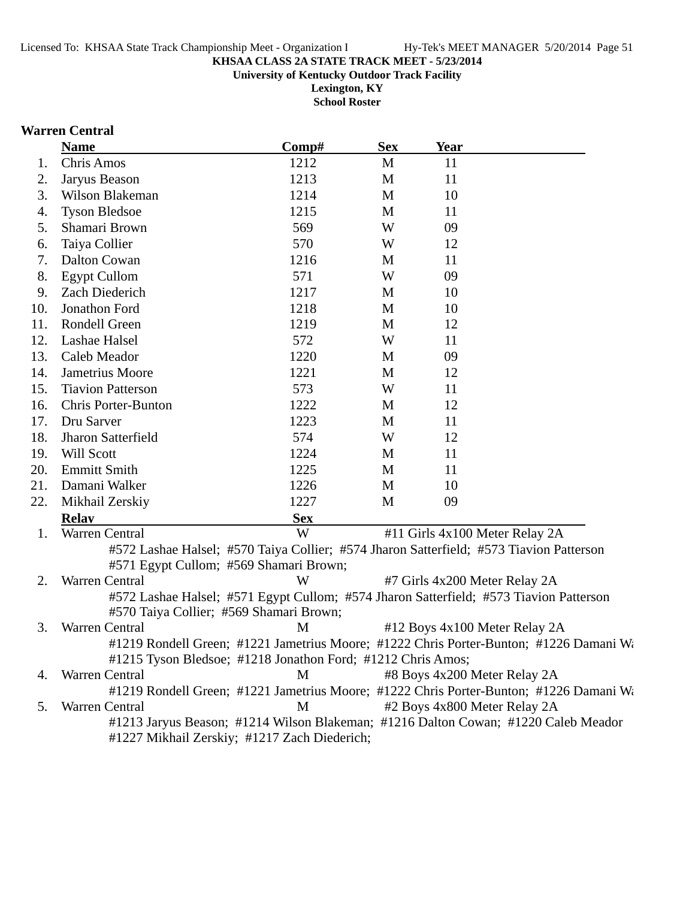**Lexington, KY**

**School Roster**

### **Warren Central**

|     | <b>Name</b>                             | Comp#                                                                                   | <b>Sex</b> | Year |                                                                                        |
|-----|-----------------------------------------|-----------------------------------------------------------------------------------------|------------|------|----------------------------------------------------------------------------------------|
| 1.  | Chris Amos                              | 1212                                                                                    | M          | 11   |                                                                                        |
| 2.  | Jaryus Beason                           | 1213                                                                                    | M          | 11   |                                                                                        |
| 3.  | Wilson Blakeman                         | 1214                                                                                    | M          | 10   |                                                                                        |
| 4.  | <b>Tyson Bledsoe</b>                    | 1215                                                                                    | M          | 11   |                                                                                        |
| 5.  | Shamari Brown                           | 569                                                                                     | W          | 09   |                                                                                        |
| 6.  | Taiya Collier                           | 570                                                                                     | W          | 12   |                                                                                        |
| 7.  | Dalton Cowan                            | 1216                                                                                    | M          | 11   |                                                                                        |
| 8.  | <b>Egypt Cullom</b>                     | 571                                                                                     | W          | 09   |                                                                                        |
| 9.  | Zach Diederich                          | 1217                                                                                    | M          | 10   |                                                                                        |
| 10. | Jonathon Ford                           | 1218                                                                                    | M          | 10   |                                                                                        |
| 11. | Rondell Green                           | 1219                                                                                    | M          | 12   |                                                                                        |
| 12. | Lashae Halsel                           | 572                                                                                     | W          | 11   |                                                                                        |
| 13. | Caleb Meador                            | 1220                                                                                    | M          | 09   |                                                                                        |
| 14. | Jametrius Moore                         | 1221                                                                                    | M          | 12   |                                                                                        |
| 15. | <b>Tiavion Patterson</b>                | 573                                                                                     | W          | 11   |                                                                                        |
| 16. | <b>Chris Porter-Bunton</b>              | 1222                                                                                    | M          | 12   |                                                                                        |
| 17. | Dru Sarver                              | 1223                                                                                    | M          | 11   |                                                                                        |
| 18. | Jharon Satterfield                      | 574                                                                                     | W          | 12   |                                                                                        |
| 19. | Will Scott                              | 1224                                                                                    | M          | 11   |                                                                                        |
| 20. | <b>Emmitt Smith</b>                     | 1225                                                                                    | M          | 11   |                                                                                        |
| 21. | Damani Walker                           | 1226                                                                                    | M          | 10   |                                                                                        |
| 22. | Mikhail Zerskiy                         | 1227                                                                                    | M          | 09   |                                                                                        |
|     | <b>Relay</b>                            | <b>Sex</b>                                                                              |            |      |                                                                                        |
| 1.  | Warren Central                          | W                                                                                       |            |      | #11 Girls 4x100 Meter Relay 2A                                                         |
|     |                                         | #572 Lashae Halsel; #570 Taiya Collier; #574 Jharon Satterfield; #573 Tiavion Patterson |            |      |                                                                                        |
|     | #571 Egypt Cullom; #569 Shamari Brown;  |                                                                                         |            |      |                                                                                        |
| 2.  | Warren Central                          | W                                                                                       |            |      | #7 Girls 4x200 Meter Relay 2A                                                          |
|     |                                         |                                                                                         |            |      | #572 Lashae Halsel; #571 Egypt Cullom; #574 Jharon Satterfield; #573 Tiavion Patterson |
|     | #570 Taiya Collier; #569 Shamari Brown; |                                                                                         |            |      |                                                                                        |
| 3.  | Warren Central                          | M                                                                                       |            |      | #12 Boys 4x100 Meter Relay 2A                                                          |
|     |                                         |                                                                                         |            |      | #1219 Rondell Green; #1221 Jametrius Moore; #1222 Chris Porter-Bunton; #1226 Damani Wa |
|     |                                         | #1215 Tyson Bledsoe; #1218 Jonathon Ford; #1212 Chris Amos;                             |            |      |                                                                                        |
| 4.  | Warren Central                          | M                                                                                       |            |      | #8 Boys 4x200 Meter Relay 2A                                                           |
|     |                                         |                                                                                         |            |      | #1219 Rondell Green; #1221 Jametrius Moore; #1222 Chris Porter-Bunton; #1226 Damani Wa |
| 5.  | Warren Central                          | M                                                                                       |            |      | #2 Boys 4x800 Meter Relay 2A                                                           |
|     |                                         |                                                                                         |            |      | #1213 Jaryus Beason; #1214 Wilson Blakeman; #1216 Dalton Cowan; #1220 Caleb Meador     |
|     |                                         | #1227 Mikhail Zerskiy; #1217 Zach Diederich;                                            |            |      |                                                                                        |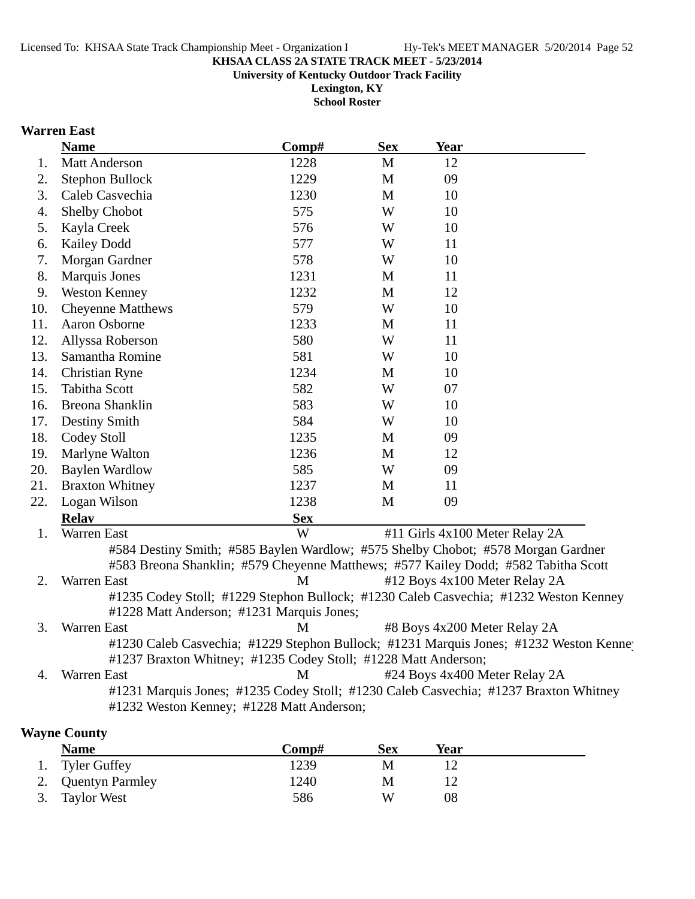**University of Kentucky Outdoor Track Facility**

**Lexington, KY School Roster**

## **Warren East**

|     | <b>Name</b>                                                    | Comp#      | <b>Sex</b> | <b>Year</b>                                                                                                                                                            |
|-----|----------------------------------------------------------------|------------|------------|------------------------------------------------------------------------------------------------------------------------------------------------------------------------|
| 1.  | <b>Matt Anderson</b>                                           | 1228       | M          | 12                                                                                                                                                                     |
| 2.  | Stephon Bullock                                                | 1229       | M          | 09                                                                                                                                                                     |
| 3.  | Caleb Casvechia                                                | 1230       | M          | 10                                                                                                                                                                     |
| 4.  | Shelby Chobot                                                  | 575        | W          | 10                                                                                                                                                                     |
| 5.  | Kayla Creek                                                    | 576        | W          | 10                                                                                                                                                                     |
| 6.  | <b>Kailey Dodd</b>                                             | 577        | W          | 11                                                                                                                                                                     |
| 7.  | Morgan Gardner                                                 | 578        | W          | 10                                                                                                                                                                     |
| 8.  | Marquis Jones                                                  | 1231       | M          | 11                                                                                                                                                                     |
| 9.  | <b>Weston Kenney</b>                                           | 1232       | M          | 12                                                                                                                                                                     |
| 10. | <b>Cheyenne Matthews</b>                                       | 579        | W          | 10                                                                                                                                                                     |
| 11. | Aaron Osborne                                                  | 1233       | M          | 11                                                                                                                                                                     |
| 12. | Allyssa Roberson                                               | 580        | W          | 11                                                                                                                                                                     |
| 13. | Samantha Romine                                                | 581        | W          | 10                                                                                                                                                                     |
| 14. | Christian Ryne                                                 | 1234       | M          | 10                                                                                                                                                                     |
| 15. | <b>Tabitha Scott</b>                                           | 582        | W          | 07                                                                                                                                                                     |
| 16. | Breona Shanklin                                                | 583        | W          | 10                                                                                                                                                                     |
| 17. | Destiny Smith                                                  | 584        | W          | 10                                                                                                                                                                     |
| 18. | Codey Stoll                                                    | 1235       | M          | 09                                                                                                                                                                     |
| 19. | Marlyne Walton                                                 | 1236       | M          | 12                                                                                                                                                                     |
| 20. | <b>Baylen Wardlow</b>                                          | 585        | W          | 09                                                                                                                                                                     |
| 21. | <b>Braxton Whitney</b>                                         | 1237       | M          | 11                                                                                                                                                                     |
| 22. | Logan Wilson                                                   | 1238       | M          | 09                                                                                                                                                                     |
|     | <b>Relav</b>                                                   | <b>Sex</b> |            |                                                                                                                                                                        |
| 1.  | Warren East                                                    | W          |            | #11 Girls 4x100 Meter Relay 2A                                                                                                                                         |
|     |                                                                |            |            | #584 Destiny Smith; #585 Baylen Wardlow; #575 Shelby Chobot; #578 Morgan Gardner<br>#583 Breona Shanklin; #579 Cheyenne Matthews; #577 Kailey Dodd; #582 Tabitha Scott |
| 2.  | Warren East                                                    | M          |            | #12 Boys 4x100 Meter Relay 2A                                                                                                                                          |
|     |                                                                |            |            | #1235 Codey Stoll; #1229 Stephon Bullock; #1230 Caleb Casvechia; #1232 Weston Kenney                                                                                   |
|     | #1228 Matt Anderson; #1231 Marquis Jones;                      |            |            |                                                                                                                                                                        |
| 3.  | Warren East                                                    | M          |            | #8 Boys 4x200 Meter Relay 2A                                                                                                                                           |
|     |                                                                |            |            | #1230 Caleb Casvechia; #1229 Stephon Bullock; #1231 Marquis Jones; #1232 Weston Kenney                                                                                 |
|     | #1237 Braxton Whitney; #1235 Codey Stoll; #1228 Matt Anderson; |            |            |                                                                                                                                                                        |
| 4.  | Warren East                                                    | M          |            | #24 Boys 4x400 Meter Relay 2A                                                                                                                                          |
|     |                                                                |            |            | #1231 Marquis Jones; #1235 Codey Stoll; #1230 Caleb Casvechia; #1237 Braxton Whitney                                                                                   |
|     | #1232 Weston Kenney; #1228 Matt Anderson;                      |            |            |                                                                                                                                                                        |
|     | <b>Wayne County</b>                                            |            |            |                                                                                                                                                                        |

| <b>Name</b>        | Comp# | <b>Sex</b> | Year |  |
|--------------------|-------|------------|------|--|
| 1. Tyler Guffey    | 1239  | M          |      |  |
| 2. Quentyn Parmley | 1240  | M          |      |  |
| 3. Taylor West     | 586   | W          | 08   |  |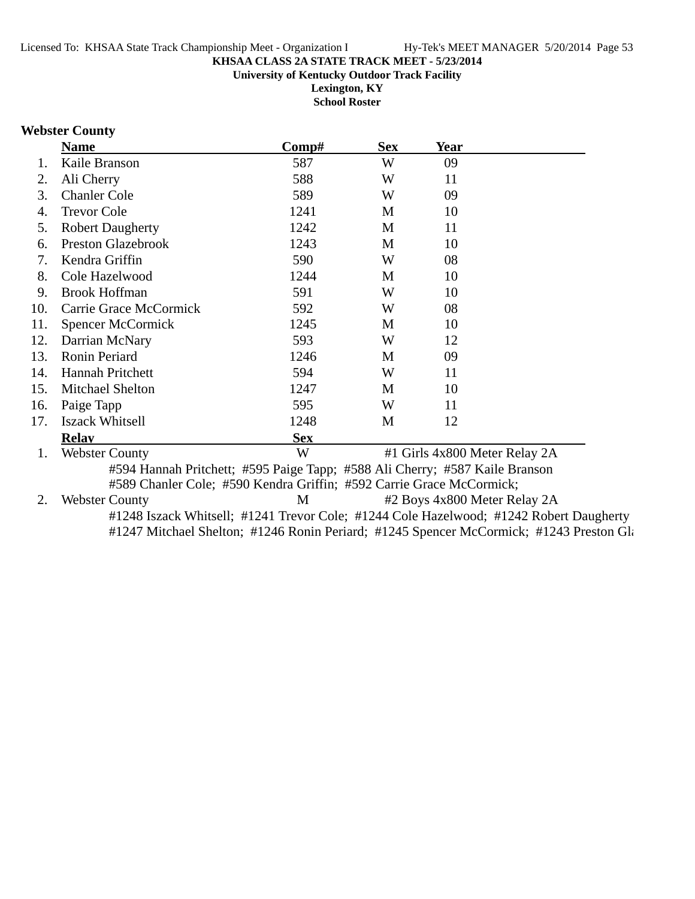**University of Kentucky Outdoor Track Facility**

**Lexington, KY School Roster**

## **Webster County**

| #1 Girls 4x800 Meter Relay 2A                                                           |
|-----------------------------------------------------------------------------------------|
|                                                                                         |
|                                                                                         |
| #2 Boys 4x800 Meter Relay 2A                                                            |
| #1248 Iszack Whitsell; #1241 Trevor Cole; #1244 Cole Hazelwood; #1242 Robert Daugherty  |
| #1247 Mitchael Shelton; #1246 Ronin Periard; #1245 Spencer McCormick; #1243 Preston Gl: |
|                                                                                         |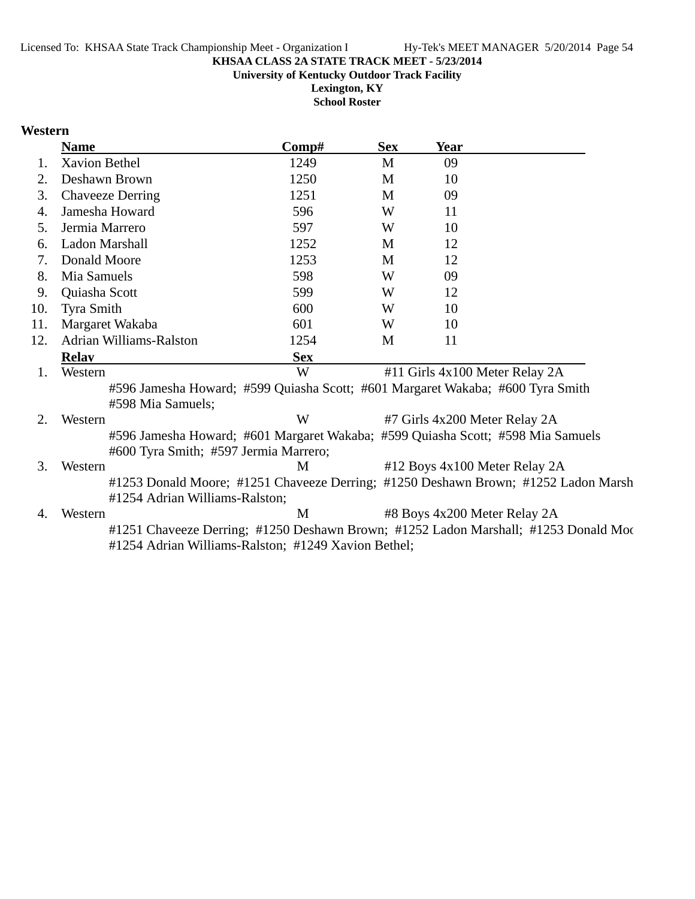**University of Kentucky Outdoor Track Facility**

**Lexington, KY School Roster**

### **Western**

|     | <b>Name</b>                                                                                                              | $\bf Comp\#$ | <b>Sex</b> | Year |                                                                                     |
|-----|--------------------------------------------------------------------------------------------------------------------------|--------------|------------|------|-------------------------------------------------------------------------------------|
| 1.  | <b>Xavion Bethel</b>                                                                                                     | 1249         | M          | 09   |                                                                                     |
| 2.  | Deshawn Brown                                                                                                            | 1250         | M          | 10   |                                                                                     |
| 3.  | <b>Chaveeze Derring</b>                                                                                                  | 1251         | M          | 09   |                                                                                     |
| 4.  | Jamesha Howard                                                                                                           | 596          | W          | 11   |                                                                                     |
| 5.  | Jermia Marrero                                                                                                           | 597          | W          | 10   |                                                                                     |
| 6.  | Ladon Marshall                                                                                                           | 1252         | M          | 12   |                                                                                     |
| 7.  | Donald Moore                                                                                                             | 1253         | M          | 12   |                                                                                     |
| 8.  | Mia Samuels                                                                                                              | 598          | W          | 09   |                                                                                     |
| 9.  | Quiasha Scott                                                                                                            | 599          | W          | 12   |                                                                                     |
| 10. | Tyra Smith                                                                                                               | 600          | W          | 10   |                                                                                     |
| 11. | Margaret Wakaba                                                                                                          | 601          | W          | 10   |                                                                                     |
| 12. | Adrian Williams-Ralston                                                                                                  | 1254         | M          | 11   |                                                                                     |
|     | <b>Relay</b>                                                                                                             | <b>Sex</b>   |            |      |                                                                                     |
| 1.  | Western                                                                                                                  | W            |            |      | #11 Girls 4x100 Meter Relay 2A                                                      |
|     | #596 Jamesha Howard; #599 Quiasha Scott; #601 Margaret Wakaba; #600 Tyra Smith<br>#598 Mia Samuels;                      |              |            |      |                                                                                     |
| 2.  | Western                                                                                                                  | W            |            |      | #7 Girls 4x200 Meter Relay 2A                                                       |
|     | #596 Jamesha Howard; #601 Margaret Wakaba; #599 Quiasha Scott; #598 Mia Samuels<br>#600 Tyra Smith; #597 Jermia Marrero; |              |            |      |                                                                                     |
| 3.  | Western                                                                                                                  | M            |            |      | #12 Boys 4x100 Meter Relay 2A                                                       |
|     | #1254 Adrian Williams-Ralston;                                                                                           |              |            |      | #1253 Donald Moore; #1251 Chaveeze Derring; #1250 Deshawn Brown; #1252 Ladon Marsh  |
| 4.  | Western                                                                                                                  | M            |            |      | #8 Boys 4x200 Meter Relay 2A                                                        |
|     | #1254 Adrian Williams-Ralston; #1249 Xavion Bethel;                                                                      |              |            |      | #1251 Chaveeze Derring; #1250 Deshawn Brown; #1252 Ladon Marshall; #1253 Donald Moc |